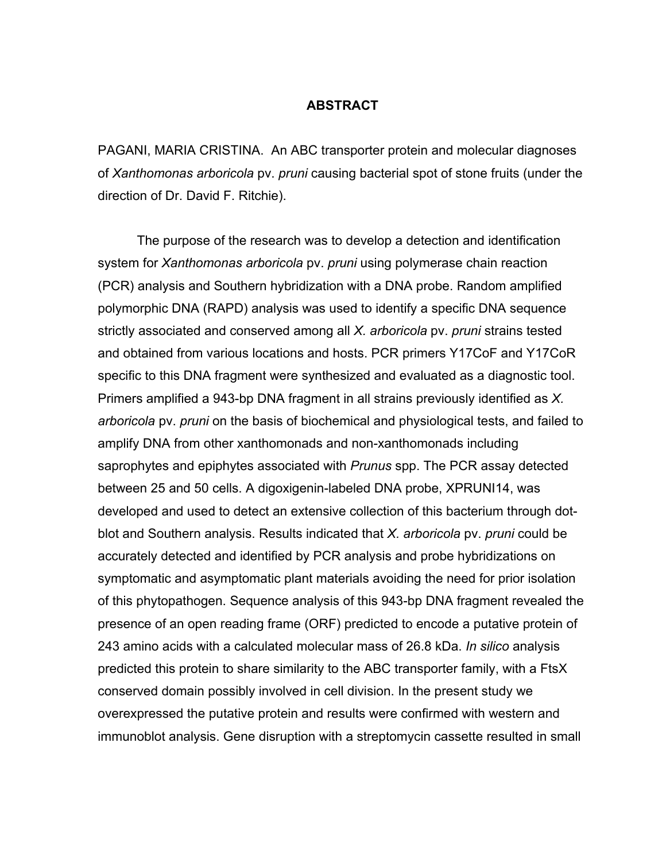### **ABSTRACT**

PAGANI, MARIA CRISTINA. An ABC transporter protein and molecular diagnoses of *Xanthomonas arboricola* pv. *pruni* causing bacterial spot of stone fruits (under the direction of Dr. David F. Ritchie).

 The purpose of the research was to develop a detection and identification system for *Xanthomonas arboricola* pv. *pruni* using polymerase chain reaction (PCR) analysis and Southern hybridization with a DNA probe. Random amplified polymorphic DNA (RAPD) analysis was used to identify a specific DNA sequence strictly associated and conserved among all *X. arboricola* pv. *pruni* strains tested and obtained from various locations and hosts. PCR primers Y17CoF and Y17CoR specific to this DNA fragment were synthesized and evaluated as a diagnostic tool. Primers amplified a 943-bp DNA fragment in all strains previously identified as *X. arboricola* pv. *pruni* on the basis of biochemical and physiological tests, and failed to amplify DNA from other xanthomonads and non-xanthomonads including saprophytes and epiphytes associated with *Prunus* spp. The PCR assay detected between 25 and 50 cells. A digoxigenin-labeled DNA probe, XPRUNI14, was developed and used to detect an extensive collection of this bacterium through dotblot and Southern analysis. Results indicated that *X. arboricola* pv. *pruni* could be accurately detected and identified by PCR analysis and probe hybridizations on symptomatic and asymptomatic plant materials avoiding the need for prior isolation of this phytopathogen. Sequence analysis of this 943-bp DNA fragment revealed the presence of an open reading frame (ORF) predicted to encode a putative protein of 243 amino acids with a calculated molecular mass of 26.8 kDa. *In silico* analysis predicted this protein to share similarity to the ABC transporter family, with a FtsX conserved domain possibly involved in cell division. In the present study we overexpressed the putative protein and results were confirmed with western and immunoblot analysis. Gene disruption with a streptomycin cassette resulted in small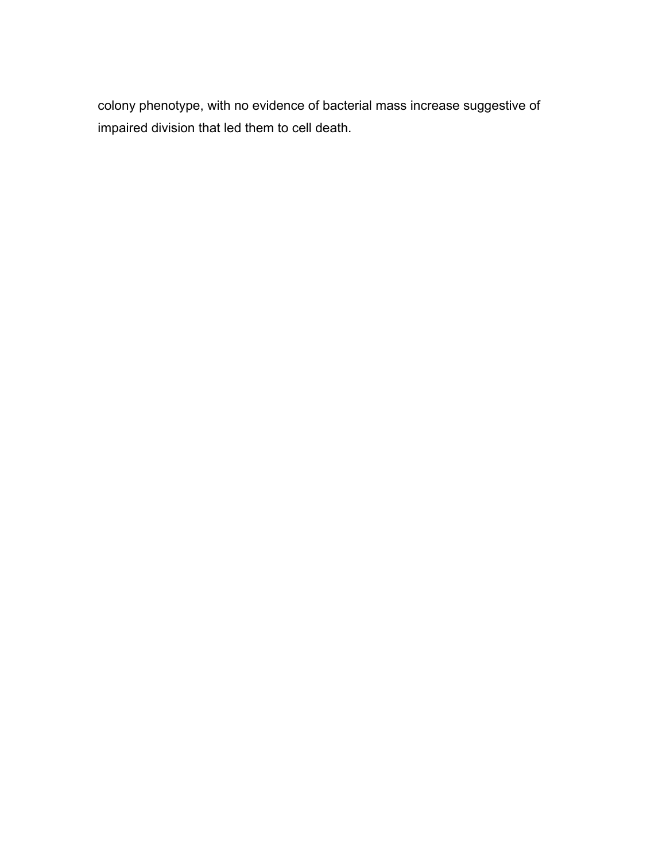colony phenotype, with no evidence of bacterial mass increase suggestive of impaired division that led them to cell death.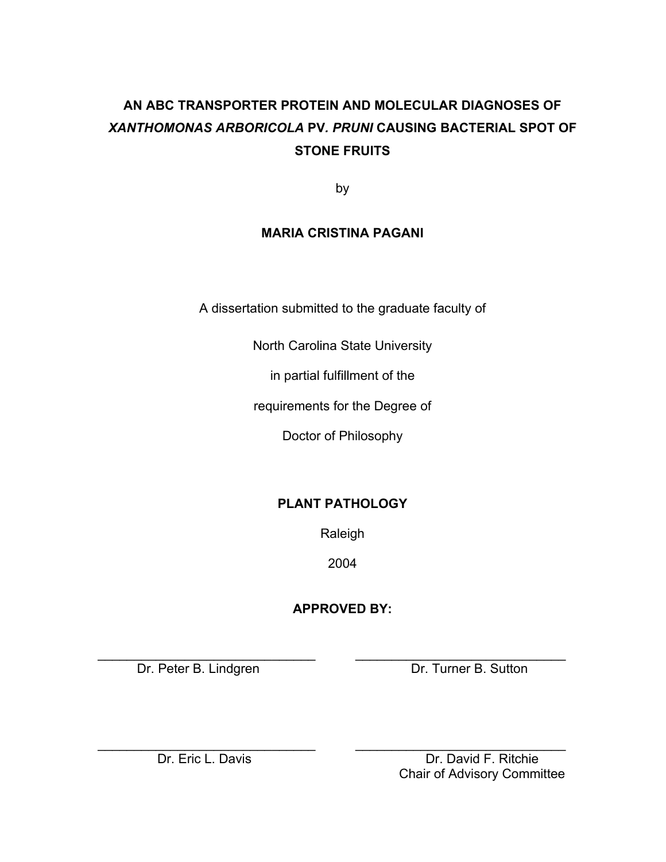# **AN ABC TRANSPORTER PROTEIN AND MOLECULAR DIAGNOSES OF**  *XANTHOMONAS ARBORICOLA* **PV***. PRUNI* **CAUSING BACTERIAL SPOT OF STONE FRUITS**

by

## **MARIA CRISTINA PAGANI**

A dissertation submitted to the graduate faculty of

North Carolina State University

in partial fulfillment of the

requirements for the Degree of

Doctor of Philosophy

## **PLANT PATHOLOGY**

Raleigh

2004

## **APPROVED BY:**

\_\_\_\_\_\_\_\_\_\_\_\_\_\_\_\_\_\_\_\_\_\_\_\_\_\_\_\_\_\_ \_\_\_\_\_\_\_\_\_\_\_\_\_\_\_\_\_\_\_\_\_\_\_\_\_\_\_\_\_

Dr. Peter B. Lindgren Dr. Turner B. Sutton

\_\_\_\_\_\_\_\_\_\_\_\_\_\_\_\_\_\_\_\_\_\_\_\_\_\_\_\_\_\_ \_\_\_\_\_\_\_\_\_\_\_\_\_\_\_\_\_\_\_\_\_\_\_\_\_\_\_\_\_ Dr. Eric L. Davis **Dr. David F. Ritchie** Chair of Advisory Committee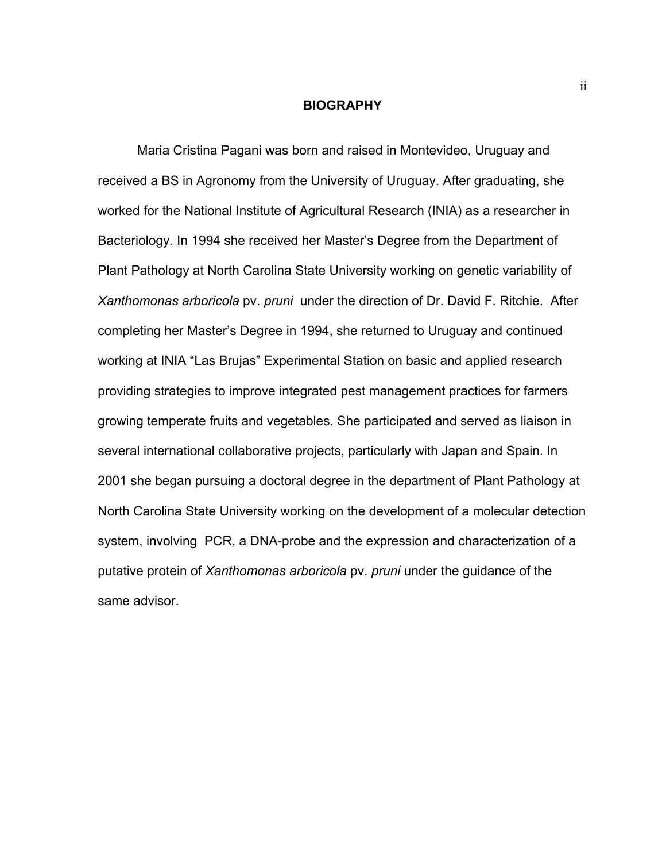#### **BIOGRAPHY**

 Maria Cristina Pagani was born and raised in Montevideo, Uruguay and received a BS in Agronomy from the University of Uruguay. After graduating, she worked for the National Institute of Agricultural Research (INIA) as a researcher in Bacteriology. In 1994 she received her Master's Degree from the Department of Plant Pathology at North Carolina State University working on genetic variability of *Xanthomonas arboricola* pv. *pruni* under the direction of Dr. David F. Ritchie. After completing her Master's Degree in 1994, she returned to Uruguay and continued working at INIA "Las Brujas" Experimental Station on basic and applied research providing strategies to improve integrated pest management practices for farmers growing temperate fruits and vegetables. She participated and served as liaison in several international collaborative projects, particularly with Japan and Spain. In 2001 she began pursuing a doctoral degree in the department of Plant Pathology at North Carolina State University working on the development of a molecular detection system, involving PCR, a DNA-probe and the expression and characterization of a putative protein of *Xanthomonas arboricola* pv. *pruni* under the guidance of the same advisor.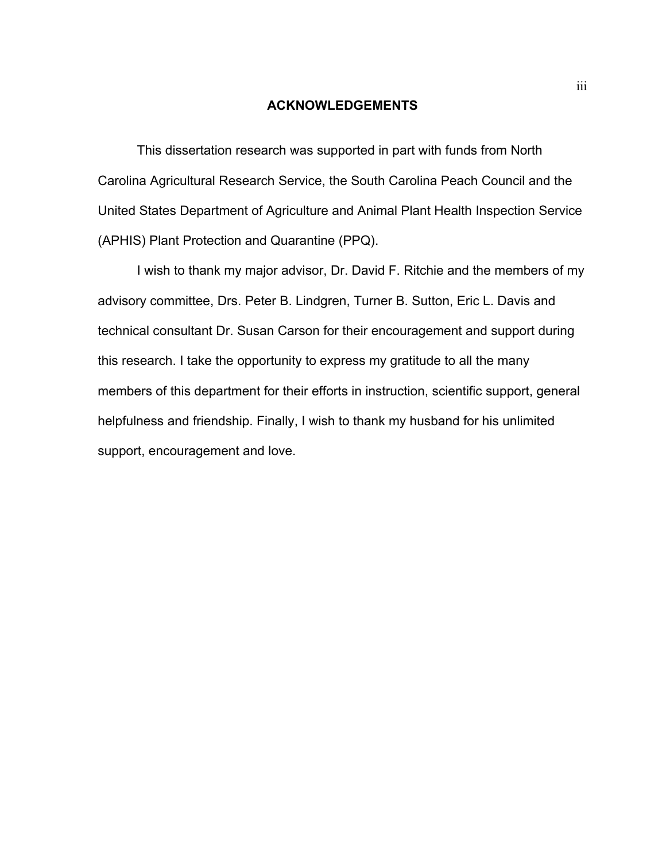### **ACKNOWLEDGEMENTS**

 This dissertation research was supported in part with funds from North Carolina Agricultural Research Service, the South Carolina Peach Council and the United States Department of Agriculture and Animal Plant Health Inspection Service (APHIS) Plant Protection and Quarantine (PPQ).

 I wish to thank my major advisor, Dr. David F. Ritchie and the members of my advisory committee, Drs. Peter B. Lindgren, Turner B. Sutton, Eric L. Davis and technical consultant Dr. Susan Carson for their encouragement and support during this research. I take the opportunity to express my gratitude to all the many members of this department for their efforts in instruction, scientific support, general helpfulness and friendship. Finally, I wish to thank my husband for his unlimited support, encouragement and love.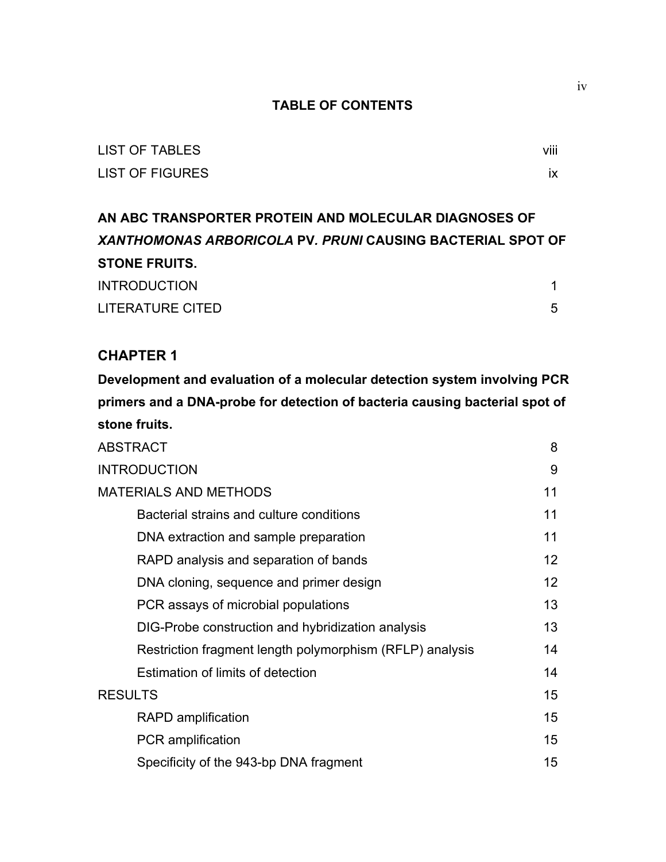### **TABLE OF CONTENTS**

| <b>LIST OF TABLES</b> | .<br>VIII |
|-----------------------|-----------|
| LIST OF FIGURES       |           |

**AN ABC TRANSPORTER PROTEIN AND MOLECULAR DIAGNOSES OF**  *XANTHOMONAS ARBORICOLA* **PV***. PRUNI* **CAUSING BACTERIAL SPOT OF STONE FRUITS.**  INTRODUCTION 2012 12:00:00 12:00:00 12:00:00 12:00:00 12:00:00 12:00:00 12:00:00 12:00:00 12:00:00 1 LITERATURE CITED 5

### **CHAPTER 1**

**Development and evaluation of a molecular detection system involving PCR primers and a DNA-probe for detection of bacteria causing bacterial spot of stone fruits.** 

| <b>ABSTRACT</b>                                          | 8               |
|----------------------------------------------------------|-----------------|
| <b>INTRODUCTION</b>                                      | 9               |
| <b>MATERIALS AND METHODS</b>                             | 11              |
| Bacterial strains and culture conditions                 | 11              |
| DNA extraction and sample preparation                    | 11              |
| RAPD analysis and separation of bands                    | 12 <sup>°</sup> |
| DNA cloning, sequence and primer design                  | 12              |
| PCR assays of microbial populations                      | 13 <sup>2</sup> |
| DIG-Probe construction and hybridization analysis        | 13              |
| Restriction fragment length polymorphism (RFLP) analysis | 14              |
| Estimation of limits of detection                        | 14              |
| <b>RESULTS</b>                                           | 15              |
| <b>RAPD</b> amplification                                | 15 <sub>1</sub> |
| <b>PCR</b> amplification                                 | 15 <sub>1</sub> |
| Specificity of the 943-bp DNA fragment                   | 15              |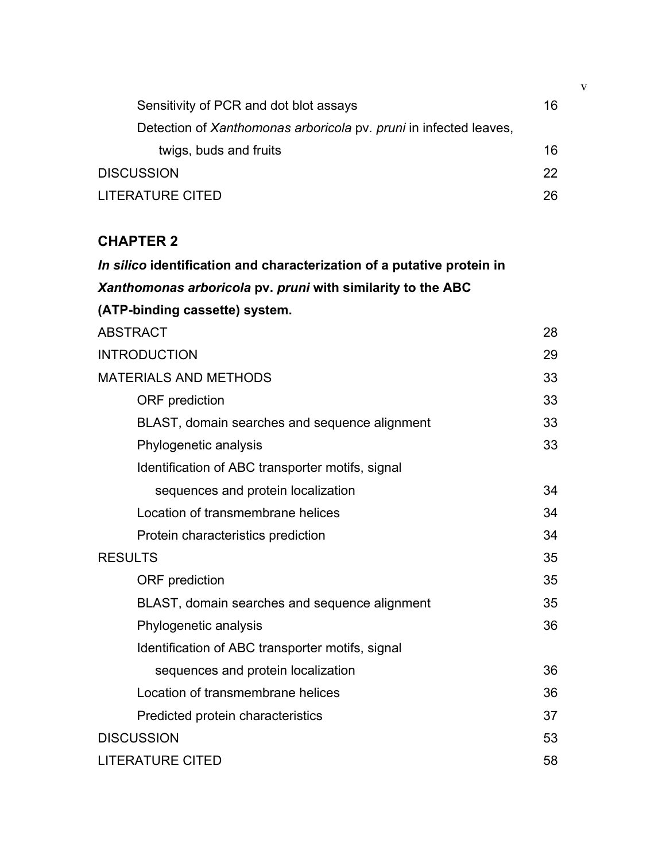| Sensitivity of PCR and dot blot assays                            | 16 |
|-------------------------------------------------------------------|----|
| Detection of Xanthomonas arboricola pv. pruni in infected leaves, |    |
| twigs, buds and fruits                                            | 16 |
| <b>DISCUSSION</b>                                                 | 22 |
| <b>LITERATURE CITED</b>                                           | 26 |

## **CHAPTER 2**

| In silico identification and characterization of a putative protein in |    |
|------------------------------------------------------------------------|----|
| Xanthomonas arboricola pv. pruni with similarity to the ABC            |    |
| (ATP-binding cassette) system.                                         |    |
| <b>ABSTRACT</b>                                                        | 28 |
| <b>INTRODUCTION</b>                                                    | 29 |
| <b>MATERIALS AND METHODS</b>                                           | 33 |
| <b>ORF</b> prediction                                                  | 33 |
| BLAST, domain searches and sequence alignment                          | 33 |
| Phylogenetic analysis                                                  | 33 |
| Identification of ABC transporter motifs, signal                       |    |
| sequences and protein localization                                     | 34 |
| Location of transmembrane helices                                      | 34 |
| Protein characteristics prediction                                     | 34 |
| <b>RESULTS</b>                                                         | 35 |
| <b>ORF</b> prediction                                                  | 35 |
| BLAST, domain searches and sequence alignment                          | 35 |
| Phylogenetic analysis                                                  | 36 |
| Identification of ABC transporter motifs, signal                       |    |
| sequences and protein localization                                     | 36 |
| Location of transmembrane helices                                      | 36 |
| Predicted protein characteristics                                      | 37 |
| <b>DISCUSSION</b>                                                      | 53 |
| <b>LITERATURE CITED</b>                                                | 58 |

v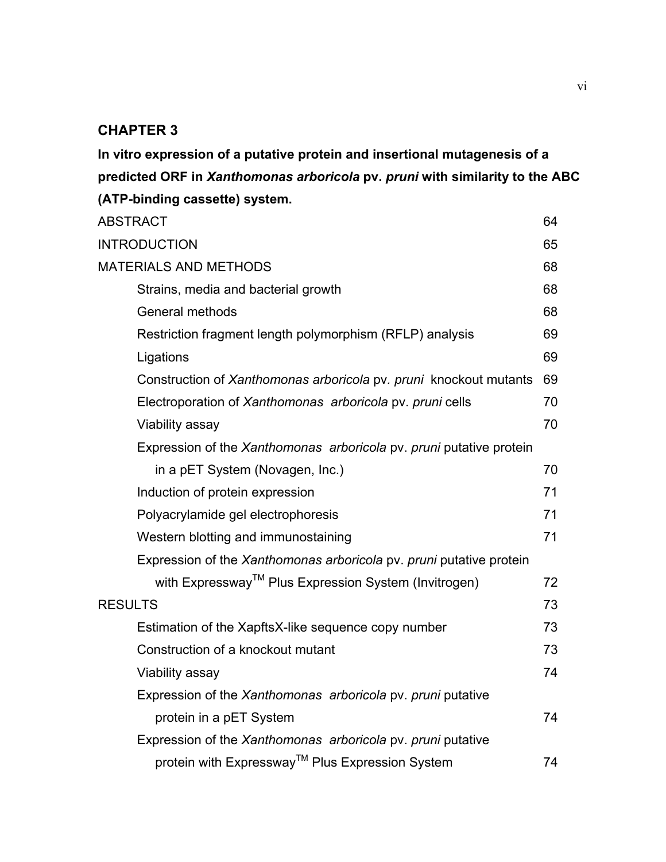## **CHAPTER 3**

**In vitro expression of a putative protein and insertional mutagenesis of a predicted ORF in** *Xanthomonas arboricola* **pv.** *pruni* **with similarity to the ABC (ATP-binding cassette) system.** 

| <b>ABSTRACT</b>                                                     | 64 |
|---------------------------------------------------------------------|----|
| <b>INTRODUCTION</b>                                                 | 65 |
| <b>MATERIALS AND METHODS</b>                                        | 68 |
| Strains, media and bacterial growth                                 | 68 |
| <b>General methods</b>                                              | 68 |
| Restriction fragment length polymorphism (RFLP) analysis            | 69 |
| Ligations                                                           | 69 |
| Construction of Xanthomonas arboricola pv. pruni knockout mutants   | 69 |
| Electroporation of Xanthomonas arboricola pv. pruni cells           | 70 |
| Viability assay                                                     | 70 |
| Expression of the Xanthomonas arboricola pv. pruni putative protein |    |
| in a pET System (Novagen, Inc.)                                     | 70 |
| Induction of protein expression                                     | 71 |
| Polyacrylamide gel electrophoresis                                  | 71 |
| Western blotting and immunostaining                                 | 71 |
| Expression of the Xanthomonas arboricola pv. pruni putative protein |    |
| with Expressway™ Plus Expression System (Invitrogen)                | 72 |
| <b>RESULTS</b>                                                      | 73 |
| Estimation of the XapftsX-like sequence copy number                 | 73 |
| Construction of a knockout mutant                                   | 73 |
| Viability assay                                                     | 74 |
| Expression of the Xanthomonas arboricola pv. pruni putative         |    |
| protein in a pET System                                             | 74 |
| Expression of the Xanthomonas arboricola pv. pruni putative         |    |
| protein with Expressway™ Plus Expression System                     | 74 |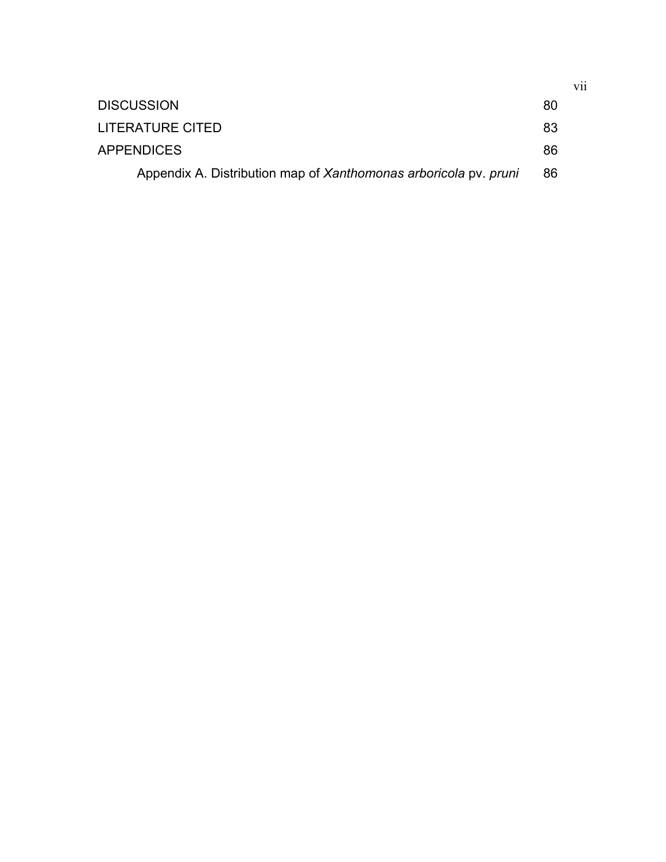| <b>DISCUSSION</b>                                                | 80 |
|------------------------------------------------------------------|----|
| LITERATURE CITED                                                 | 83 |
| <b>APPENDICES</b>                                                | 86 |
| Appendix A. Distribution map of Xanthomonas arboricola pv. pruni | 86 |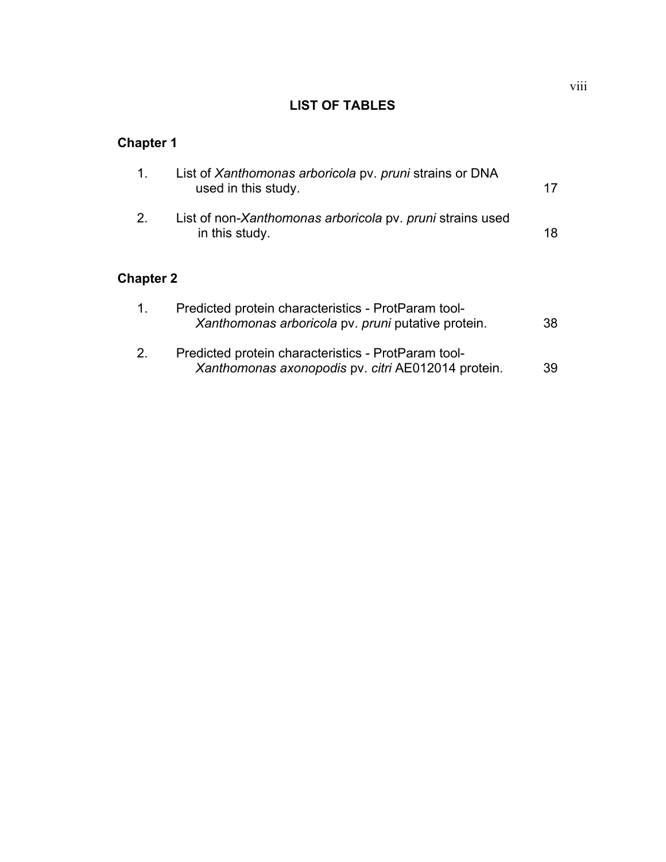## **LIST OF TABLES**

## **Chapter 1**

|                  | List of Xanthomonas arboricola pv. pruni strains or DNA<br>used in this study. |    |
|------------------|--------------------------------------------------------------------------------|----|
| 2                | List of non-Xanthomonas arboricola pv. pruni strains used<br>in this study.    | 18 |
| <b>Chapter 2</b> |                                                                                |    |

| $\mathbf{1}$ | Predicted protein characteristics - ProtParam tool-<br>Xanthomonas arboricola pv. pruni putative protein. | 38 |
|--------------|-----------------------------------------------------------------------------------------------------------|----|
| $2_{-}$      | Predicted protein characteristics - ProtParam tool-<br>Xanthomonas axonopodis pv. citri AE012014 protein. | 39 |

viii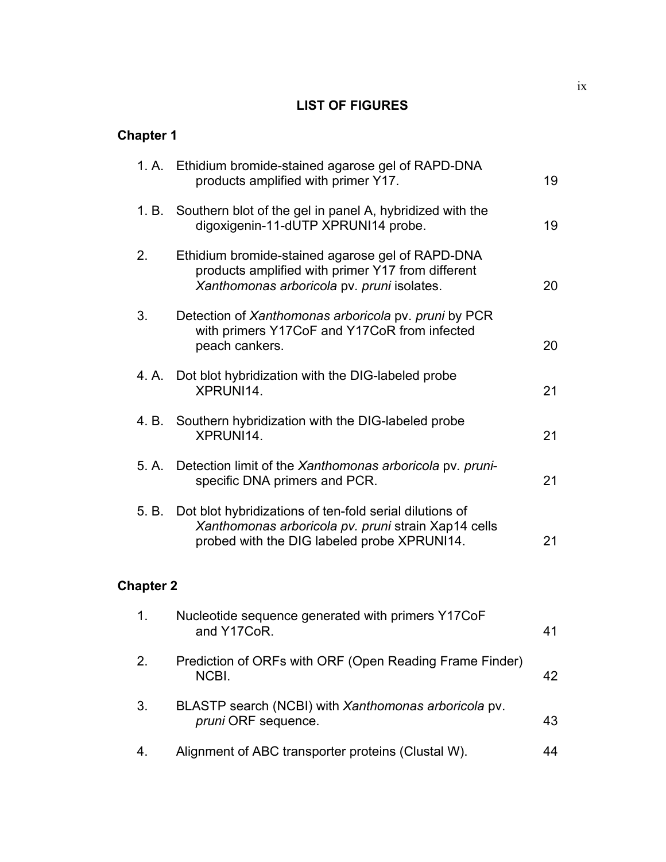## **LIST OF FIGURES**

# **Chapter 1**

|                  | 1. A. Ethidium bromide-stained agarose gel of RAPD-DNA<br>products amplified with primer Y17.                                                                       | 19 |
|------------------|---------------------------------------------------------------------------------------------------------------------------------------------------------------------|----|
|                  | 1. B. Southern blot of the gel in panel A, hybridized with the<br>digoxigenin-11-dUTP XPRUNI14 probe.                                                               | 19 |
| 2.               | Ethidium bromide-stained agarose gel of RAPD-DNA<br>products amplified with primer Y17 from different<br>Xanthomonas arboricola pv. pruni isolates.                 | 20 |
| 3.               | Detection of Xanthomonas arboricola pv. pruni by PCR<br>with primers Y17CoF and Y17CoR from infected<br>peach cankers.                                              | 20 |
|                  | 4. A. Dot blot hybridization with the DIG-labeled probe<br>XPRUNI14.                                                                                                | 21 |
|                  | 4. B. Southern hybridization with the DIG-labeled probe<br>XPRUNI14.                                                                                                | 21 |
|                  | 5. A. Detection limit of the Xanthomonas arboricola pv. pruni-<br>specific DNA primers and PCR.                                                                     | 21 |
|                  | 5. B. Dot blot hybridizations of ten-fold serial dilutions of<br>Xanthomonas arboricola pv. pruni strain Xap14 cells<br>probed with the DIG labeled probe XPRUNI14. | 21 |
| <b>Chapter 2</b> |                                                                                                                                                                     |    |
| 1.               | Nucleotide sequence generated with primers Y17CoF<br>and Y17CoR.                                                                                                    | 41 |
| 2.               | Prediction of ORFs with ORF (Open Reading Frame Finder)<br>NCBI.                                                                                                    | 42 |
| 3.               | BLASTP search (NCBI) with Xanthomonas arboricola pv.<br>pruni ORF sequence.                                                                                         | 43 |
| 4.               | Alignment of ABC transporter proteins (Clustal W).                                                                                                                  | 44 |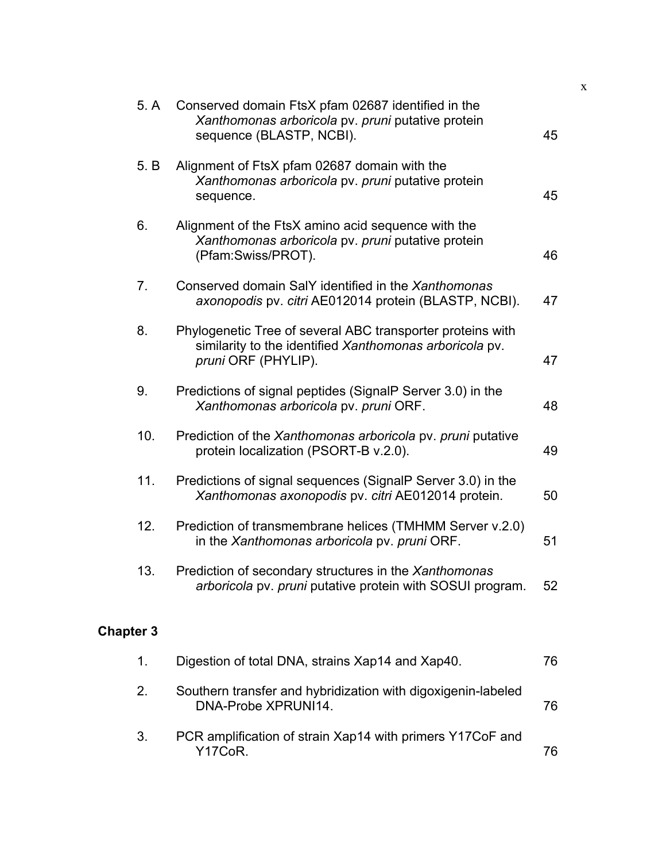| 5. A             | Conserved domain FtsX pfam 02687 identified in the<br>Xanthomonas arboricola pv. pruni putative protein<br>sequence (BLASTP, NCBI).          | 45 |
|------------------|----------------------------------------------------------------------------------------------------------------------------------------------|----|
| 5. B             | Alignment of FtsX pfam 02687 domain with the<br>Xanthomonas arboricola pv. pruni putative protein<br>sequence.                               | 45 |
| 6.               | Alignment of the FtsX amino acid sequence with the<br>Xanthomonas arboricola pv. pruni putative protein<br>(Pfam:Swiss/PROT).                | 46 |
| 7.               | Conserved domain SalY identified in the Xanthomonas<br>axonopodis pv. citri AE012014 protein (BLASTP, NCBI).                                 | 47 |
| 8.               | Phylogenetic Tree of several ABC transporter proteins with<br>similarity to the identified Xanthomonas arboricola pv.<br>pruni ORF (PHYLIP). | 47 |
| 9.               | Predictions of signal peptides (SignalP Server 3.0) in the<br>Xanthomonas arboricola pv. pruni ORF.                                          | 48 |
| 10.              | Prediction of the Xanthomonas arboricola pv. pruni putative<br>protein localization (PSORT-B v.2.0).                                         | 49 |
| 11.              | Predictions of signal sequences (SignalP Server 3.0) in the<br>Xanthomonas axonopodis pv. citri AE012014 protein.                            | 50 |
| 12.              | Prediction of transmembrane helices (TMHMM Server v.2.0)<br>in the Xanthomonas arboricola pv. pruni ORF.                                     | 51 |
| 13.              | Prediction of secondary structures in the Xanthomonas<br>arboricola pv. pruni putative protein with SOSUI program.                           | 52 |
| <b>Chapter 3</b> |                                                                                                                                              |    |
| 1.               | Digestion of total DNA, strains Xap14 and Xap40.                                                                                             | 76 |
| 2.               | Southern transfer and hybridization with digoxigenin-labeled<br>DNA-Probe XPRUNI14.                                                          | 76 |
|                  |                                                                                                                                              |    |

3. PCR amplification of strain Xap14 with primers Y17CoF and Y17CoR. 2012 12:00:00 12:00:00 12:00:00 12:00:00 12:00:00 12:00:00 12:00:00 12:00:00 12:00:00 12:00:00 12:00:0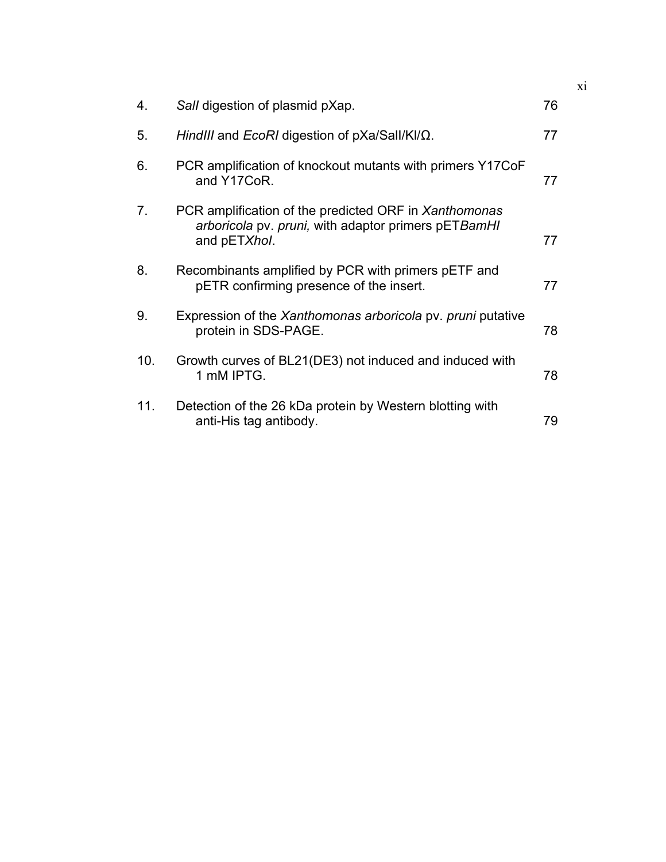| 4.  | Sall digestion of plasmid pXap.                                                                                              | 76 |
|-----|------------------------------------------------------------------------------------------------------------------------------|----|
| 5.  | HindIII and EcoRI digestion of $pXa/Sall/KI/\Omega$ .                                                                        | 77 |
| 6.  | PCR amplification of knockout mutants with primers Y17CoF<br>and Y17CoR.                                                     | 77 |
| 7.  | PCR amplification of the predicted ORF in Xanthomonas<br>arboricola pv. pruni, with adaptor primers pETBamHI<br>and pETXhol. | 77 |
| 8.  | Recombinants amplified by PCR with primers pETF and<br>pETR confirming presence of the insert.                               | 77 |
| 9.  | Expression of the Xanthomonas arboricola pv. pruni putative<br>protein in SDS-PAGE.                                          | 78 |
| 10. | Growth curves of BL21(DE3) not induced and induced with<br>1 mM IPTG.                                                        | 78 |
| 11. | Detection of the 26 kDa protein by Western blotting with<br>anti-His tag antibody.                                           | 79 |

xi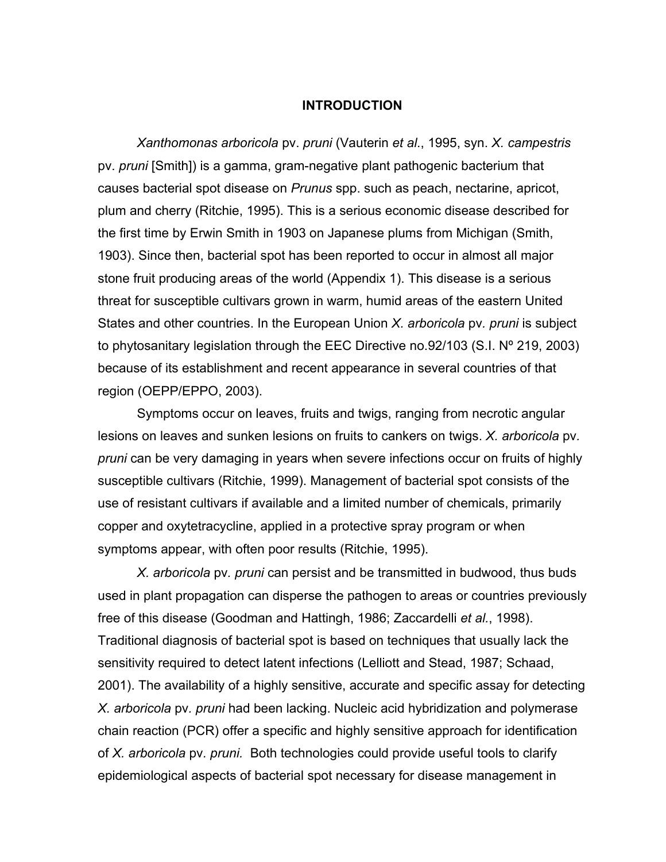### **INTRODUCTION**

 *Xanthomonas arboricola* pv. *pruni* (Vauterin *et al*., 1995, syn. *X. campestris* pv. *pruni* [Smith]) is a gamma, gram-negative plant pathogenic bacterium that causes bacterial spot disease on *Prunus* spp. such as peach, nectarine, apricot, plum and cherry (Ritchie, 1995). This is a serious economic disease described for the first time by Erwin Smith in 1903 on Japanese plums from Michigan (Smith, 1903). Since then, bacterial spot has been reported to occur in almost all major stone fruit producing areas of the world (Appendix 1). This disease is a serious threat for susceptible cultivars grown in warm, humid areas of the eastern United States and other countries. In the European Union *X. arboricola* pv*. pruni* is subject to phytosanitary legislation through the EEC Directive no.92/103 (S.I. Nº 219, 2003) because of its establishment and recent appearance in several countries of that region (OEPP/EPPO, 2003).

Symptoms occur on leaves, fruits and twigs, ranging from necrotic angular lesions on leaves and sunken lesions on fruits to cankers on twigs. *X. arboricola* pv*. pruni* can be very damaging in years when severe infections occur on fruits of highly susceptible cultivars (Ritchie, 1999). Management of bacterial spot consists of the use of resistant cultivars if available and a limited number of chemicals, primarily copper and oxytetracycline, applied in a protective spray program or when symptoms appear, with often poor results (Ritchie, 1995).

 *X. arboricola* pv*. pruni* can persist and be transmitted in budwood, thus buds used in plant propagation can disperse the pathogen to areas or countries previously free of this disease (Goodman and Hattingh, 1986; Zaccardelli *et al.*, 1998). Traditional diagnosis of bacterial spot is based on techniques that usually lack the sensitivity required to detect latent infections (Lelliott and Stead, 1987; Schaad, 2001). The availability of a highly sensitive, accurate and specific assay for detecting *X. arboricola* pv*. pruni* had been lacking. Nucleic acid hybridization and polymerase chain reaction (PCR) offer a specific and highly sensitive approach for identification of *X. arboricola* pv*. pruni.* Both technologies could provide useful tools to clarify epidemiological aspects of bacterial spot necessary for disease management in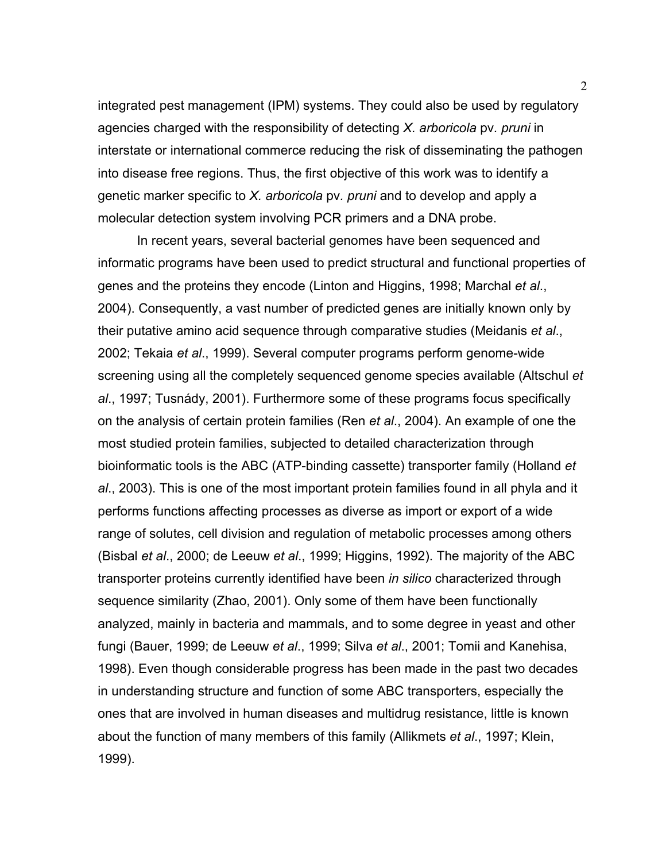integrated pest management (IPM) systems. They could also be used by regulatory agencies charged with the responsibility of detecting *X. arboricola* pv*. pruni* in interstate or international commerce reducing the risk of disseminating the pathogen into disease free regions. Thus, the first objective of this work was to identify a genetic marker specific to *X. arboricola* pv*. pruni* and to develop and apply a molecular detection system involving PCR primers and a DNA probe.

 In recent years, several bacterial genomes have been sequenced and informatic programs have been used to predict structural and functional properties of genes and the proteins they encode (Linton and Higgins, 1998; Marchal *et al*., 2004). Consequently, a vast number of predicted genes are initially known only by their putative amino acid sequence through comparative studies (Meidanis *et al*., 2002; Tekaia *et al*., 1999). Several computer programs perform genome-wide screening using all the completely sequenced genome species available (Altschul *et al*., 1997; Tusnády, 2001). Furthermore some of these programs focus specifically on the analysis of certain protein families (Ren *et al*., 2004). An example of one the most studied protein families, subjected to detailed characterization through bioinformatic tools is the ABC (ATP-binding cassette) transporter family (Holland *et al*., 2003). This is one of the most important protein families found in all phyla and it performs functions affecting processes as diverse as import or export of a wide range of solutes, cell division and regulation of metabolic processes among others (Bisbal *et al*., 2000; de Leeuw *et al*., 1999; Higgins, 1992). The majority of the ABC transporter proteins currently identified have been *in silico* characterized through sequence similarity (Zhao, 2001). Only some of them have been functionally analyzed, mainly in bacteria and mammals, and to some degree in yeast and other fungi (Bauer, 1999; de Leeuw *et al*., 1999; Silva *et al*., 2001; Tomii and Kanehisa, 1998). Even though considerable progress has been made in the past two decades in understanding structure and function of some ABC transporters, especially the ones that are involved in human diseases and multidrug resistance, little is known about the function of many members of this family (Allikmets *et al*., 1997; Klein, 1999).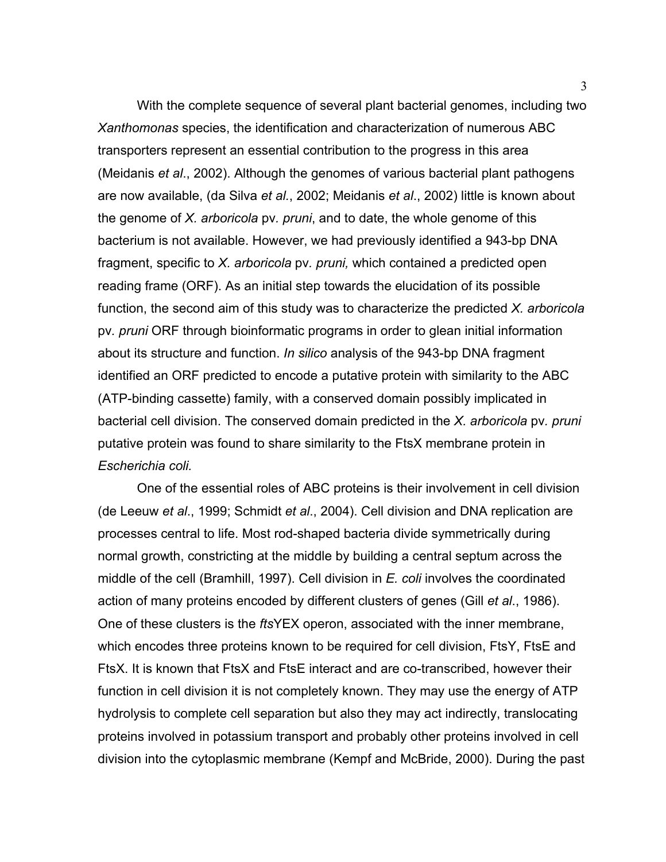With the complete sequence of several plant bacterial genomes, including two *Xanthomonas* species, the identification and characterization of numerous ABC transporters represent an essential contribution to the progress in this area (Meidanis *et al*., 2002). Although the genomes of various bacterial plant pathogens are now available, (da Silva *et al.*, 2002; Meidanis *et al*., 2002) little is known about the genome of *X. arboricola* pv*. pruni*, and to date, the whole genome of this bacterium is not available. However, we had previously identified a 943-bp DNA fragment, specific to *X. arboricola* pv*. pruni,* which contained a predicted open reading frame (ORF). As an initial step towards the elucidation of its possible function, the second aim of this study was to characterize the predicted *X. arboricola*  pv*. pruni* ORF through bioinformatic programs in order to glean initial information about its structure and function. *In silico* analysis of the 943-bp DNA fragment identified an ORF predicted to encode a putative protein with similarity to the ABC (ATP-binding cassette) family, with a conserved domain possibly implicated in bacterial cell division. The conserved domain predicted in the *X. arboricola* pv*. pruni* putative protein was found to share similarity to the FtsX membrane protein in *Escherichia coli.*

 One of the essential roles of ABC proteins is their involvement in cell division (de Leeuw *et al*., 1999; Schmidt *et al*., 2004). Cell division and DNA replication are processes central to life. Most rod-shaped bacteria divide symmetrically during normal growth, constricting at the middle by building a central septum across the middle of the cell (Bramhill, 1997). Cell division in *E. coli* involves the coordinated action of many proteins encoded by different clusters of genes (Gill *et al*., 1986). One of these clusters is the *fts*YEX operon, associated with the inner membrane, which encodes three proteins known to be required for cell division, FtsY, FtsE and FtsX. It is known that FtsX and FtsE interact and are co-transcribed, however their function in cell division it is not completely known. They may use the energy of ATP hydrolysis to complete cell separation but also they may act indirectly, translocating proteins involved in potassium transport and probably other proteins involved in cell division into the cytoplasmic membrane (Kempf and McBride, 2000). During the past

3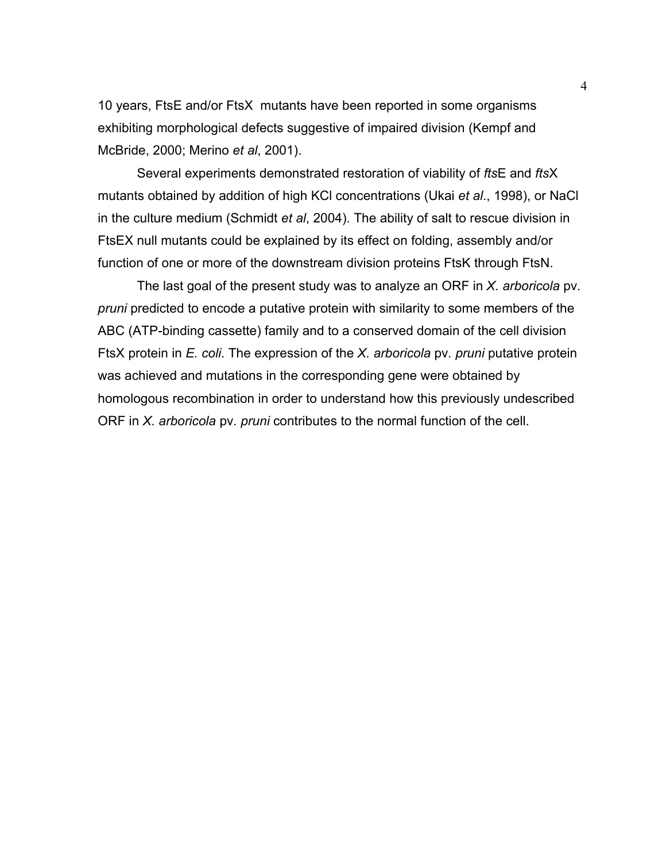10 years, FtsE and/or FtsX mutants have been reported in some organisms exhibiting morphological defects suggestive of impaired division (Kempf and McBride, 2000; Merino *et al*, 2001).

 Several experiments demonstrated restoration of viability of *fts*E and *fts*X mutants obtained by addition of high KCl concentrations (Ukai *et al*., 1998), or NaCl in the culture medium (Schmidt *et al*, 2004). The ability of salt to rescue division in FtsEX null mutants could be explained by its effect on folding, assembly and/or function of one or more of the downstream division proteins FtsK through FtsN.

 The last goal of the present study was to analyze an ORF in *X. arboricola* pv*. pruni* predicted to encode a putative protein with similarity to some members of the ABC (ATP-binding cassette) family and to a conserved domain of the cell division FtsX protein in *E. coli*. The expression of the *X. arboricola* pv*. pruni* putative protein was achieved and mutations in the corresponding gene were obtained by homologous recombination in order to understand how this previously undescribed ORF in *X. arboricola* pv*. pruni* contributes to the normal function of the cell.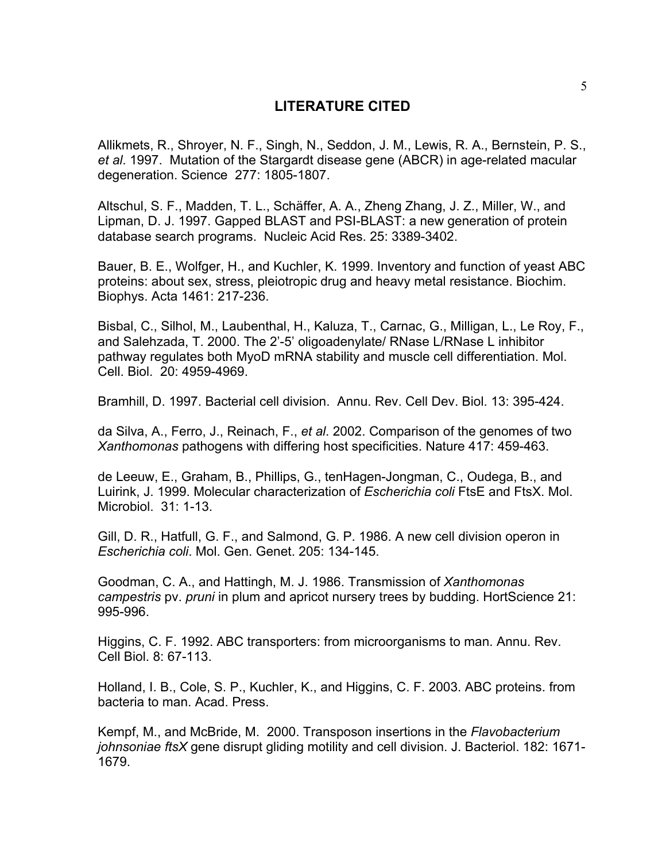### **LITERATURE CITED**

Allikmets, R., Shroyer, N. F., Singh, N., Seddon, J. M., Lewis, R. A., Bernstein, P. S., *et al*. 1997. Mutation of the Stargardt disease gene (ABCR) in age-related macular degeneration. Science 277: 1805-1807.

Altschul, S. F., Madden, T. L., Schäffer, A. A., Zheng Zhang, J. Z., Miller, W., and Lipman, D. J. 1997. Gapped BLAST and PSI-BLAST: a new generation of protein database search programs. Nucleic Acid Res. 25: 3389-3402.

Bauer, B. E., Wolfger, H., and Kuchler, K. 1999. Inventory and function of yeast ABC proteins: about sex, stress, pleiotropic drug and heavy metal resistance. Biochim. Biophys. Acta 1461: 217-236.

Bisbal, C., Silhol, M., Laubenthal, H., Kaluza, T., Carnac, G., Milligan, L., Le Roy, F., and Salehzada, T. 2000. The 2'-5' oligoadenylate/ RNase L/RNase L inhibitor pathway regulates both MyoD mRNA stability and muscle cell differentiation. Mol. Cell. Biol. 20: 4959-4969.

Bramhill, D. 1997. Bacterial cell division. Annu. Rev. Cell Dev. Biol. 13: 395-424.

da Silva, A., Ferro, J., Reinach, F., *et al*. 2002. Comparison of the genomes of two *Xanthomonas* pathogens with differing host specificities. Nature 417: 459-463.

de Leeuw, E., Graham, B., Phillips, G., tenHagen-Jongman, C., Oudega, B., and Luirink, J. 1999. Molecular characterization of *Escherichia coli* FtsE and FtsX. Mol. Microbiol. 31: 1-13.

Gill, D. R., Hatfull, G. F., and Salmond, G. P. 1986. A new cell division operon in *Escherichia coli*. Mol. Gen. Genet. 205: 134-145.

Goodman, C. A., and Hattingh, M. J. 1986. Transmission of *Xanthomonas campestris* pv. *pruni* in plum and apricot nursery trees by budding. HortScience 21: 995-996.

Higgins, C. F. 1992. ABC transporters: from microorganisms to man. Annu. Rev. Cell Biol. 8: 67-113.

Holland, I. B., Cole, S. P., Kuchler, K., and Higgins, C. F. 2003. ABC proteins. from bacteria to man. Acad. Press.

Kempf, M., and McBride, M. 2000. Transposon insertions in the *Flavobacterium johnsoniae ftsX* gene disrupt gliding motility and cell division. J. Bacteriol. 182: 1671- 1679.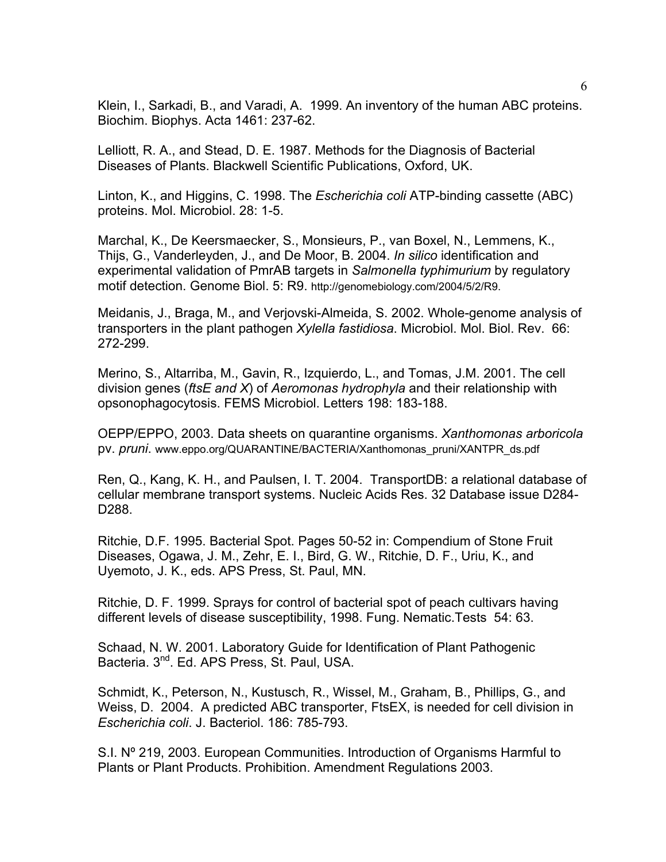Klein, I., Sarkadi, B., and Varadi, A. 1999. An inventory of the human ABC proteins. Biochim. Biophys. Acta 1461: 237-62.

Lelliott, R. A., and Stead, D. E. 1987. Methods for the Diagnosis of Bacterial Diseases of Plants. Blackwell Scientific Publications, Oxford, UK.

Linton, K., and Higgins, C. 1998. The *Escherichia coli* ATP-binding cassette (ABC) proteins. Mol. Microbiol. 28: 1-5.

Marchal, K., De Keersmaecker, S., Monsieurs, P., van Boxel, N., Lemmens, K., Thijs, G., Vanderleyden, J., and De Moor, B. 2004. *In silico* identification and experimental validation of PmrAB targets in *Salmonella typhimurium* by regulatory motif detection. Genome Biol. 5: R9. http://genomebiology.com/2004/5/2/R9.

Meidanis, J., Braga, M., and Verjovski-Almeida, S. 2002. Whole-genome analysis of transporters in the plant pathogen *Xylella fastidiosa*. Microbiol. Mol. Biol. Rev. 66: 272-299.

Merino, S., Altarriba, M., Gavin, R., Izquierdo, L., and Tomas, J.M. 2001. The cell division genes (*ftsE and X*) of *Aeromonas hydrophyla* and their relationship with opsonophagocytosis. FEMS Microbiol. Letters 198: 183-188.

OEPP/EPPO, 2003. Data sheets on quarantine organisms. *Xanthomonas arboricola*  pv. *pruni*. www.eppo.org/QUARANTINE/BACTERIA/Xanthomonas\_pruni/XANTPR\_ds.pdf

Ren, Q., Kang, K. H., and Paulsen, I. T. 2004. TransportDB: a relational database of cellular membrane transport systems. Nucleic Acids Res. 32 Database issue D284- D288.

Ritchie, D.F. 1995. Bacterial Spot. Pages 50-52 in: Compendium of Stone Fruit Diseases, Ogawa, J. M., Zehr, E. I., Bird, G. W., Ritchie, D. F., Uriu, K., and Uyemoto, J. K., eds. APS Press, St. Paul, MN.

Ritchie, D. F. 1999. Sprays for control of bacterial spot of peach cultivars having different levels of disease susceptibility, 1998. Fung. Nematic.Tests 54: 63.

Schaad, N. W. 2001. Laboratory Guide for Identification of Plant Pathogenic Bacteria. 3<sup>nd</sup>. Ed. APS Press, St. Paul, USA.

Schmidt, K., Peterson, N., Kustusch, R., Wissel, M., Graham, B., Phillips, G., and Weiss, D. 2004. A predicted ABC transporter, FtsEX, is needed for cell division in *Escherichia coli*. J. Bacteriol. 186: 785-793.

S.I. Nº 219, 2003. European Communities. Introduction of Organisms Harmful to Plants or Plant Products. Prohibition. Amendment Regulations 2003.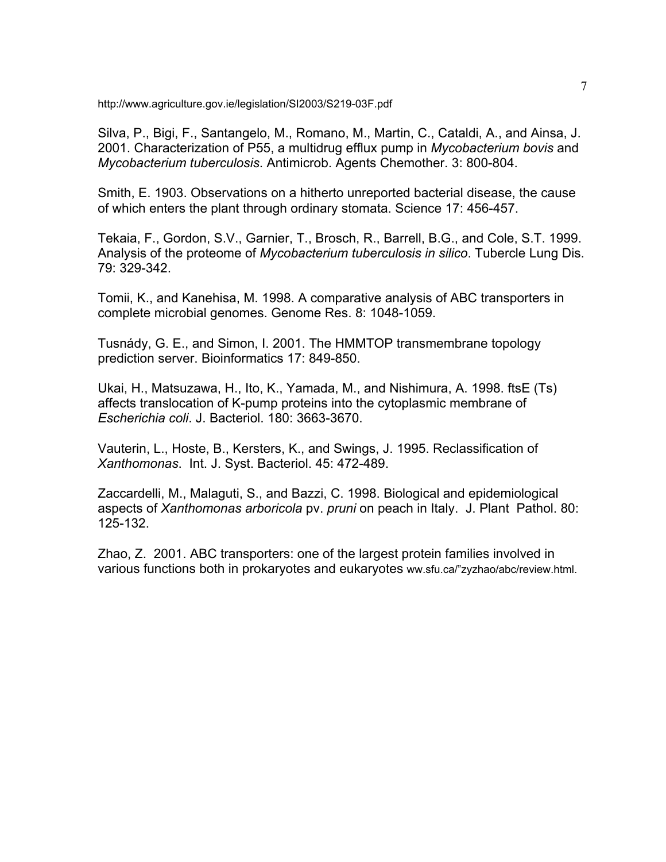http://www.agriculture.gov.ie/legislation/SI2003/S219-03F.pdf

Silva, P., Bigi, F., Santangelo, M., Romano, M., Martin, C., Cataldi, A., and Ainsa, J. 2001. Characterization of P55, a multidrug efflux pump in *Mycobacterium bovis* and *Mycobacterium tuberculosis*. Antimicrob. Agents Chemother. 3: 800-804.

Smith, E. 1903. Observations on a hitherto unreported bacterial disease, the cause of which enters the plant through ordinary stomata. Science 17: 456-457.

Tekaia, F., Gordon, S.V., Garnier, T., Brosch, R., Barrell, B.G., and Cole, S.T. 1999. Analysis of the proteome of *Mycobacterium tuberculosis in silico*. Tubercle Lung Dis. 79: 329-342.

Tomii, K., and Kanehisa, M. 1998. A comparative analysis of ABC transporters in complete microbial genomes. Genome Res. 8: 1048-1059.

Tusnády, G. E., and Simon, I. 2001. The HMMTOP transmembrane topology prediction server. Bioinformatics 17: 849-850.

Ukai, H., Matsuzawa, H., Ito, K., Yamada, M., and Nishimura, A. 1998. ftsE (Ts) affects translocation of K-pump proteins into the cytoplasmic membrane of *Escherichia coli*. J. Bacteriol. 180: 3663-3670.

Vauterin, L., Hoste, B., Kersters, K., and Swings, J. 1995. Reclassification of *Xanthomonas*. Int. J. Syst. Bacteriol. 45: 472-489.

Zaccardelli, M., Malaguti, S., and Bazzi, C. 1998. Biological and epidemiological aspects of *Xanthomonas arboricola* pv. *pruni* on peach in Italy. J. Plant Pathol. 80: 125-132.

Zhao, Z. 2001. ABC transporters: one of the largest protein families involved in various functions both in prokaryotes and eukaryotes ww.sfu.ca/"zyzhao/abc/review.html.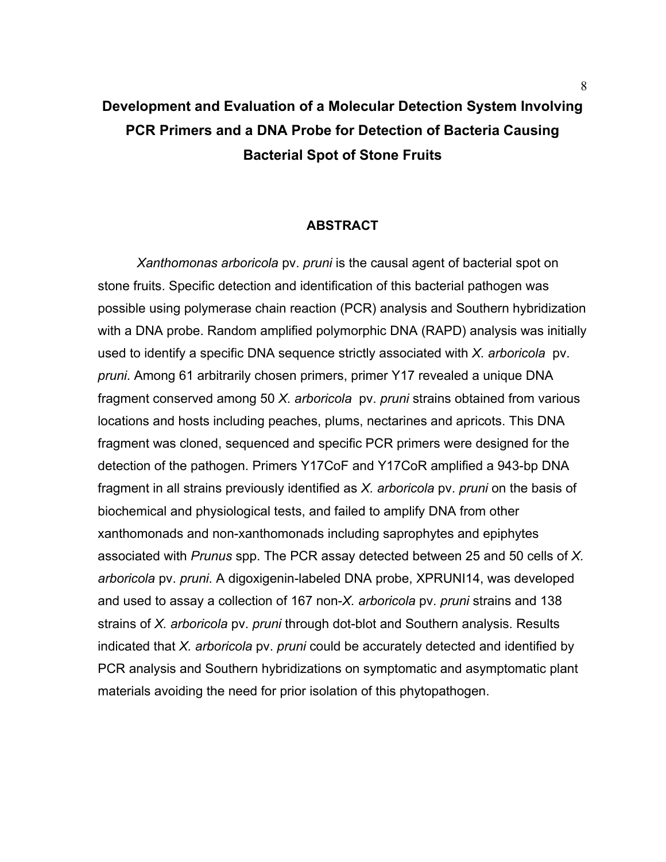# **Development and Evaluation of a Molecular Detection System Involving PCR Primers and a DNA Probe for Detection of Bacteria Causing Bacterial Spot of Stone Fruits**

### **ABSTRACT**

 *Xanthomonas arboricola* pv. *pruni* is the causal agent of bacterial spot on stone fruits. Specific detection and identification of this bacterial pathogen was possible using polymerase chain reaction (PCR) analysis and Southern hybridization with a DNA probe. Random amplified polymorphic DNA (RAPD) analysis was initially used to identify a specific DNA sequence strictly associated with *X. arboricola* pv. *pruni*. Among 61 arbitrarily chosen primers, primer Y17 revealed a unique DNA fragment conserved among 50 *X. arboricola* pv. *pruni* strains obtained from various locations and hosts including peaches, plums, nectarines and apricots. This DNA fragment was cloned, sequenced and specific PCR primers were designed for the detection of the pathogen. Primers Y17CoF and Y17CoR amplified a 943-bp DNA fragment in all strains previously identified as *X. arboricola* pv. *pruni* on the basis of biochemical and physiological tests, and failed to amplify DNA from other xanthomonads and non-xanthomonads including saprophytes and epiphytes associated with *Prunus* spp. The PCR assay detected between 25 and 50 cells of *X. arboricola* pv. *pruni*. A digoxigenin-labeled DNA probe, XPRUNI14, was developed and used to assay a collection of 167 non-*X. arboricola* pv. *pruni* strains and 138 strains of *X. arboricola* pv. *pruni* through dot-blot and Southern analysis. Results indicated that *X. arboricola* pv. *pruni* could be accurately detected and identified by PCR analysis and Southern hybridizations on symptomatic and asymptomatic plant materials avoiding the need for prior isolation of this phytopathogen.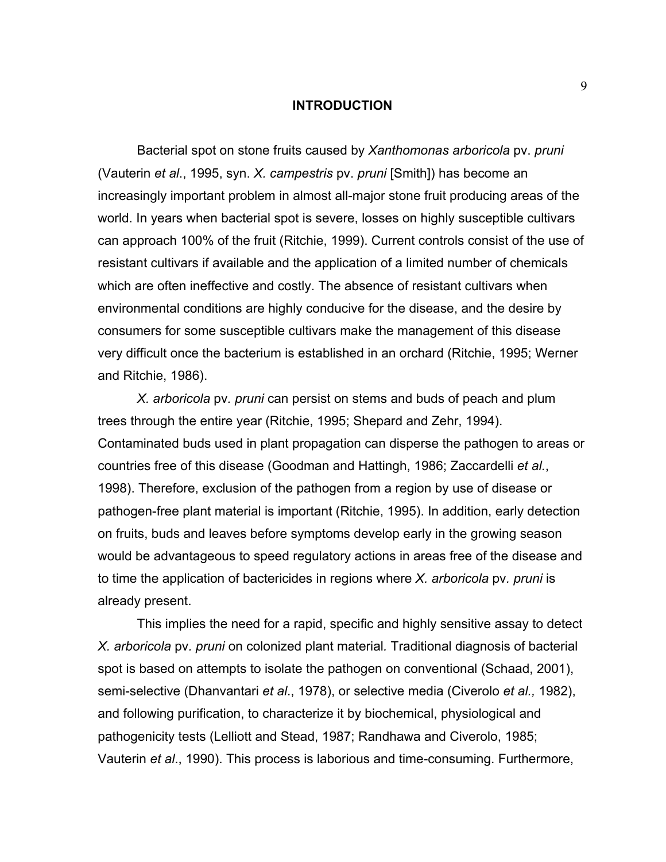### **INTRODUCTION**

 Bacterial spot on stone fruits caused by *Xanthomonas arboricola* pv. *pruni* (Vauterin *et al*., 1995, syn. *X. campestris* pv. *pruni* [Smith]) has become an increasingly important problem in almost all-major stone fruit producing areas of the world. In years when bacterial spot is severe, losses on highly susceptible cultivars can approach 100% of the fruit (Ritchie, 1999). Current controls consist of the use of resistant cultivars if available and the application of a limited number of chemicals which are often ineffective and costly. The absence of resistant cultivars when environmental conditions are highly conducive for the disease, and the desire by consumers for some susceptible cultivars make the management of this disease very difficult once the bacterium is established in an orchard (Ritchie, 1995; Werner and Ritchie, 1986).

*X. arboricola* pv*. pruni* can persist on stems and buds of peach and plum trees through the entire year (Ritchie, 1995; Shepard and Zehr, 1994). Contaminated buds used in plant propagation can disperse the pathogen to areas or countries free of this disease (Goodman and Hattingh, 1986; Zaccardelli *et al.*, 1998). Therefore, exclusion of the pathogen from a region by use of disease or pathogen-free plant material is important (Ritchie, 1995). In addition, early detection on fruits, buds and leaves before symptoms develop early in the growing season would be advantageous to speed regulatory actions in areas free of the disease and to time the application of bactericides in regions where *X. arboricola* pv*. pruni* is already present.

This implies the need for a rapid, specific and highly sensitive assay to detect *X. arboricola* pv*. pruni* on colonized plant material*.* Traditional diagnosis of bacterial spot is based on attempts to isolate the pathogen on conventional (Schaad, 2001), semi-selective (Dhanvantari *et al*., 1978), or selective media (Civerolo *et al.,* 1982), and following purification, to characterize it by biochemical, physiological and pathogenicity tests (Lelliott and Stead, 1987; Randhawa and Civerolo, 1985; Vauterin *et al*., 1990). This process is laborious and time-consuming. Furthermore,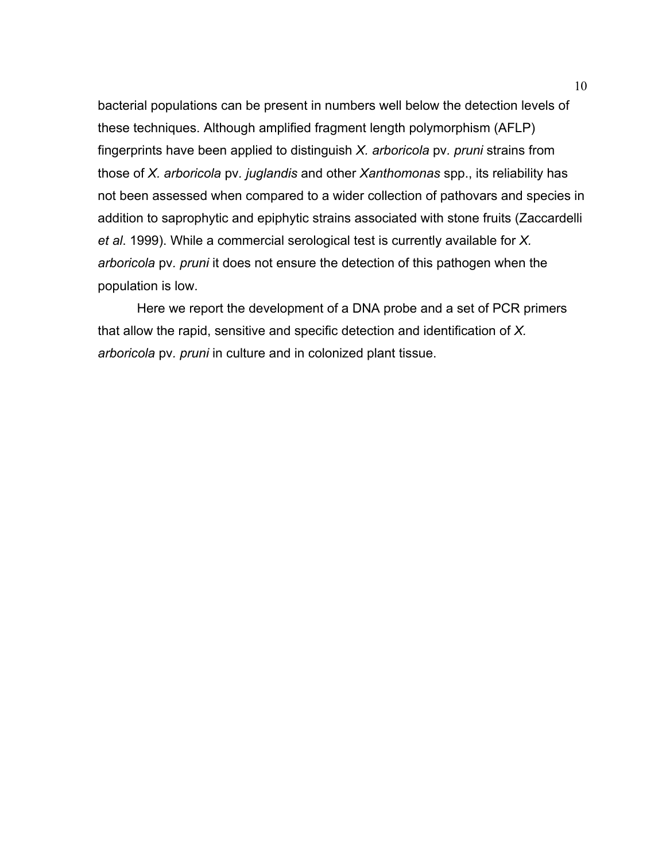bacterial populations can be present in numbers well below the detection levels of these techniques. Although amplified fragment length polymorphism (AFLP) fingerprints have been applied to distinguish *X. arboricola* pv*. pruni* strains from those of *X. arboricola* pv*. juglandis* and other *Xanthomonas* spp., its reliability has not been assessed when compared to a wider collection of pathovars and species in addition to saprophytic and epiphytic strains associated with stone fruits (Zaccardelli *et al*. 1999). While a commercial serological test is currently available for *X. arboricola* pv*. pruni* it does not ensure the detection of this pathogen when the population is low.

 Here we report the development of a DNA probe and a set of PCR primers that allow the rapid, sensitive and specific detection and identification of *X. arboricola* pv*. pruni* in culture and in colonized plant tissue.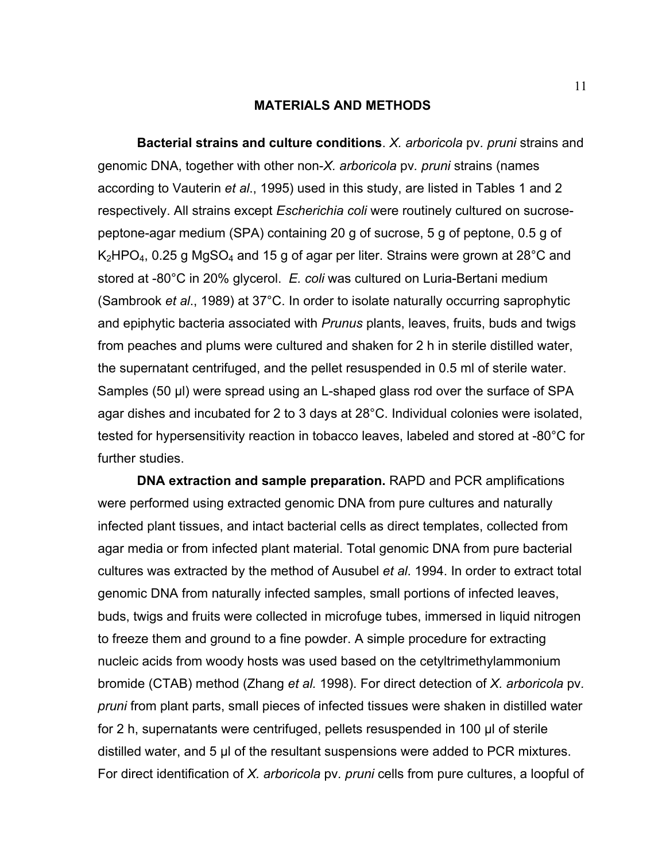### **MATERIALS AND METHODS**

 **Bacterial strains and culture conditions**. *X. arboricola* pv*. pruni* strains and genomic DNA, together with other non-*X. arboricola* pv*. pruni* strains (names according to Vauterin *et al*., 1995) used in this study, are listed in Tables 1 and 2 respectively. All strains except *Escherichia coli* were routinely cultured on sucrosepeptone-agar medium (SPA) containing 20 g of sucrose, 5 g of peptone, 0.5 g of  $K_2$ HPO<sub>4</sub>, 0.25 g MgSO<sub>4</sub> and 15 g of agar per liter. Strains were grown at 28<sup>o</sup>C and stored at -80°C in 20% glycerol. *E. coli* was cultured on Luria-Bertani medium (Sambrook *et al*., 1989) at 37°C. In order to isolate naturally occurring saprophytic and epiphytic bacteria associated with *Prunus* plants, leaves, fruits, buds and twigs from peaches and plums were cultured and shaken for 2 h in sterile distilled water, the supernatant centrifuged, and the pellet resuspended in 0.5 ml of sterile water. Samples (50 µl) were spread using an L-shaped glass rod over the surface of SPA agar dishes and incubated for 2 to 3 days at 28°C. Individual colonies were isolated, tested for hypersensitivity reaction in tobacco leaves, labeled and stored at -80°C for further studies.

 **DNA extraction and sample preparation.** RAPD and PCR amplifications were performed using extracted genomic DNA from pure cultures and naturally infected plant tissues, and intact bacterial cells as direct templates, collected from agar media or from infected plant material. Total genomic DNA from pure bacterial cultures was extracted by the method of Ausubel *et al*. 1994. In order to extract total genomic DNA from naturally infected samples, small portions of infected leaves, buds, twigs and fruits were collected in microfuge tubes, immersed in liquid nitrogen to freeze them and ground to a fine powder. A simple procedure for extracting nucleic acids from woody hosts was used based on the cetyltrimethylammonium bromide (CTAB) method (Zhang *et al.* 1998). For direct detection of *X. arboricola* pv*. pruni* from plant parts, small pieces of infected tissues were shaken in distilled water for 2 h, supernatants were centrifuged, pellets resuspended in 100 µl of sterile distilled water, and 5 µl of the resultant suspensions were added to PCR mixtures. For direct identification of *X. arboricola* pv*. pruni* cells from pure cultures, a loopful of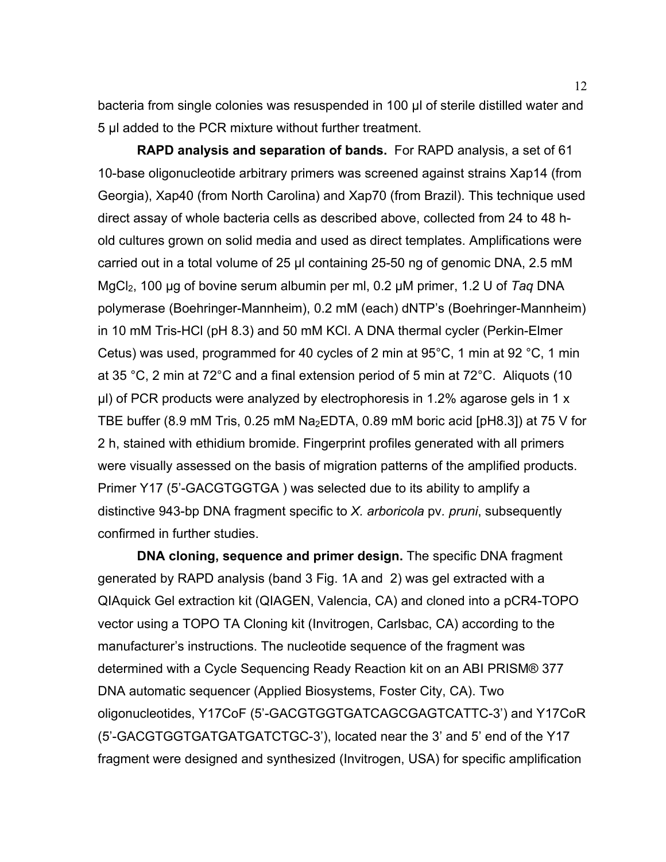bacteria from single colonies was resuspended in 100 µl of sterile distilled water and 5 µl added to the PCR mixture without further treatment.

 **RAPD analysis and separation of bands.** For RAPD analysis, a set of 61 10-base oligonucleotide arbitrary primers was screened against strains Xap14 (from Georgia), Xap40 (from North Carolina) and Xap70 (from Brazil). This technique used direct assay of whole bacteria cells as described above, collected from 24 to 48 hold cultures grown on solid media and used as direct templates. Amplifications were carried out in a total volume of 25 µl containing 25-50 ng of genomic DNA, 2.5 mM MgCl<sub>2</sub>, 100 µg of bovine serum albumin per ml, 0.2 µM primer, 1.2 U of *Taq* DNA polymerase (Boehringer-Mannheim), 0.2 mM (each) dNTP's (Boehringer-Mannheim) in 10 mM Tris-HCl (pH 8.3) and 50 mM KCl. A DNA thermal cycler (Perkin-Elmer Cetus) was used, programmed for 40 cycles of 2 min at 95°C, 1 min at 92 °C, 1 min at 35 °C, 2 min at 72°C and a final extension period of 5 min at 72°C. Aliquots (10 µl) of PCR products were analyzed by electrophoresis in 1.2% agarose gels in 1 x TBE buffer (8.9 mM Tris, 0.25 mM Na<sub>2</sub>EDTA, 0.89 mM boric acid [pH8.3]) at 75 V for 2 h, stained with ethidium bromide. Fingerprint profiles generated with all primers were visually assessed on the basis of migration patterns of the amplified products. Primer Y17 (5'-GACGTGGTGA ) was selected due to its ability to amplify a distinctive 943-bp DNA fragment specific to *X. arboricola* pv*. pruni*, subsequently confirmed in further studies.

 **DNA cloning, sequence and primer design.** The specific DNA fragment generated by RAPD analysis (band 3 Fig. 1A and 2) was gel extracted with a QIAquick Gel extraction kit (QIAGEN, Valencia, CA) and cloned into a pCR4-TOPO vector using a TOPO TA Cloning kit (Invitrogen, Carlsbac, CA) according to the manufacturer's instructions. The nucleotide sequence of the fragment was determined with a Cycle Sequencing Ready Reaction kit on an ABI PRISM® 377 DNA automatic sequencer (Applied Biosystems, Foster City, CA). Two oligonucleotides, Y17CoF (5'-GACGTGGTGATCAGCGAGTCATTC-3') and Y17CoR (5'-GACGTGGTGATGATGATCTGC-3'), located near the 3' and 5' end of the Y17 fragment were designed and synthesized (Invitrogen, USA) for specific amplification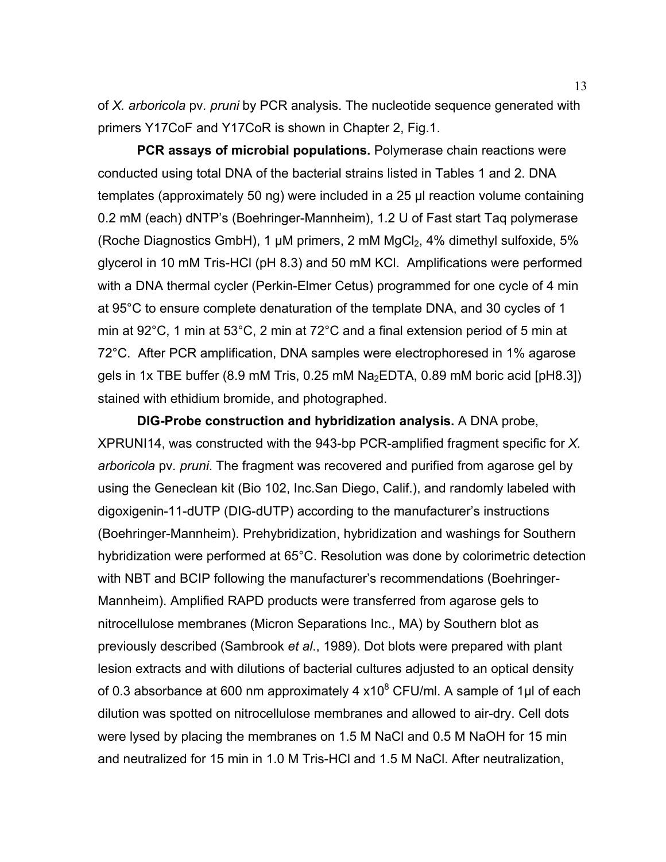of *X. arboricola* pv*. pruni* by PCR analysis. The nucleotide sequence generated with primers Y17CoF and Y17CoR is shown in Chapter 2, Fig.1.

 **PCR assays of microbial populations.** Polymerase chain reactions were conducted using total DNA of the bacterial strains listed in Tables 1 and 2. DNA templates (approximately 50 ng) were included in a 25 µl reaction volume containing 0.2 mM (each) dNTP's (Boehringer-Mannheim), 1.2 U of Fast start Taq polymerase (Roche Diagnostics GmbH), 1  $\mu$ M primers, 2 mM MgCl<sub>2</sub>, 4% dimethyl sulfoxide, 5% glycerol in 10 mM Tris-HCl (pH 8.3) and 50 mM KCl. Amplifications were performed with a DNA thermal cycler (Perkin-Elmer Cetus) programmed for one cycle of 4 min at 95°C to ensure complete denaturation of the template DNA, and 30 cycles of 1 min at 92°C, 1 min at 53°C, 2 min at 72°C and a final extension period of 5 min at 72°C. After PCR amplification, DNA samples were electrophoresed in 1% agarose gels in 1x TBE buffer (8.9 mM Tris, 0.25 mM  $Na<sub>2</sub>EDTA$ , 0.89 mM boric acid [pH8.3]) stained with ethidium bromide, and photographed.

 **DIG-Probe construction and hybridization analysis.** A DNA probe, XPRUNI14, was constructed with the 943-bp PCR-amplified fragment specific for *X. arboricola* pv*. pruni*. The fragment was recovered and purified from agarose gel by using the Geneclean kit (Bio 102, Inc.San Diego, Calif.), and randomly labeled with digoxigenin-11-dUTP (DIG-dUTP) according to the manufacturer's instructions (Boehringer-Mannheim). Prehybridization, hybridization and washings for Southern hybridization were performed at 65°C. Resolution was done by colorimetric detection with NBT and BCIP following the manufacturer's recommendations (Boehringer-Mannheim). Amplified RAPD products were transferred from agarose gels to nitrocellulose membranes (Micron Separations Inc., MA) by Southern blot as previously described (Sambrook *et al*., 1989). Dot blots were prepared with plant lesion extracts and with dilutions of bacterial cultures adjusted to an optical density of 0.3 absorbance at 600 nm approximately 4 x10<sup>8</sup> CFU/ml. A sample of 1µl of each dilution was spotted on nitrocellulose membranes and allowed to air-dry. Cell dots were lysed by placing the membranes on 1.5 M NaCl and 0.5 M NaOH for 15 min and neutralized for 15 min in 1.0 M Tris-HCl and 1.5 M NaCl. After neutralization,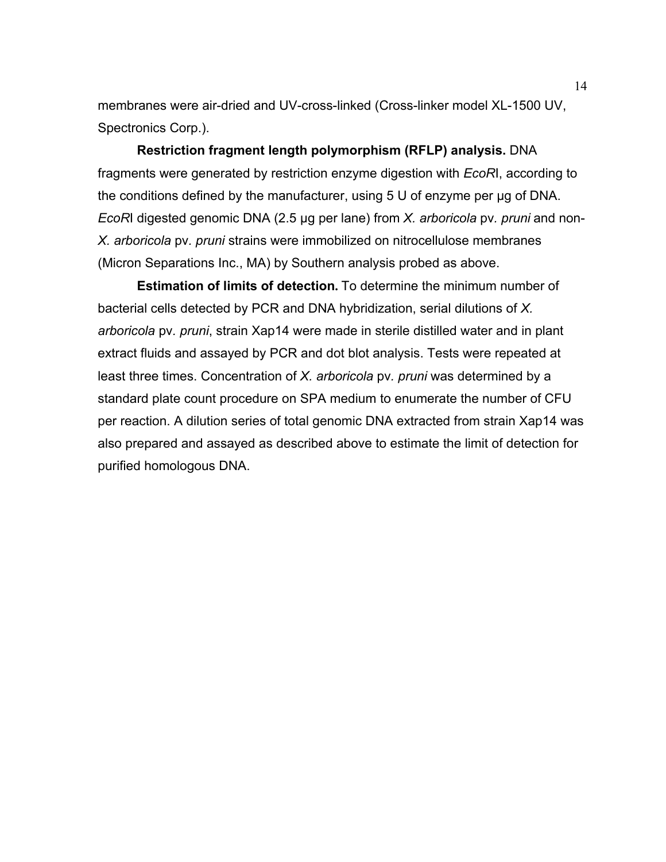membranes were air-dried and UV-cross-linked (Cross-linker model XL-1500 UV, Spectronics Corp.).

 **Restriction fragment length polymorphism (RFLP) analysis.** DNA fragments were generated by restriction enzyme digestion with *EcoR*I, according to the conditions defined by the manufacturer, using 5 U of enzyme per µg of DNA. *EcoR*I digested genomic DNA (2.5 µg per lane) from *X. arboricola* pv*. pruni* and non-*X. arboricola* pv*. pruni* strains were immobilized on nitrocellulose membranes (Micron Separations Inc., MA) by Southern analysis probed as above.

 **Estimation of limits of detection.** To determine the minimum number of bacterial cells detected by PCR and DNA hybridization, serial dilutions of *X. arboricola* pv*. pruni*, strain Xap14 were made in sterile distilled water and in plant extract fluids and assayed by PCR and dot blot analysis. Tests were repeated at least three times. Concentration of *X. arboricola* pv*. pruni* was determined by a standard plate count procedure on SPA medium to enumerate the number of CFU per reaction. A dilution series of total genomic DNA extracted from strain Xap14 was also prepared and assayed as described above to estimate the limit of detection for purified homologous DNA.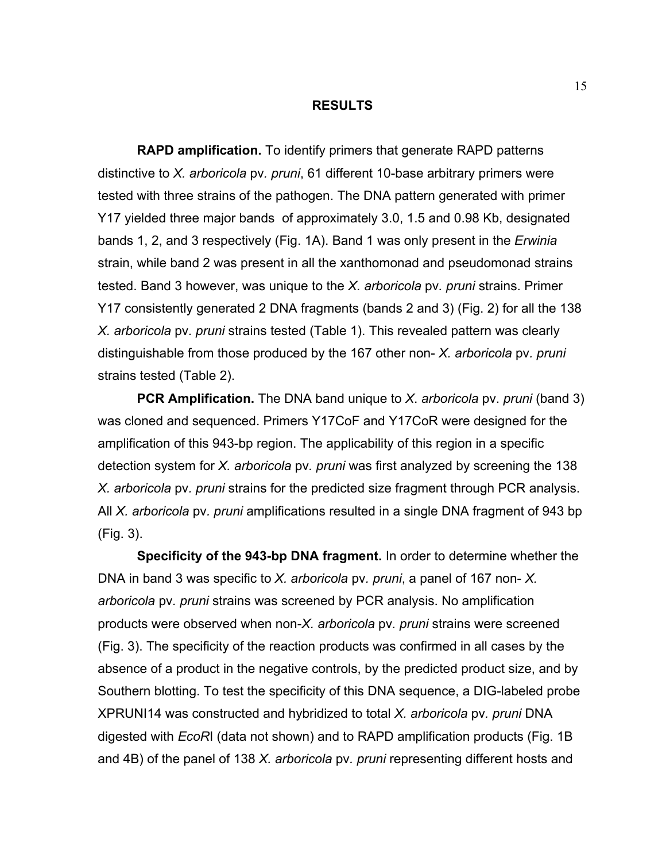#### **RESULTS**

 **RAPD amplification.** To identify primers that generate RAPD patterns distinctive to *X. arboricola* pv*. pruni*, 61 different 10-base arbitrary primers were tested with three strains of the pathogen. The DNA pattern generated with primer Y17 yielded three major bands of approximately 3.0, 1.5 and 0.98 Kb, designated bands 1, 2, and 3 respectively (Fig. 1A). Band 1 was only present in the *Erwinia*  strain, while band 2 was present in all the xanthomonad and pseudomonad strains tested. Band 3 however, was unique to the *X. arboricola* pv*. pruni* strains. Primer Y17 consistently generated 2 DNA fragments (bands 2 and 3) (Fig. 2) for all the 138 *X. arboricola* pv*. pruni* strains tested (Table 1). This revealed pattern was clearly distinguishable from those produced by the 167 other non- *X. arboricola* pv*. pruni* strains tested (Table 2).

 **PCR Amplification.** The DNA band unique to *X*. *arboricola* pv. *pruni* (band 3) was cloned and sequenced. Primers Y17CoF and Y17CoR were designed for the amplification of this 943-bp region. The applicability of this region in a specific detection system for *X. arboricola* pv*. pruni* was first analyzed by screening the 138 *X. arboricola* pv*. pruni* strains for the predicted size fragment through PCR analysis. All *X. arboricola* pv*. pruni* amplifications resulted in a single DNA fragment of 943 bp (Fig. 3).

 **Specificity of the 943-bp DNA fragment.** In order to determine whether the DNA in band 3 was specific to *X. arboricola* pv*. pruni*, a panel of 167 non- *X. arboricola* pv*. pruni* strains was screened by PCR analysis. No amplification products were observed when non-*X. arboricola* pv*. pruni* strains were screened (Fig. 3). The specificity of the reaction products was confirmed in all cases by the absence of a product in the negative controls, by the predicted product size, and by Southern blotting. To test the specificity of this DNA sequence, a DIG-labeled probe XPRUNI14 was constructed and hybridized to total *X. arboricola* pv*. pruni* DNA digested with *EcoR*I (data not shown) and to RAPD amplification products (Fig. 1B and 4B) of the panel of 138 *X. arboricola* pv*. pruni* representing different hosts and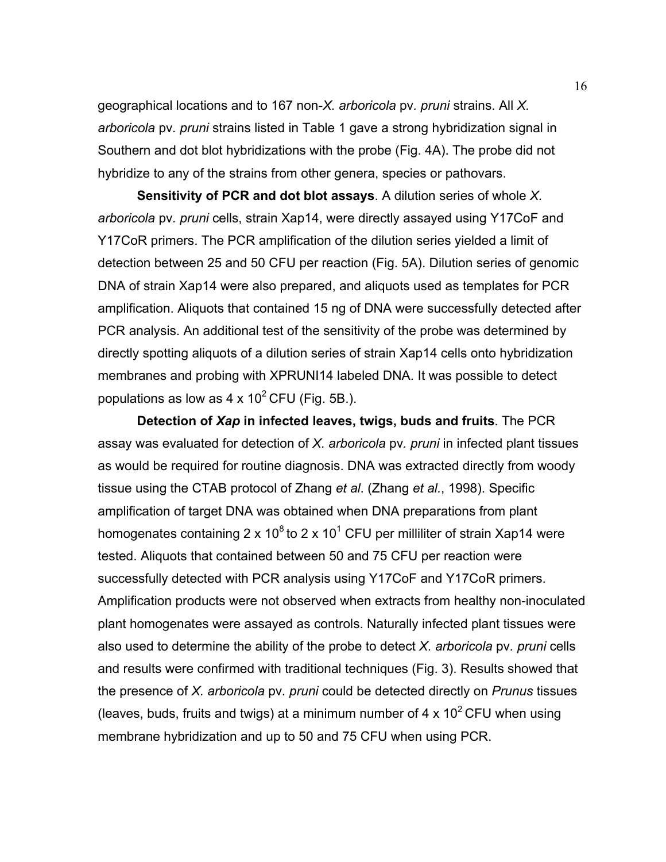geographical locations and to 167 non-*X. arboricola* pv*. pruni* strains. All *X. arboricola* pv*. pruni* strains listed in Table 1 gave a strong hybridization signal in Southern and dot blot hybridizations with the probe (Fig. 4A). The probe did not hybridize to any of the strains from other genera, species or pathovars.

 **Sensitivity of PCR and dot blot assays**. A dilution series of whole *X. arboricola* pv*. pruni* cells, strain Xap14, were directly assayed using Y17CoF and Y17CoR primers. The PCR amplification of the dilution series yielded a limit of detection between 25 and 50 CFU per reaction (Fig. 5A). Dilution series of genomic DNA of strain Xap14 were also prepared, and aliquots used as templates for PCR amplification. Aliquots that contained 15 ng of DNA were successfully detected after PCR analysis. An additional test of the sensitivity of the probe was determined by directly spotting aliquots of a dilution series of strain Xap14 cells onto hybridization membranes and probing with XPRUNI14 labeled DNA. It was possible to detect populations as low as  $4 \times 10^2$  CFU (Fig. 5B.).

 **Detection of** *Xap* **in infected leaves, twigs, buds and fruits**. The PCR assay was evaluated for detection of *X. arboricola* pv*. pruni* in infected plant tissues as would be required for routine diagnosis. DNA was extracted directly from woody tissue using the CTAB protocol of Zhang *et al*. (Zhang *et al.*, 1998). Specific amplification of target DNA was obtained when DNA preparations from plant homogenates containing 2 x 10<sup>8</sup> to 2 x 10<sup>1</sup> CFU per milliliter of strain Xap14 were tested. Aliquots that contained between 50 and 75 CFU per reaction were successfully detected with PCR analysis using Y17CoF and Y17CoR primers. Amplification products were not observed when extracts from healthy non-inoculated plant homogenates were assayed as controls. Naturally infected plant tissues were also used to determine the ability of the probe to detect *X. arboricola* pv*. pruni* cells and results were confirmed with traditional techniques (Fig. 3). Results showed that the presence of *X. arboricola* pv*. pruni* could be detected directly on *Prunus* tissues (leaves, buds, fruits and twigs) at a minimum number of 4 x  $10^2$  CFU when using membrane hybridization and up to 50 and 75 CFU when using PCR.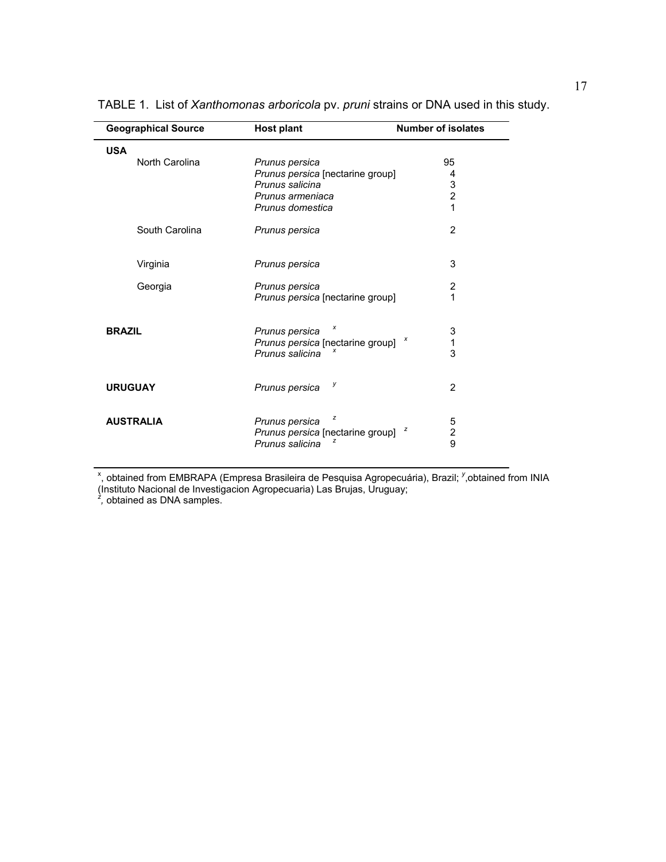| <b>Geographical Source</b> | <b>Host plant</b>                  | <b>Number of isolates</b>    |  |
|----------------------------|------------------------------------|------------------------------|--|
| <b>USA</b>                 |                                    |                              |  |
| North Carolina             | Prunus persica                     | 95                           |  |
|                            | Prunus persica [nectarine group]   | 4                            |  |
|                            | Prunus salicina                    | $\frac{3}{2}$                |  |
|                            | Prunus armeniaca                   |                              |  |
|                            | Prunus domestica                   | 1                            |  |
| South Carolina             | Prunus persica                     | $\overline{2}$               |  |
| Virginia                   | Prunus persica                     | 3                            |  |
| Georgia                    | Prunus persica                     | 2                            |  |
|                            | Prunus persica [nectarine group]   | 1                            |  |
| <b>BRAZIL</b>              | х<br>Prunus persica                | 3                            |  |
|                            | Prunus persica [nectarine group] x | 1                            |  |
|                            | Prunus salicina                    | 3                            |  |
| <b>URUGUAY</b>             | у<br>Prunus persica                | 2                            |  |
| <b>AUSTRALIA</b>           | z<br>Prunus persica                | 5                            |  |
|                            | Prunus persica [nectarine group]   | z<br>$\overline{\mathbf{c}}$ |  |
|                            | Prunus salicina                    | 9                            |  |

TABLE 1. List of *Xanthomonas arboricola* pv. *pruni* strains or DNA used in this study.

x , obtained from EMBRAPA (Empresa Brasileira de Pesquisa Agropecuária), Brazil; *<sup>y</sup>* ,obtained from INIA

(Instituto Nacional de Investigacion Agropecuaria) Las Brujas, Uruguay; *z ,* obtained as DNA samples.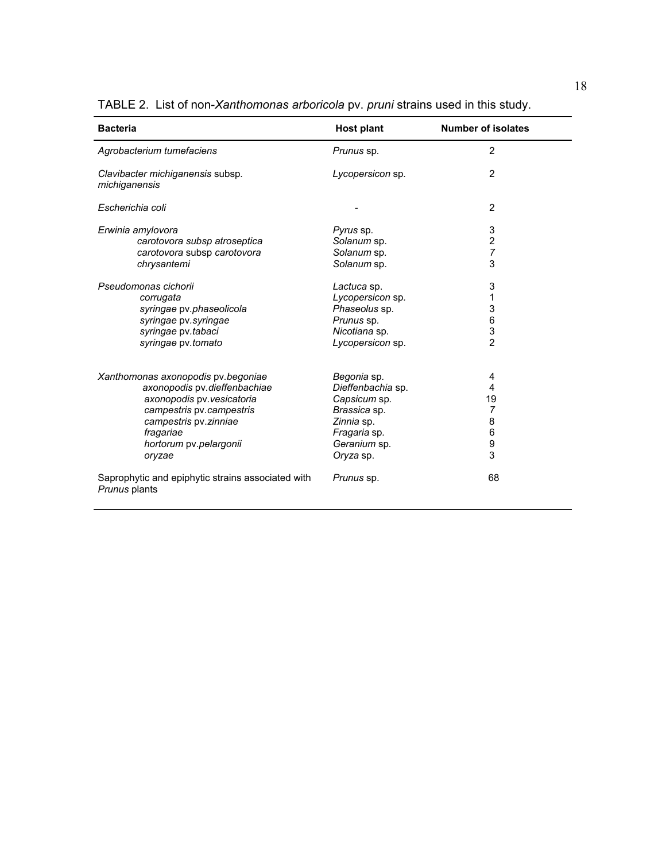| TABLE 2. List of non-Xanthomonas arboricola pv. pruni strains used in this study. |  |  |  |  |  |  |  |
|-----------------------------------------------------------------------------------|--|--|--|--|--|--|--|
|-----------------------------------------------------------------------------------|--|--|--|--|--|--|--|

| <b>Bacteria</b>                                                    | <b>Host plant</b> | <b>Number of isolates</b> |  |
|--------------------------------------------------------------------|-------------------|---------------------------|--|
| Agrobacterium tumefaciens                                          | Prunus sp.        | $\overline{2}$            |  |
| Clavibacter michiganensis subsp.<br>michiganensis                  | Lycopersicon sp.  | $\overline{2}$            |  |
| Escherichia coli                                                   |                   | $\overline{2}$            |  |
| Erwinia amylovora                                                  | Pyrus sp.         | 3                         |  |
| carotovora subsp atroseptica                                       | Solanum sp.       | $\overline{\mathbf{c}}$   |  |
| carotovora subsp carotovora                                        | Solanum sp.       | $\overline{7}$            |  |
| chrysantemi                                                        | Solanum sp.       | 3                         |  |
| Pseudomonas cichorii                                               | Lactuca sp.       | 3                         |  |
| corrugata                                                          | Lycopersicon sp.  | 1                         |  |
| syringae pv.phaseolicola                                           | Phaseolus sp.     | 3                         |  |
| syringae pv.syringae                                               | Prunus sp.        | $\,6$                     |  |
| syringae pv.tabaci                                                 | Nicotiana sp.     | 3                         |  |
| syringae pv.tomato                                                 | Lycopersicon sp.  | $\overline{2}$            |  |
| Xanthomonas axonopodis pv. begoniae                                | Begonia sp.       | 4                         |  |
| axonopodis pv.dieffenbachiae                                       | Dieffenbachia sp. | 4                         |  |
| axonopodis pv. vesicatoria                                         | Capsicum sp.      | 19                        |  |
| campestris pv.campestris                                           | Brassica sp.      | $\overline{7}$            |  |
| campestris pv.zinniae                                              | Zinnia sp.        | 8                         |  |
| fragariae                                                          | Fragaria sp.      | 6                         |  |
| hortorum pv.pelargonii                                             | Geranium sp.      | 9                         |  |
| oryzae                                                             | Oryza sp.         | 3                         |  |
|                                                                    |                   |                           |  |
| Saprophytic and epiphytic strains associated with<br>Prunus plants | Prunus sp.        | 68                        |  |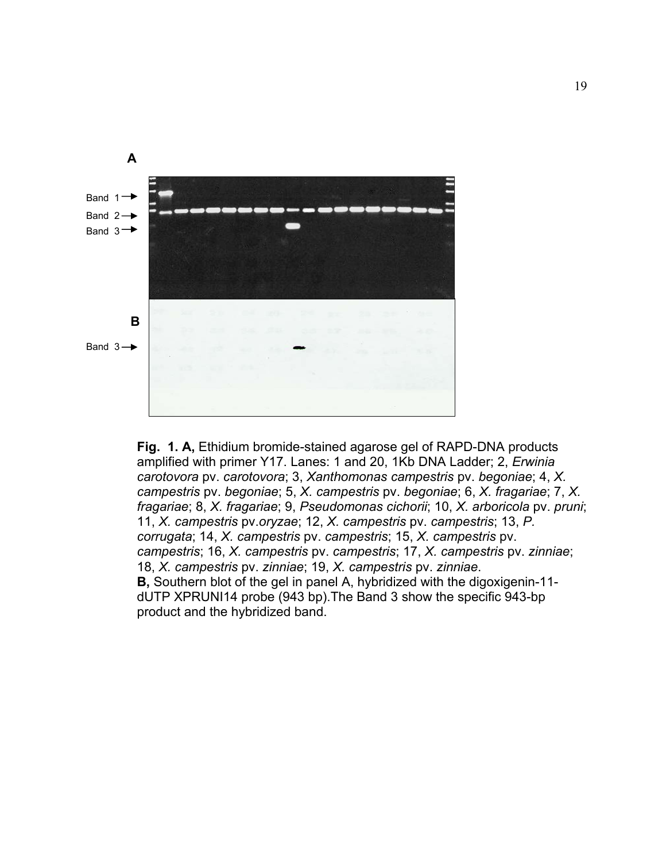

 **Fig. 1. A,** Ethidium bromide-stained agarose gel of RAPD-DNA products amplified with primer Y17. Lanes: 1 and 20, 1Kb DNA Ladder; 2, *Erwinia carotovora* pv. *carotovora*; 3, *Xanthomonas campestris* pv. *begoniae*; 4, *X. campestris* pv. *begoniae*; 5, *X. campestris* pv. *begoniae*; 6, *X. fragariae*; 7, *X. fragariae*; 8, *X. fragariae*; 9, *Pseudomonas cichorii*; 10, *X. arboricola* pv. *pruni*; 11, *X. campestris* pv.*oryzae*; 12, *X. campestris* pv. *campestris*; 13, *P. corrugata*; 14, *X. campestris* pv. *campestris*; 15, *X. campestris* pv. *campestris*; 16, *X. campestris* pv. *campestris*; 17, *X. campestris* pv. *zinniae*; 18, *X. campestris* pv. *zinniae*; 19, *X. campestris* pv. *zinniae*.  **B,** Southern blot of the gel in panel A, hybridized with the digoxigenin-11 dUTP XPRUNI14 probe (943 bp).The Band 3 show the specific 943-bp product and the hybridized band.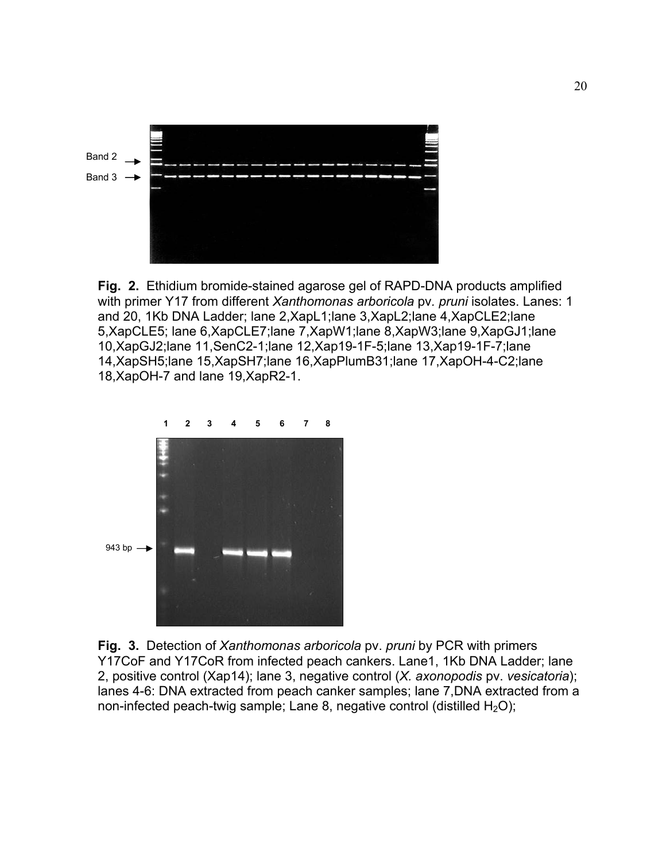

**Fig. 2.** Ethidium bromide-stained agarose gel of RAPD-DNA products amplified with primer Y17 from different *Xanthomonas arboricola* pv*. pruni* isolates. Lanes: 1 and 20, 1Kb DNA Ladder; lane 2,XapL1;lane 3,XapL2;lane 4,XapCLE2;lane 5,XapCLE5; lane 6,XapCLE7;lane 7,XapW1;lane 8,XapW3;lane 9,XapGJ1;lane 10,XapGJ2;lane 11,SenC2-1;lane 12,Xap19-1F-5;lane 13,Xap19-1F-7;lane 14,XapSH5;lane 15,XapSH7;lane 16,XapPlumB31;lane 17,XapOH-4-C2;lane 18,XapOH-7 and lane 19,XapR2-1.



**Fig. 3.** Detection of *Xanthomonas arboricola* pv. *pruni* by PCR with primers Y17CoF and Y17CoR from infected peach cankers. Lane1, 1Kb DNA Ladder; lane 2, positive control (Xap14); lane 3, negative control (*X. axonopodis* pv. *vesicatoria*); lanes 4-6: DNA extracted from peach canker samples; lane 7,DNA extracted from a non-infected peach-twig sample; Lane 8, negative control (distilled  $H_2O$ );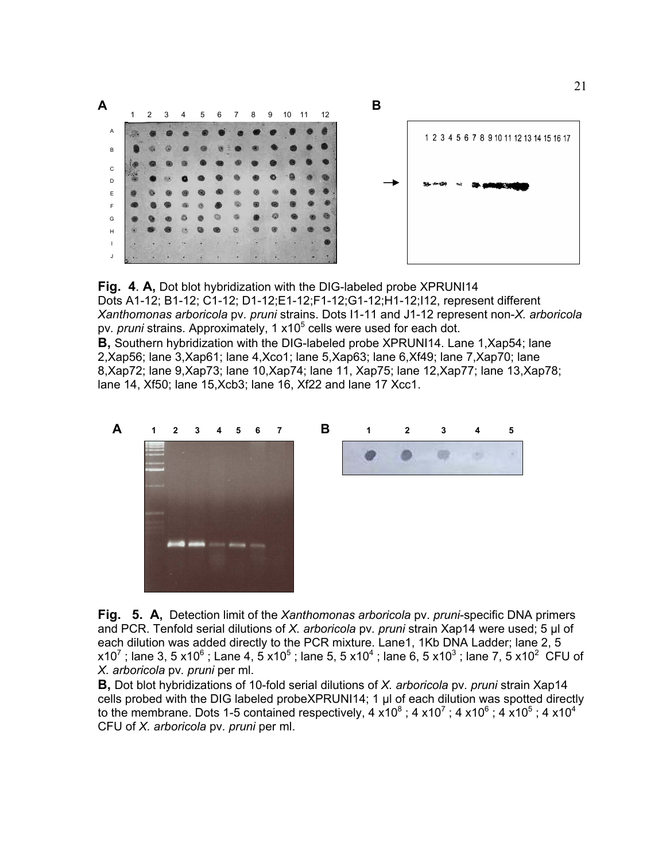

**Fig. 4**. **A,** Dot blot hybridization with the DIG-labeled probe XPRUNI14 Dots A1-12; B1-12; C1-12; D1-12;E1-12;F1-12;G1-12;H1-12;I12, represent different *Xanthomonas arboricola* pv*. pruni* strains. Dots I1-11 and J1-12 represent non-*X. arboricola*  pv. *pruni* strains. Approximately, 1 x10<sup>5</sup> cells were used for each dot. **B**, Southern hybridization with the DIG-labeled probe XPRUNI14. Lane 1, Xap54; lane 2,Xap56; lane 3,Xap61; lane 4,Xco1; lane 5,Xap63; lane 6,Xf49; lane 7,Xap70; lane 8,Xap72; lane 9,Xap73; lane 10,Xap74; lane 11, Xap75; lane 12,Xap77; lane 13,Xap78; lane 14, Xf50; lane 15,Xcb3; lane 16, Xf22 and lane 17 Xcc1.



**Fig. 5. A,** Detection limit of the *Xanthomonas arboricola* pv. *pruni*-specific DNA primers and PCR. Tenfold serial dilutions of *X. arboricola* pv*. pruni* strain Xap14 were used; 5 µl of each dilution was added directly to the PCR mixture. Lane1, 1Kb DNA Ladder; lane 2, 5 x10<sup>7</sup>; lane 3, 5 x10<sup>6</sup>; Lane 4, 5 x10<sup>5</sup>; lane 5, 5 x10<sup>4</sup>; lane 6, 5 x10<sup>3</sup>; lane 7, 5 x10<sup>2</sup> CFU of *X. arboricola* pv*. pruni* per ml.

**B,** Dot blot hybridizations of 10-fold serial dilutions of *X. arboricola* pv*. pruni* strain Xap14 cells probed with the DIG labeled probeXPRUNI14; 1 µl of each dilution was spotted directly to the membrane. Dots 1-5 contained respectively, 4 x10<sup>8</sup>; 4 x10<sup>7</sup>; 4 x10<sup>6</sup>; 4 x10<sup>5</sup>; 4 x10<sup>4</sup> CFU of *X. arboricola* pv*. pruni* per ml.

21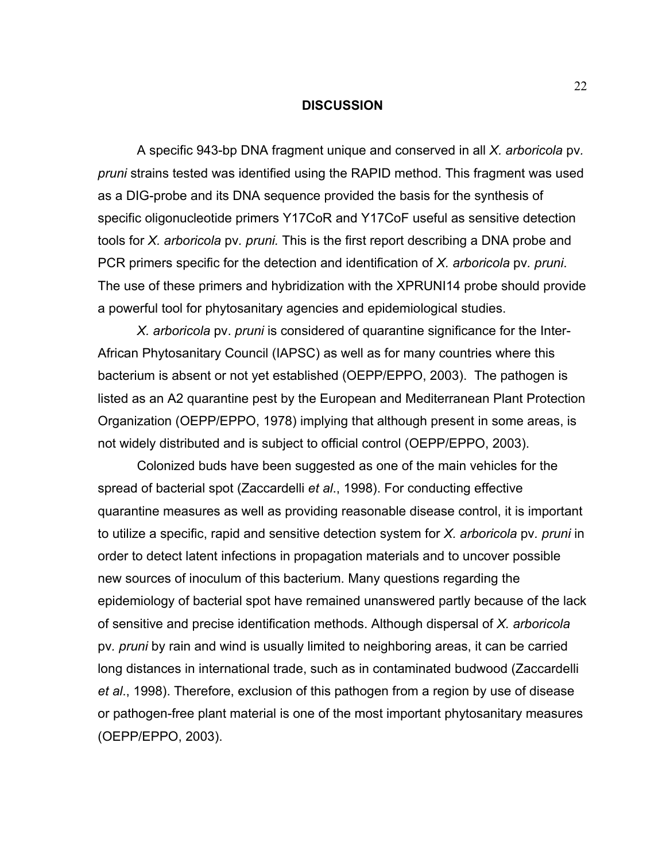#### **DISCUSSION**

 A specific 943-bp DNA fragment unique and conserved in all *X. arboricola* pv*. pruni* strains tested was identified using the RAPID method. This fragment was used as a DIG-probe and its DNA sequence provided the basis for the synthesis of specific oligonucleotide primers Y17CoR and Y17CoF useful as sensitive detection tools for *X. arboricola* pv*. pruni.* This is the first report describing a DNA probe and PCR primers specific for the detection and identification of *X. arboricola* pv*. pruni*. The use of these primers and hybridization with the XPRUNI14 probe should provide a powerful tool for phytosanitary agencies and epidemiological studies.

*X. arboricola* pv. *pruni* is considered of quarantine significance for the Inter-African Phytosanitary Council (IAPSC) as well as for many countries where this bacterium is absent or not yet established (OEPP/EPPO, 2003). The pathogen is listed as an A2 quarantine pest by the European and Mediterranean Plant Protection Organization (OEPP/EPPO, 1978) implying that although present in some areas, is not widely distributed and is subject to official control (OEPP/EPPO, 2003).

 Colonized buds have been suggested as one of the main vehicles for the spread of bacterial spot (Zaccardelli *et al*., 1998). For conducting effective quarantine measures as well as providing reasonable disease control, it is important to utilize a specific, rapid and sensitive detection system for *X. arboricola* pv*. pruni* in order to detect latent infections in propagation materials and to uncover possible new sources of inoculum of this bacterium. Many questions regarding the epidemiology of bacterial spot have remained unanswered partly because of the lack of sensitive and precise identification methods. Although dispersal of *X. arboricola*  pv*. pruni* by rain and wind is usually limited to neighboring areas, it can be carried long distances in international trade, such as in contaminated budwood (Zaccardelli *et al*., 1998). Therefore, exclusion of this pathogen from a region by use of disease or pathogen-free plant material is one of the most important phytosanitary measures (OEPP/EPPO, 2003).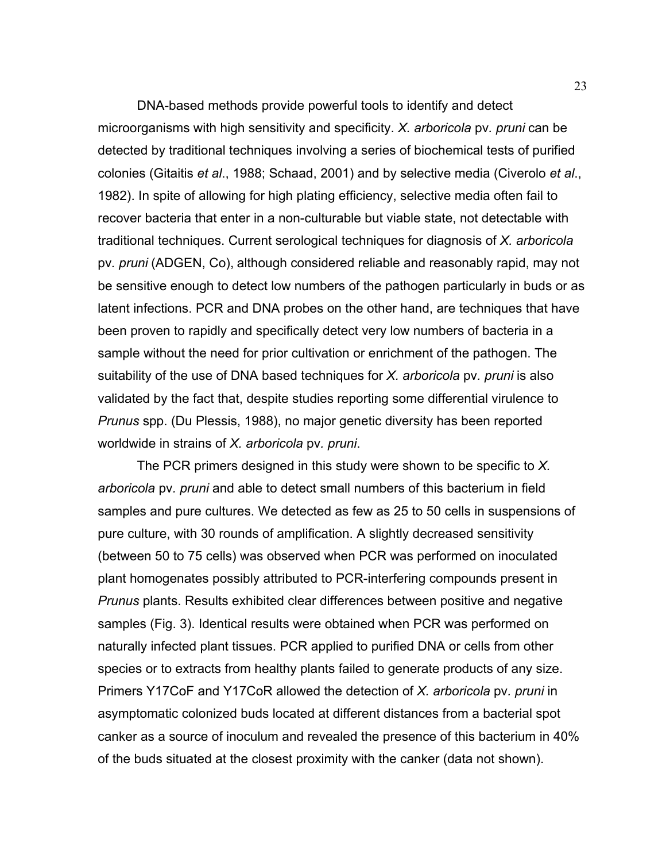DNA-based methods provide powerful tools to identify and detect microorganisms with high sensitivity and specificity. *X. arboricola* pv*. pruni* can be detected by traditional techniques involving a series of biochemical tests of purified colonies (Gitaitis *et al*., 1988; Schaad, 2001) and by selective media (Civerolo *et al*., 1982). In spite of allowing for high plating efficiency, selective media often fail to recover bacteria that enter in a non-culturable but viable state, not detectable with traditional techniques. Current serological techniques for diagnosis of *X. arboricola*  pv*. pruni* (ADGEN, Co), although considered reliable and reasonably rapid, may not be sensitive enough to detect low numbers of the pathogen particularly in buds or as latent infections. PCR and DNA probes on the other hand, are techniques that have been proven to rapidly and specifically detect very low numbers of bacteria in a sample without the need for prior cultivation or enrichment of the pathogen. The suitability of the use of DNA based techniques for *X. arboricola* pv*. pruni* is also validated by the fact that, despite studies reporting some differential virulence to *Prunus* spp. (Du Plessis, 1988), no major genetic diversity has been reported worldwide in strains of *X. arboricola* pv*. pruni*.

 The PCR primers designed in this study were shown to be specific to *X. arboricola* pv*. pruni* and able to detect small numbers of this bacterium in field samples and pure cultures. We detected as few as 25 to 50 cells in suspensions of pure culture, with 30 rounds of amplification. A slightly decreased sensitivity (between 50 to 75 cells) was observed when PCR was performed on inoculated plant homogenates possibly attributed to PCR-interfering compounds present in *Prunus* plants. Results exhibited clear differences between positive and negative samples (Fig. 3). Identical results were obtained when PCR was performed on naturally infected plant tissues. PCR applied to purified DNA or cells from other species or to extracts from healthy plants failed to generate products of any size. Primers Y17CoF and Y17CoR allowed the detection of *X. arboricola* pv*. pruni* in asymptomatic colonized buds located at different distances from a bacterial spot canker as a source of inoculum and revealed the presence of this bacterium in 40% of the buds situated at the closest proximity with the canker (data not shown).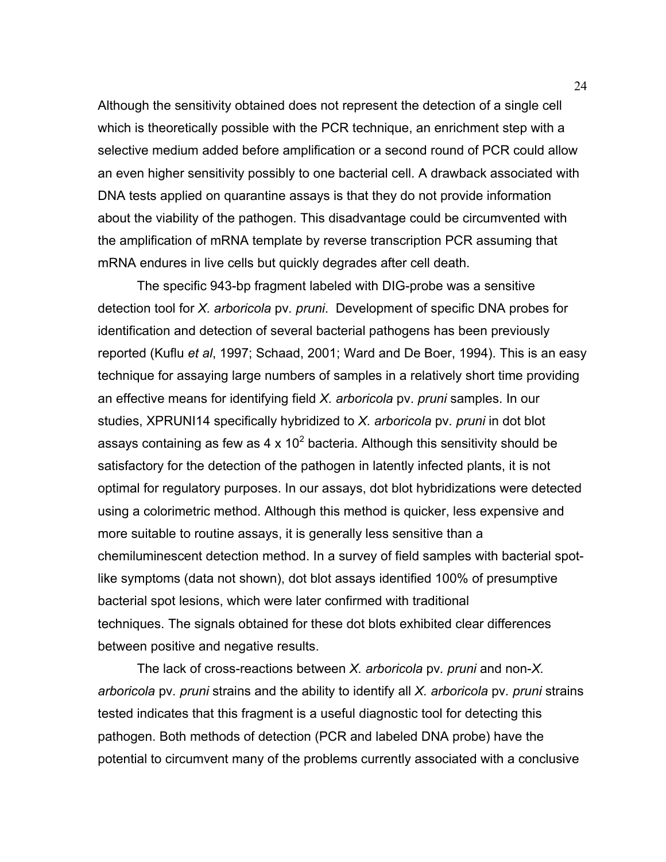Although the sensitivity obtained does not represent the detection of a single cell which is theoretically possible with the PCR technique, an enrichment step with a selective medium added before amplification or a second round of PCR could allow an even higher sensitivity possibly to one bacterial cell. A drawback associated with DNA tests applied on quarantine assays is that they do not provide information about the viability of the pathogen. This disadvantage could be circumvented with the amplification of mRNA template by reverse transcription PCR assuming that mRNA endures in live cells but quickly degrades after cell death.

 The specific 943-bp fragment labeled with DIG-probe was a sensitive detection tool for *X. arboricola* pv*. pruni*. Development of specific DNA probes for identification and detection of several bacterial pathogens has been previously reported (Kuflu *et al*, 1997; Schaad, 2001; Ward and De Boer, 1994). This is an easy technique for assaying large numbers of samples in a relatively short time providing an effective means for identifying field *X. arboricola* pv. *pruni* samples. In our studies, XPRUNI14 specifically hybridized to *X. arboricola* pv*. pruni* in dot blot assays containing as few as 4 x 10<sup>2</sup> bacteria. Although this sensitivity should be satisfactory for the detection of the pathogen in latently infected plants, it is not optimal for regulatory purposes. In our assays, dot blot hybridizations were detected using a colorimetric method. Although this method is quicker, less expensive and more suitable to routine assays, it is generally less sensitive than a chemiluminescent detection method. In a survey of field samples with bacterial spotlike symptoms (data not shown), dot blot assays identified 100% of presumptive bacterial spot lesions, which were later confirmed with traditional techniques. The signals obtained for these dot blots exhibited clear differences between positive and negative results.

 The lack of cross-reactions between *X. arboricola* pv*. pruni* and non-*X. arboricola* pv*. pruni* strains and the ability to identify all *X. arboricola* pv*. pruni* strains tested indicates that this fragment is a useful diagnostic tool for detecting this pathogen. Both methods of detection (PCR and labeled DNA probe) have the potential to circumvent many of the problems currently associated with a conclusive

24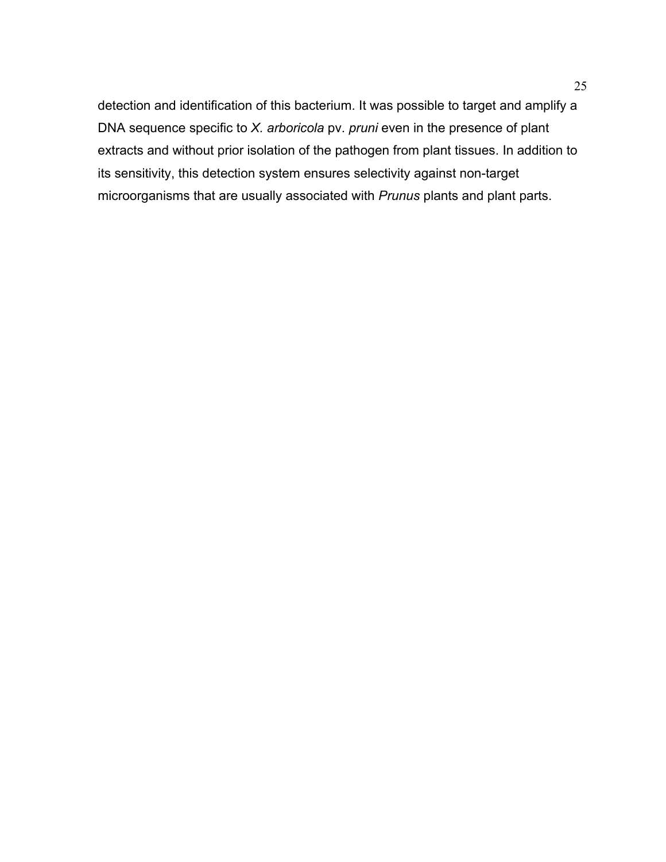detection and identification of this bacterium. It was possible to target and amplify a DNA sequence specific to *X. arboricola* pv. *pruni* even in the presence of plant extracts and without prior isolation of the pathogen from plant tissues. In addition to its sensitivity, this detection system ensures selectivity against non-target microorganisms that are usually associated with *Prunus* plants and plant parts.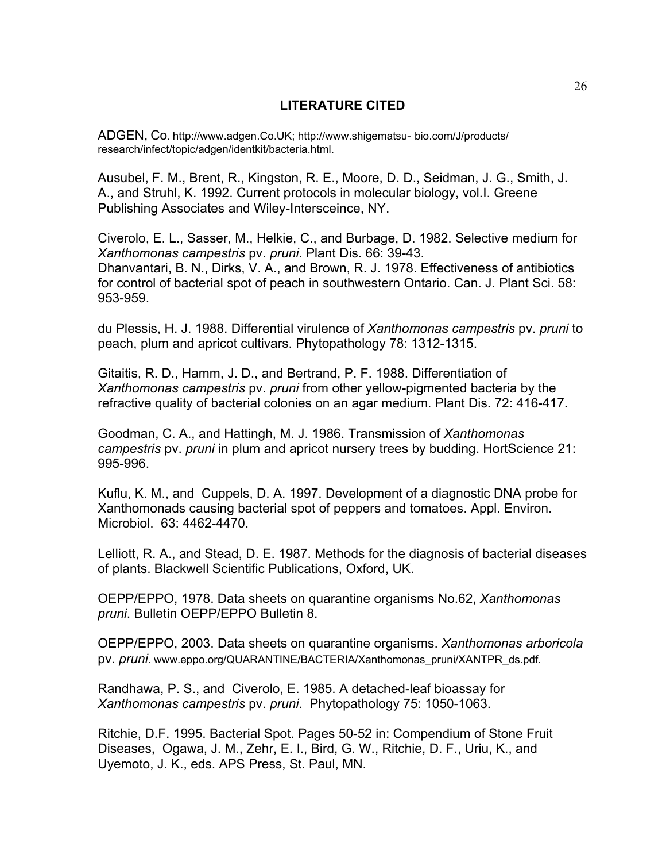# **LITERATURE CITED**

ADGEN, Co. http://www.adgen.Co.UK; http://www.shigematsu- bio.com/J/products/ research/infect/topic/adgen/identkit/bacteria.html.

Ausubel, F. M., Brent, R., Kingston, R. E., Moore, D. D., Seidman, J. G., Smith, J. A., and Struhl, K. 1992. Current protocols in molecular biology, vol.I. Greene Publishing Associates and Wiley-Intersceince, NY.

Civerolo, E. L., Sasser, M., Helkie, C., and Burbage, D. 1982. Selective medium for *Xanthomonas campestris* pv. *pruni*. Plant Dis. 66: 39-43. Dhanvantari, B. N., Dirks, V. A., and Brown, R. J. 1978. Effectiveness of antibiotics for control of bacterial spot of peach in southwestern Ontario. Can. J. Plant Sci. 58: 953-959.

du Plessis, H. J. 1988. Differential virulence of *Xanthomonas campestris* pv. *pruni* to peach, plum and apricot cultivars. Phytopathology 78: 1312-1315.

Gitaitis, R. D., Hamm, J. D., and Bertrand, P. F. 1988. Differentiation of *Xanthomonas campestris* pv. *pruni* from other yellow-pigmented bacteria by the refractive quality of bacterial colonies on an agar medium. Plant Dis. 72: 416-417.

Goodman, C. A., and Hattingh, M. J. 1986. Transmission of *Xanthomonas campestris* pv. *pruni* in plum and apricot nursery trees by budding. HortScience 21: 995-996.

Kuflu, K. M., and Cuppels, D. A. 1997. Development of a diagnostic DNA probe for Xanthomonads causing bacterial spot of peppers and tomatoes. Appl. Environ. Microbiol. 63: 4462-4470.

Lelliott, R. A., and Stead, D. E. 1987. Methods for the diagnosis of bacterial diseases of plants. Blackwell Scientific Publications, Oxford, UK.

OEPP/EPPO, 1978. Data sheets on quarantine organisms No.62, *Xanthomonas pruni*. Bulletin OEPP/EPPO Bulletin 8.

OEPP/EPPO, 2003. Data sheets on quarantine organisms. *Xanthomonas arboricola*  pv. *pruni*. www.eppo.org/QUARANTINE/BACTERIA/Xanthomonas\_pruni/XANTPR\_ds.pdf.

Randhawa, P. S., and Civerolo, E. 1985. A detached-leaf bioassay for *Xanthomonas campestris* pv. *pruni*. Phytopathology 75: 1050-1063.

Ritchie, D.F. 1995. Bacterial Spot. Pages 50-52 in: Compendium of Stone Fruit Diseases, Ogawa, J. M., Zehr, E. I., Bird, G. W., Ritchie, D. F., Uriu, K., and Uyemoto, J. K., eds. APS Press, St. Paul, MN.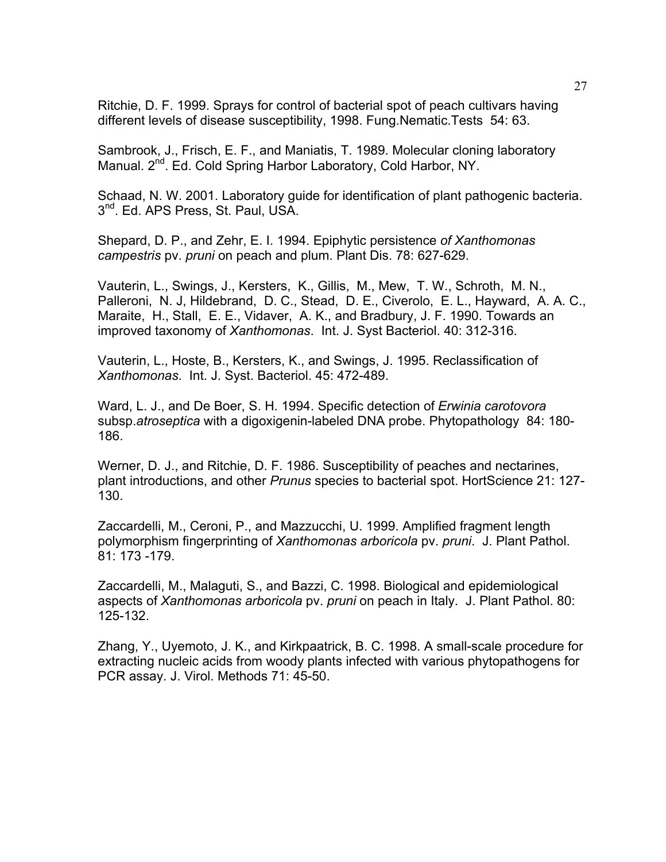Ritchie, D. F. 1999. Sprays for control of bacterial spot of peach cultivars having different levels of disease susceptibility, 1998. Fung.Nematic.Tests 54: 63.

Sambrook, J., Frisch, E. F., and Maniatis, T. 1989. Molecular cloning laboratory Manual. 2<sup>nd</sup>. Ed. Cold Spring Harbor Laboratory, Cold Harbor, NY.

Schaad, N. W. 2001. Laboratory guide for identification of plant pathogenic bacteria. 3<sup>nd</sup>. Ed. APS Press, St. Paul, USA.

Shepard, D. P., and Zehr, E. I. 1994. Epiphytic persistence *of Xanthomonas campestris* pv. *pruni* on peach and plum. Plant Dis. 78: 627-629.

Vauterin, L., Swings, J., Kersters, K., Gillis, M., Mew, T. W., Schroth, M. N., Palleroni, N. J, Hildebrand, D. C., Stead, D. E., Civerolo, E. L., Hayward, A. A. C., Maraite, H., Stall, E. E., Vidaver, A. K., and Bradbury, J. F. 1990. Towards an improved taxonomy of *Xanthomonas*. Int. J. Syst Bacteriol. 40: 312-316.

Vauterin, L., Hoste, B., Kersters, K., and Swings, J. 1995. Reclassification of *Xanthomonas*. Int. J. Syst. Bacteriol. 45: 472-489.

Ward, L. J., and De Boer, S. H. 1994. Specific detection of *Erwinia carotovora* subsp.*atroseptica* with a digoxigenin-labeled DNA probe. Phytopathology 84: 180- 186.

Werner, D. J., and Ritchie, D. F. 1986. Susceptibility of peaches and nectarines, plant introductions, and other *Prunus* species to bacterial spot. HortScience 21: 127- 130.

Zaccardelli, M., Ceroni, P., and Mazzucchi, U. 1999. Amplified fragment length polymorphism fingerprinting of *Xanthomonas arboricola* pv. *pruni*. J. Plant Pathol. 81: 173 -179.

Zaccardelli, M., Malaguti, S., and Bazzi, C. 1998. Biological and epidemiological aspects of *Xanthomonas arboricola* pv. *pruni* on peach in Italy. J. Plant Pathol. 80: 125-132.

Zhang, Y., Uyemoto, J. K., and Kirkpaatrick, B. C. 1998. A small-scale procedure for extracting nucleic acids from woody plants infected with various phytopathogens for PCR assay. J. Virol. Methods 71: 45-50.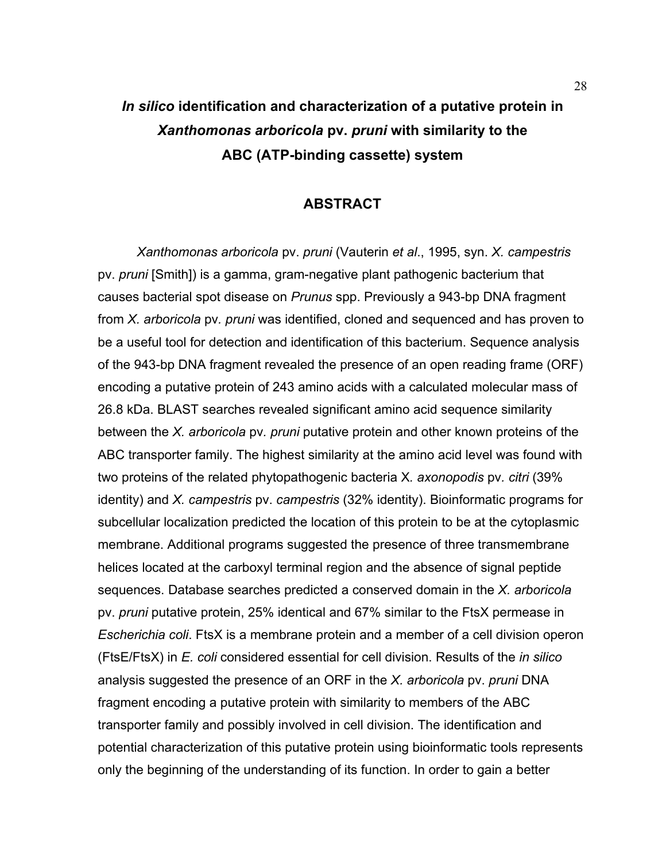# *In silico* **identification and characterization of a putative protein in**  *Xanthomonas arboricola* **pv.** *pruni* **with similarity to the ABC (ATP-binding cassette) system**

# **ABSTRACT**

 *Xanthomonas arboricola* pv. *pruni* (Vauterin *et al*., 1995, syn. *X. campestris* pv. *pruni* [Smith]) is a gamma, gram-negative plant pathogenic bacterium that causes bacterial spot disease on *Prunus* spp. Previously a 943-bp DNA fragment from *X. arboricola* pv*. pruni* was identified, cloned and sequenced and has proven to be a useful tool for detection and identification of this bacterium. Sequence analysis of the 943-bp DNA fragment revealed the presence of an open reading frame (ORF) encoding a putative protein of 243 amino acids with a calculated molecular mass of 26.8 kDa. BLAST searches revealed significant amino acid sequence similarity between the *X. arboricola* pv*. pruni* putative protein and other known proteins of the ABC transporter family. The highest similarity at the amino acid level was found with two proteins of the related phytopathogenic bacteria X*. axonopodis* pv*. citri* (39% identity) and *X. campestris* pv. *campestris* (32% identity). Bioinformatic programs for subcellular localization predicted the location of this protein to be at the cytoplasmic membrane. Additional programs suggested the presence of three transmembrane helices located at the carboxyl terminal region and the absence of signal peptide sequences. Database searches predicted a conserved domain in the *X. arboricola* pv. *pruni* putative protein, 25% identical and 67% similar to the FtsX permease in *Escherichia coli*. FtsX is a membrane protein and a member of a cell division operon (FtsE/FtsX) in *E. coli* considered essential for cell division. Results of the *in silico* analysis suggested the presence of an ORF in the *X. arboricola* pv. *pruni* DNA fragment encoding a putative protein with similarity to members of the ABC transporter family and possibly involved in cell division. The identification and potential characterization of this putative protein using bioinformatic tools represents only the beginning of the understanding of its function. In order to gain a better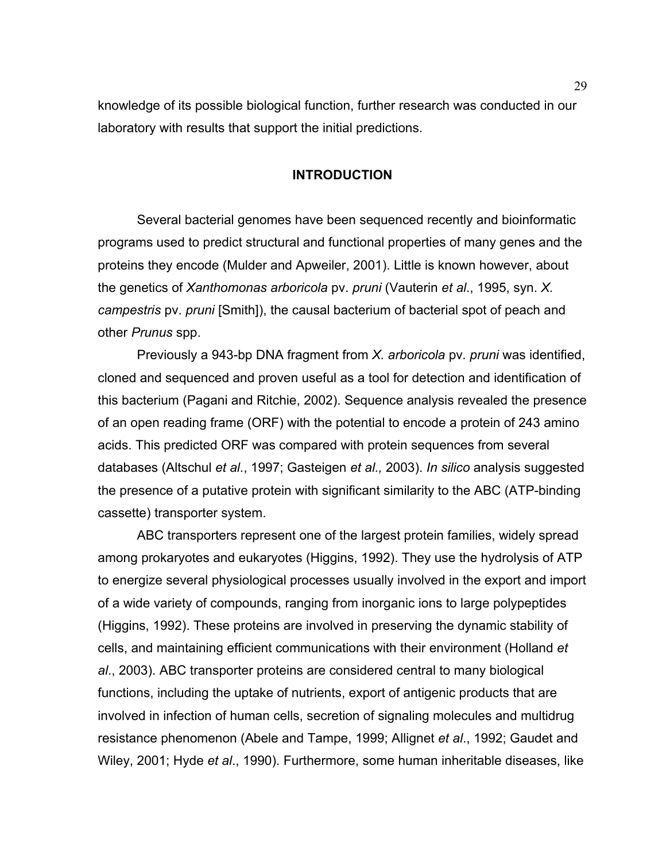knowledge of its possible biological function, further research was conducted in our laboratory with results that support the initial predictions.

# **INTRODUCTION**

 Several bacterial genomes have been sequenced recently and bioinformatic programs used to predict structural and functional properties of many genes and the proteins they encode (Mulder and Apweiler, 2001). Little is known however, about the genetics of *Xanthomonas arboricola* pv. *pruni* (Vauterin *et al*., 1995, syn. *X. campestris* pv. *pruni* [Smith]), the causal bacterium of bacterial spot of peach and other *Prunus* spp.

 Previously a 943-bp DNA fragment from *X. arboricola* pv*. pruni* was identified, cloned and sequenced and proven useful as a tool for detection and identification of this bacterium (Pagani and Ritchie, 2002). Sequence analysis revealed the presence of an open reading frame (ORF) with the potential to encode a protein of 243 amino acids. This predicted ORF was compared with protein sequences from several databases (Altschul *et al*., 1997; Gasteigen *et al.,* 2003). *In silico* analysis suggested the presence of a putative protein with significant similarity to the ABC (ATP-binding cassette) transporter system.

 ABC transporters represent one of the largest protein families, widely spread among prokaryotes and eukaryotes (Higgins, 1992). They use the hydrolysis of ATP to energize several physiological processes usually involved in the export and import of a wide variety of compounds, ranging from inorganic ions to large polypeptides (Higgins, 1992). These proteins are involved in preserving the dynamic stability of cells, and maintaining efficient communications with their environment (Holland *et al*., 2003). ABC transporter proteins are considered central to many biological functions, including the uptake of nutrients, export of antigenic products that are involved in infection of human cells, secretion of signaling molecules and multidrug resistance phenomenon (Abele and Tampe, 1999; Allignet *et al*., 1992; Gaudet and Wiley, 2001; Hyde *et al*., 1990). Furthermore, some human inheritable diseases, like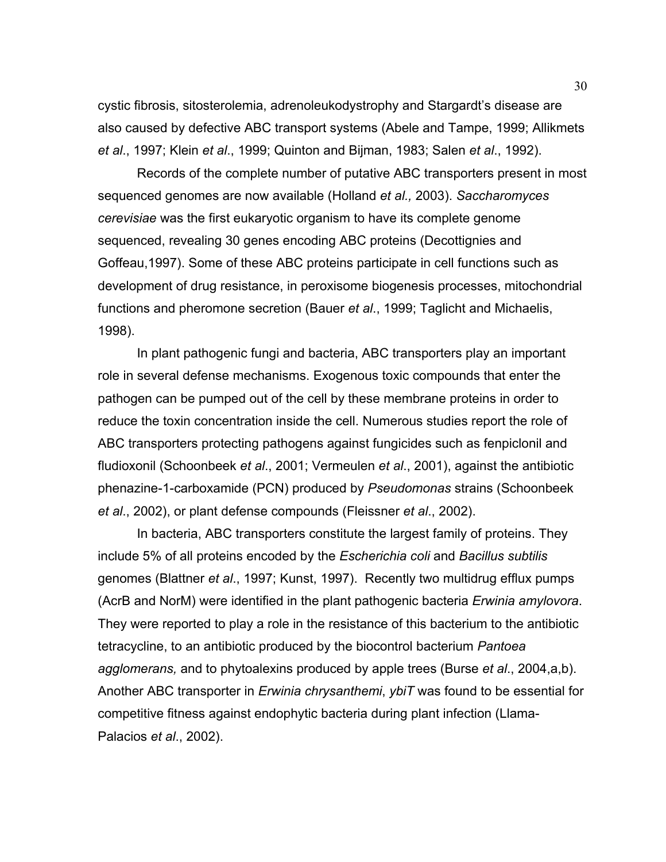cystic fibrosis, sitosterolemia, adrenoleukodystrophy and Stargardt's disease are also caused by defective ABC transport systems (Abele and Tampe, 1999; Allikmets *et al*., 1997; Klein *et al*., 1999; Quinton and Bijman, 1983; Salen *et al*., 1992).

 Records of the complete number of putative ABC transporters present in most sequenced genomes are now available (Holland *et al.,* 2003). *Saccharomyces cerevisiae* was the first eukaryotic organism to have its complete genome sequenced, revealing 30 genes encoding ABC proteins (Decottignies and Goffeau,1997). Some of these ABC proteins participate in cell functions such as development of drug resistance, in peroxisome biogenesis processes, mitochondrial functions and pheromone secretion (Bauer *et al*., 1999; Taglicht and Michaelis, 1998).

 In plant pathogenic fungi and bacteria, ABC transporters play an important role in several defense mechanisms. Exogenous toxic compounds that enter the pathogen can be pumped out of the cell by these membrane proteins in order to reduce the toxin concentration inside the cell. Numerous studies report the role of ABC transporters protecting pathogens against fungicides such as fenpiclonil and fludioxonil (Schoonbeek *et al*., 2001; Vermeulen *et al*., 2001), against the antibiotic phenazine-1-carboxamide (PCN) produced by *Pseudomonas* strains (Schoonbeek *et al*., 2002), or plant defense compounds (Fleissner *et al*., 2002).

 In bacteria, ABC transporters constitute the largest family of proteins. They include 5% of all proteins encoded by the *Escherichia coli* and *Bacillus subtilis* genomes (Blattner *et al*., 1997; Kunst, 1997). Recently two multidrug efflux pumps (AcrB and NorM) were identified in the plant pathogenic bacteria *Erwinia amylovora*. They were reported to play a role in the resistance of this bacterium to the antibiotic tetracycline, to an antibiotic produced by the biocontrol bacterium *Pantoea agglomerans,* and to phytoalexins produced by apple trees (Burse *et al*., 2004,a,b). Another ABC transporter in *Erwinia chrysanthemi*, *ybiT* was found to be essential for competitive fitness against endophytic bacteria during plant infection (Llama-Palacios *et al*., 2002).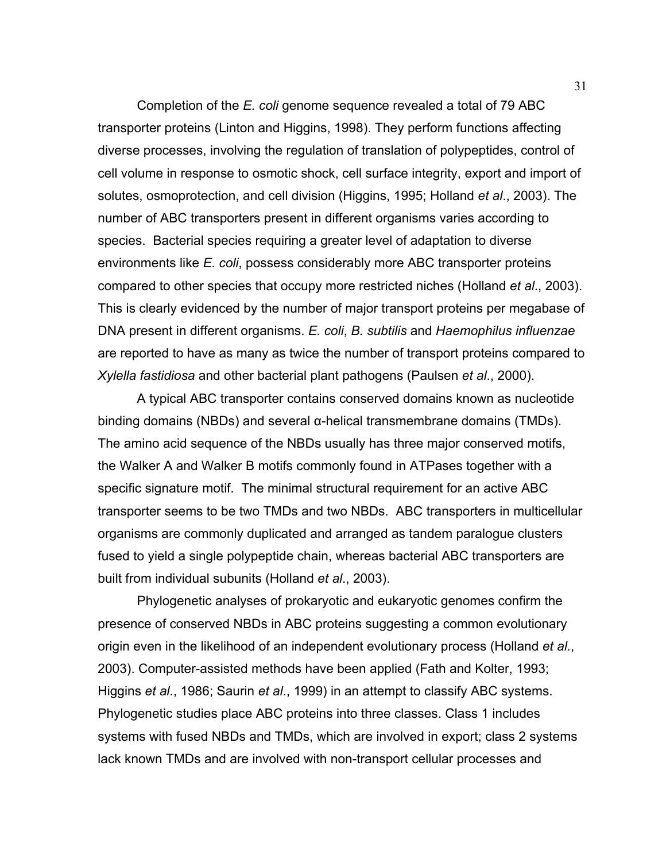Completion of the *E. coli* genome sequence revealed a total of 79 ABC transporter proteins (Linton and Higgins, 1998). They perform functions affecting diverse processes, involving the regulation of translation of polypeptides, control of cell volume in response to osmotic shock, cell surface integrity, export and import of solutes, osmoprotection, and cell division (Higgins, 1995; Holland *et al*., 2003). The number of ABC transporters present in different organisms varies according to species. Bacterial species requiring a greater level of adaptation to diverse environments like *E. coli*, possess considerably more ABC transporter proteins compared to other species that occupy more restricted niches (Holland *et al*., 2003). This is clearly evidenced by the number of major transport proteins per megabase of DNA present in different organisms. *E. coli*, *B. subtilis* and *Haemophilus influenzae*  are reported to have as many as twice the number of transport proteins compared to *Xylella fastidiosa* and other bacterial plant pathogens (Paulsen *et al*., 2000).

 A typical ABC transporter contains conserved domains known as nucleotide binding domains (NBDs) and several α-helical transmembrane domains (TMDs). The amino acid sequence of the NBDs usually has three major conserved motifs, the Walker A and Walker B motifs commonly found in ATPases together with a specific signature motif. The minimal structural requirement for an active ABC transporter seems to be two TMDs and two NBDs. ABC transporters in multicellular organisms are commonly duplicated and arranged as tandem paralogue clusters fused to yield a single polypeptide chain, whereas bacterial ABC transporters are built from individual subunits (Holland *et al*., 2003).

 Phylogenetic analyses of prokaryotic and eukaryotic genomes confirm the presence of conserved NBDs in ABC proteins suggesting a common evolutionary origin even in the likelihood of an independent evolutionary process (Holland *et al.*, 2003). Computer-assisted methods have been applied (Fath and Kolter, 1993; Higgins *et al*., 1986; Saurin *et al*., 1999) in an attempt to classify ABC systems. Phylogenetic studies place ABC proteins into three classes. Class 1 includes systems with fused NBDs and TMDs, which are involved in export; class 2 systems lack known TMDs and are involved with non-transport cellular processes and

31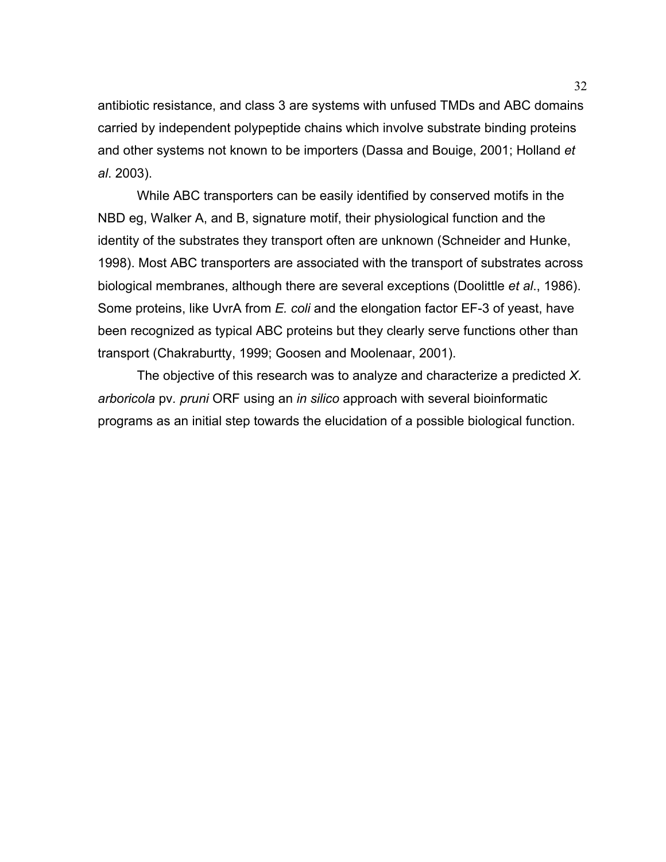antibiotic resistance, and class 3 are systems with unfused TMDs and ABC domains carried by independent polypeptide chains which involve substrate binding proteins and other systems not known to be importers (Dassa and Bouige, 2001; Holland *et al*. 2003).

 While ABC transporters can be easily identified by conserved motifs in the NBD eg, Walker A, and B, signature motif, their physiological function and the identity of the substrates they transport often are unknown (Schneider and Hunke, 1998). Most ABC transporters are associated with the transport of substrates across biological membranes, although there are several exceptions (Doolittle *et al*., 1986). Some proteins, like UvrA from *E. coli* and the elongation factor EF-3 of yeast, have been recognized as typical ABC proteins but they clearly serve functions other than transport (Chakraburtty, 1999; Goosen and Moolenaar, 2001).

 The objective of this research was to analyze and characterize a predicted *X. arboricola* pv*. pruni* ORF using an *in silico* approach with several bioinformatic programs as an initial step towards the elucidation of a possible biological function.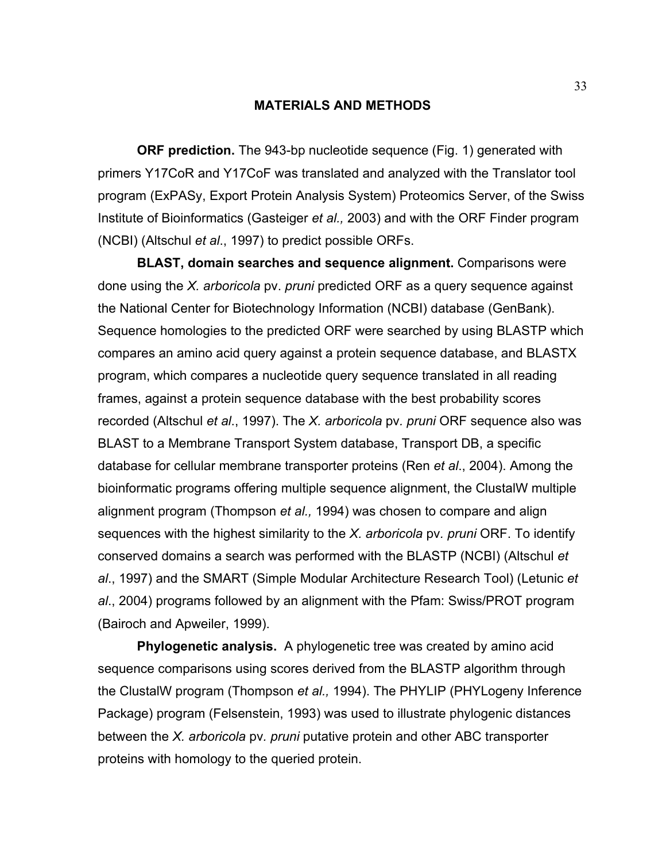### **MATERIALS AND METHODS**

 **ORF prediction.** The 943-bp nucleotide sequence (Fig. 1) generated with primers Y17CoR and Y17CoF was translated and analyzed with the Translator tool program (ExPASy, Export Protein Analysis System) Proteomics Server, of the Swiss Institute of Bioinformatics (Gasteiger *et al.,* 2003) and with the ORF Finder program (NCBI) (Altschul *et al*., 1997) to predict possible ORFs.

 **BLAST, domain searches and sequence alignment.** Comparisons were done using the *X. arboricola* pv. *pruni* predicted ORF as a query sequence against the National Center for Biotechnology Information (NCBI) database (GenBank). Sequence homologies to the predicted ORF were searched by using BLASTP which compares an amino acid query against a protein sequence database, and BLASTX program, which compares a nucleotide query sequence translated in all reading frames, against a protein sequence database with the best probability scores recorded (Altschul *et al*., 1997). The *X. arboricola* pv*. pruni* ORF sequence also was BLAST to a Membrane Transport System database, Transport DB, a specific database for cellular membrane transporter proteins (Ren *et al*., 2004). Among the bioinformatic programs offering multiple sequence alignment, the ClustalW multiple alignment program (Thompson *et al.,* 1994) was chosen to compare and align sequences with the highest similarity to the *X. arboricola* pv*. pruni* ORF. To identify conserved domains a search was performed with the BLASTP (NCBI) (Altschul *et al*., 1997) and the SMART (Simple Modular Architecture Research Tool) (Letunic *et al*., 2004) programs followed by an alignment with the Pfam: Swiss/PROT program (Bairoch and Apweiler, 1999).

 **Phylogenetic analysis.** A phylogenetic tree was created by amino acid sequence comparisons using scores derived from the BLASTP algorithm through the ClustalW program (Thompson *et al.,* 1994). The PHYLIP (PHYLogeny Inference Package) program (Felsenstein, 1993) was used to illustrate phylogenic distances between the *X. arboricola* pv*. pruni* putative protein and other ABC transporter proteins with homology to the queried protein.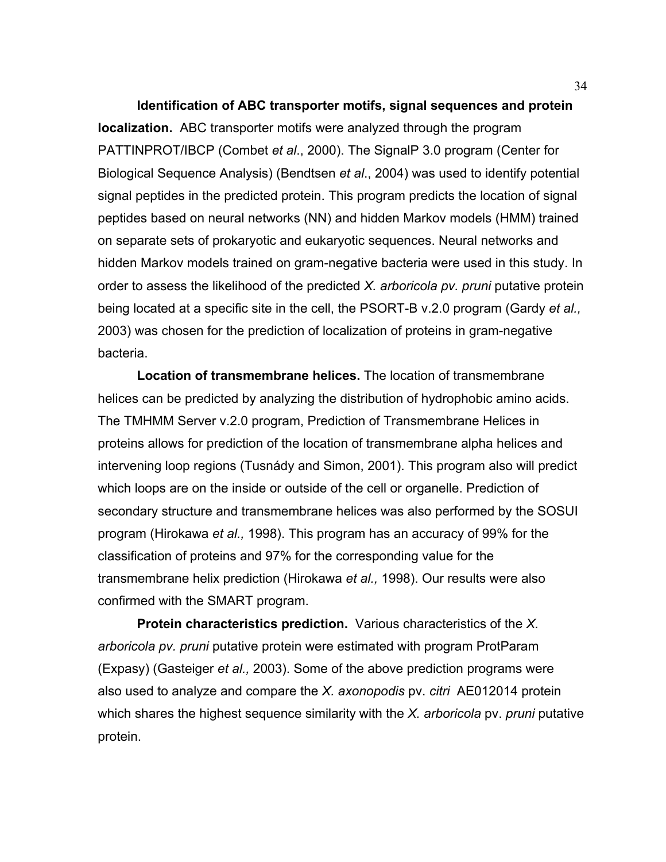**Identification of ABC transporter motifs, signal sequences and protein localization.** ABC transporter motifs were analyzed through the program PATTINPROT/IBCP (Combet *et al*., 2000). The SignalP 3.0 program (Center for Biological Sequence Analysis) (Bendtsen *et al*., 2004) was used to identify potential signal peptides in the predicted protein. This program predicts the location of signal peptides based on neural networks (NN) and hidden Markov models (HMM) trained on separate sets of prokaryotic and eukaryotic sequences. Neural networks and hidden Markov models trained on gram-negative bacteria were used in this study. In order to assess the likelihood of the predicted *X. arboricola pv. pruni* putative protein being located at a specific site in the cell, the PSORT-B v.2.0 program (Gardy *et al.,* 2003) was chosen for the prediction of localization of proteins in gram-negative bacteria.

 **Location of transmembrane helices.** The location of transmembrane helices can be predicted by analyzing the distribution of hydrophobic amino acids. The TMHMM Server v.2.0 program, Prediction of Transmembrane Helices in proteins allows for prediction of the location of transmembrane alpha helices and intervening loop regions (Tusnády and Simon, 2001). This program also will predict which loops are on the inside or outside of the cell or organelle. Prediction of secondary structure and transmembrane helices was also performed by the SOSUI program (Hirokawa *et al.,* 1998). This program has an accuracy of 99% for the classification of proteins and 97% for the corresponding value for the transmembrane helix prediction (Hirokawa *et al.,* 1998). Our results were also confirmed with the SMART program.

 **Protein characteristics prediction.** Various characteristics of the *X. arboricola pv. pruni* putative protein were estimated with program ProtParam (Expasy) (Gasteiger *et al.,* 2003). Some of the above prediction programs were also used to analyze and compare the *X. axonopodis* pv. *citri* AE012014 protein which shares the highest sequence similarity with the *X. arboricola* pv. *pruni* putative protein.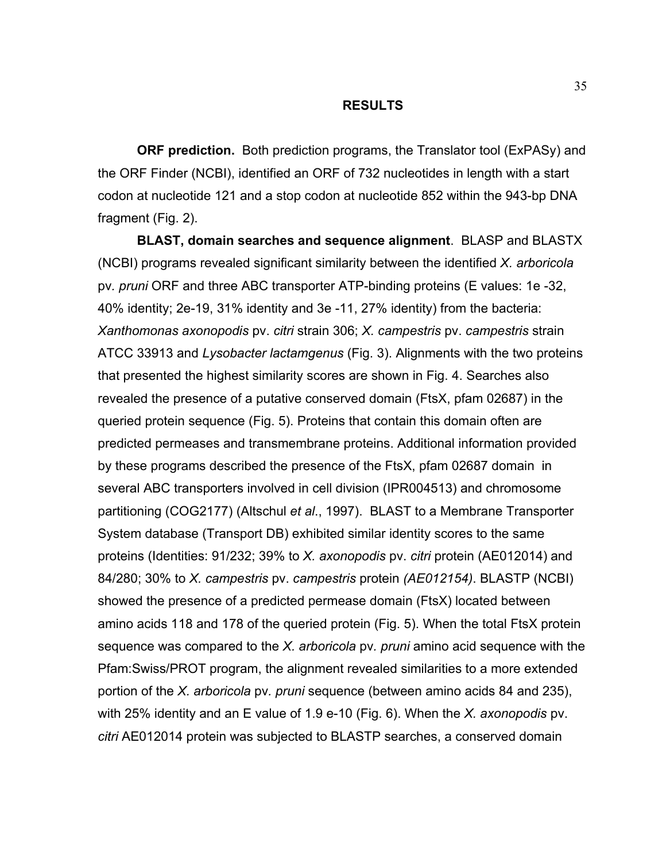#### **RESULTS**

 **ORF prediction.** Both prediction programs, the Translator tool (ExPASy) and the ORF Finder (NCBI), identified an ORF of 732 nucleotides in length with a start codon at nucleotide 121 and a stop codon at nucleotide 852 within the 943-bp DNA fragment (Fig. 2).

 **BLAST, domain searches and sequence alignment**. BLASP and BLASTX (NCBI) programs revealed significant similarity between the identified *X. arboricola*  pv*. pruni* ORF and three ABC transporter ATP-binding proteins (E values: 1e -32, 40% identity; 2e-19, 31% identity and 3e -11, 27% identity) from the bacteria: *Xanthomonas axonopodis* pv. *citri* strain 306; *X. campestris* pv. *campestris* strain ATCC 33913 and *Lysobacter lactamgenus* (Fig. 3). Alignments with the two proteins that presented the highest similarity scores are shown in Fig. 4. Searches also revealed the presence of a putative conserved domain (FtsX, pfam 02687) in the queried protein sequence (Fig. 5). Proteins that contain this domain often are predicted permeases and transmembrane proteins. Additional information provided by these programs described the presence of the FtsX, pfam 02687 domain in several ABC transporters involved in cell division (IPR004513) and chromosome partitioning (COG2177) (Altschul *et al*., 1997). BLAST to a Membrane Transporter System database (Transport DB) exhibited similar identity scores to the same proteins (Identities: 91/232; 39% to *X. axonopodis* pv. *citri* protein (AE012014) and 84/280; 30% to *X. campestris* pv. *campestris* protein *(AE012154)*. BLASTP (NCBI) showed the presence of a predicted permease domain (FtsX) located between amino acids 118 and 178 of the queried protein (Fig. 5). When the total FtsX protein sequence was compared to the *X. arboricola* pv*. pruni* amino acid sequence with the Pfam:Swiss/PROT program, the alignment revealed similarities to a more extended portion of the *X. arboricola* pv*. pruni* sequence (between amino acids 84 and 235), with 25% identity and an E value of 1.9 e-10 (Fig. 6). When the *X. axonopodis* pv. *citri* AE012014 protein was subjected to BLASTP searches, a conserved domain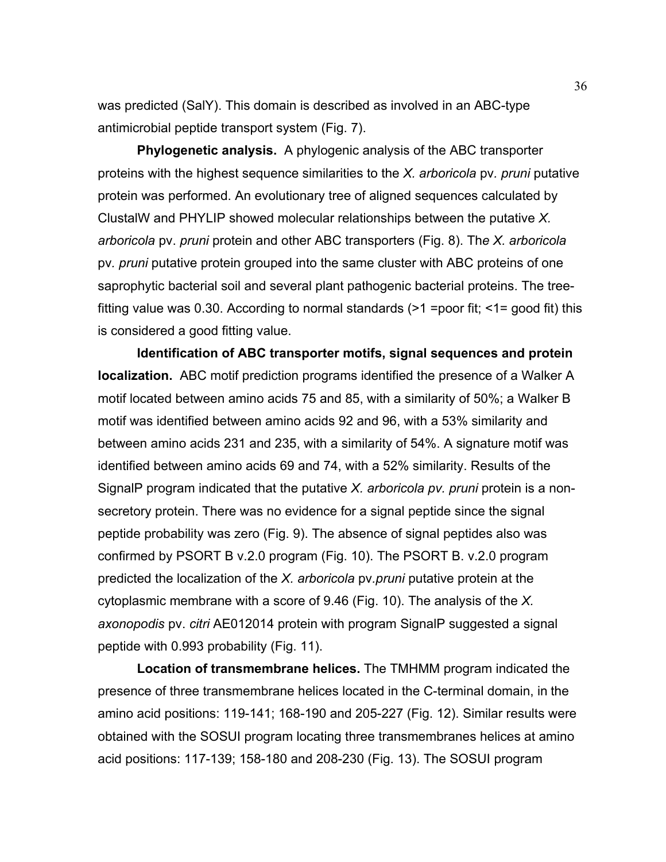was predicted (SalY). This domain is described as involved in an ABC-type antimicrobial peptide transport system (Fig. 7).

 **Phylogenetic analysis.** A phylogenic analysis of the ABC transporter proteins with the highest sequence similarities to the *X. arboricola* pv*. pruni* putative protein was performed. An evolutionary tree of aligned sequences calculated by ClustalW and PHYLIP showed molecular relationships between the putative *X. arboricola* pv. *pruni* protein and other ABC transporters (Fig. 8). Th*e X. arboricola*  pv*. pruni* putative protein grouped into the same cluster with ABC proteins of one saprophytic bacterial soil and several plant pathogenic bacterial proteins. The treefitting value was 0.30. According to normal standards  $(>1)$  =poor fit;  $<1$ = good fit) this is considered a good fitting value.

 **Identification of ABC transporter motifs, signal sequences and protein localization.** ABC motif prediction programs identified the presence of a Walker A motif located between amino acids 75 and 85, with a similarity of 50%; a Walker B motif was identified between amino acids 92 and 96, with a 53% similarity and between amino acids 231 and 235, with a similarity of 54%. A signature motif was identified between amino acids 69 and 74, with a 52% similarity. Results of the SignalP program indicated that the putative *X. arboricola pv. pruni* protein is a nonsecretory protein. There was no evidence for a signal peptide since the signal peptide probability was zero (Fig. 9). The absence of signal peptides also was confirmed by PSORT B v.2.0 program (Fig. 10). The PSORT B. v.2.0 program predicted the localization of the *X. arboricola* pv*.pruni* putative protein at the cytoplasmic membrane with a score of 9.46 (Fig. 10). The analysis of the *X. axonopodis* pv. *citri* AE012014 protein with program SignalP suggested a signal peptide with 0.993 probability (Fig. 11).

 **Location of transmembrane helices.** The TMHMM program indicated the presence of three transmembrane helices located in the C-terminal domain, in the amino acid positions: 119-141; 168-190 and 205-227 (Fig. 12). Similar results were obtained with the SOSUI program locating three transmembranes helices at amino acid positions: 117-139; 158-180 and 208-230 (Fig. 13). The SOSUI program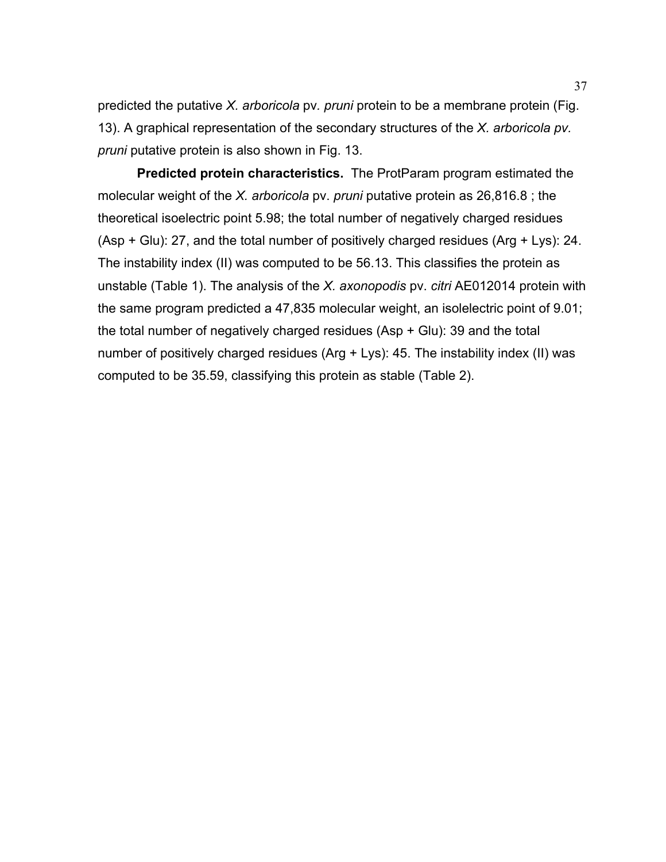predicted the putative *X. arboricola* pv*. pruni* protein to be a membrane protein (Fig. 13). A graphical representation of the secondary structures of the *X. arboricola pv. pruni* putative protein is also shown in Fig. 13.

 **Predicted protein characteristics.** The ProtParam program estimated the molecular weight of the *X. arboricola* pv. *pruni* putative protein as 26,816.8 ; the theoretical isoelectric point 5.98; the total number of negatively charged residues (Asp + Glu): 27, and the total number of positively charged residues (Arg + Lys): 24. The instability index (II) was computed to be 56.13. This classifies the protein as unstable (Table 1). The analysis of the *X. axonopodis* pv. *citri* AE012014 protein with the same program predicted a 47,835 molecular weight, an isolelectric point of 9.01; the total number of negatively charged residues (Asp + Glu): 39 and the total number of positively charged residues (Arg + Lys): 45. The instability index (II) was computed to be 35.59, classifying this protein as stable (Table 2).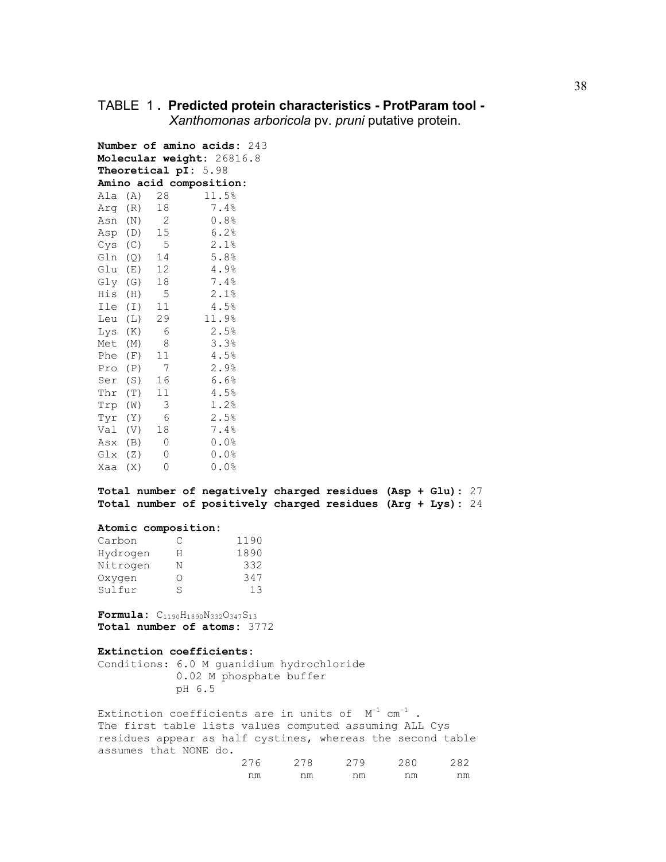### TABLE 1 **. Predicted protein characteristics - ProtParam tool -**

 *Xanthomonas arboricola* pv. *pruni* putative protein.

|             |                | Number of amino acids: 243<br>Molecular weight: 26816.8<br>Theoretical pI: 5.98 |
|-------------|----------------|---------------------------------------------------------------------------------|
|             |                | Amino acid composition:                                                         |
| Ala (A) 28  |                | 11.5%                                                                           |
| Arq (R)     | 18             | 7.4%                                                                            |
|             | $\mathbf 2$    | 0.8%                                                                            |
| Asn (N)     |                |                                                                                 |
|             | Asp (D) 15     | 6.2%                                                                            |
|             | $Cys$ (C) 5    | 2.1%                                                                            |
| Gln (Q)     | 14             | 5.8%                                                                            |
|             | Glu $(E)$ 12   | 4.9%                                                                            |
| Gly (G)     | 18             | 7.4%                                                                            |
| His (H) 5   |                | 2.1%                                                                            |
| Ile (I)     | 11             | 4.5%                                                                            |
| Leu (L)     | 29             | 11.9%                                                                           |
| Lys (K)     | 6              | 2.5%                                                                            |
| Met (M)     | 8              | 3.3%                                                                            |
| Phe (F)     | 11             | 4.5%                                                                            |
| Pro (P)     | $\overline{7}$ | 2.9%                                                                            |
|             | Ser (S) 16     | 6.6%                                                                            |
| Thr (T)     | 11             | 4.5%                                                                            |
| Trp (W)     | 3              | 1.2%                                                                            |
| Tyr (Y)     | 6              | 2.5%                                                                            |
| Val (V)     | 18             | 7.4%                                                                            |
| Asx (B)     | 0              | 0.0%                                                                            |
| $GLX$ $(Z)$ | 0              | 0.0%                                                                            |
| Xaa (X)     | 0              | 0.0%                                                                            |

**Total number of negatively charged residues (Asp + Glu):** 27 **Total number of positively charged residues (Arg + Lys):** 24

#### **Atomic composition:**

| Carbon   | C  | 1190 |
|----------|----|------|
| Hydrogen | н  | 1890 |
| Nitrogen | Ν  | 332  |
| Oxygen   | () | 347  |
| Sulfur   | S  | 13   |

**Formula:** C1190H1890N332O347S13 **Total number of atoms:** 3772

#### **Extinction coefficients:**

Conditions: 6.0 M guanidium hydrochloride 0.02 M phosphate buffer pH 6.5

Extinction coefficients are in units of  $M^{-1}$  cm<sup>-1</sup>. The first table lists values computed assuming ALL Cys residues appear as half cystines, whereas the second table assumes that NONE do.

| $\sim$ $ \sim$<br>$\sim$ | $\sim$ $\sim$ $\sim$<br>1 × | 27 Q        | つRA | , , , |
|--------------------------|-----------------------------|-------------|-----|-------|
| nm                       | nm<br>-----                 | nm<br>----- | nm  | nm    |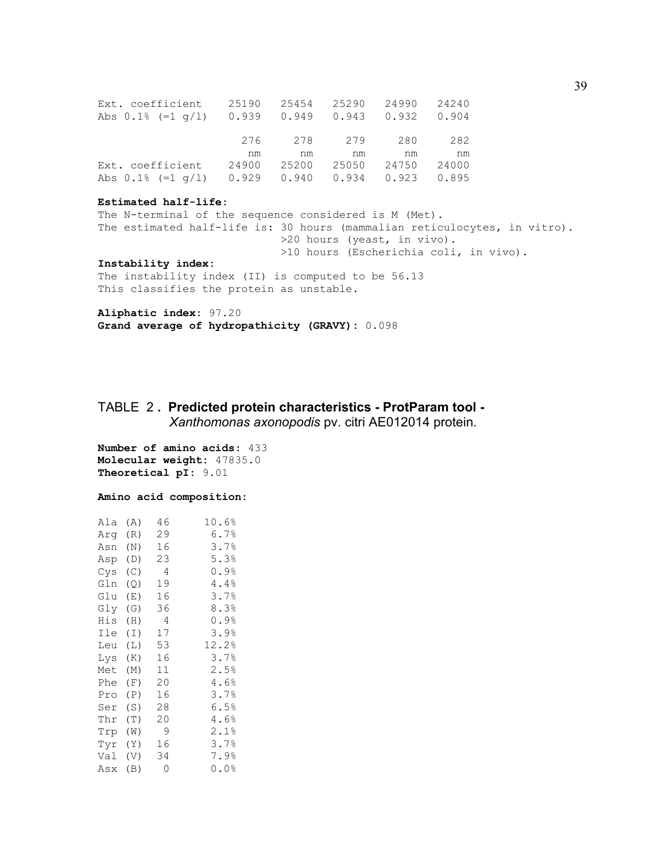| Ext. coefficient 25190 25454 25290 24990 24240  |    |    |    |                               |    |
|-------------------------------------------------|----|----|----|-------------------------------|----|
| Abs 0.1% (=1 q/1) 0.939 0.949 0.943 0.932 0.904 |    |    |    |                               |    |
|                                                 |    |    |    |                               |    |
|                                                 |    |    |    | 276 278 279 280 282           |    |
|                                                 | nm | nm | nm | nm n                          | nm |
| Ext. coefficient                                |    |    |    | 24900 25200 25050 24750 24000 |    |
| Abs 0.1% (=1 q/1) 0.929 0.940 0.934 0.923 0.895 |    |    |    |                               |    |

#### **Estimated half-life:**

The N-terminal of the sequence considered is M (Met). The estimated half-life is: 30 hours (mammalian reticulocytes, in vitro). >20 hours (yeast, in vivo). >10 hours (Escherichia coli, in vivo).

#### **Instability index:**

The instability index (II) is computed to be 56.13 This classifies the protein as unstable.

**Aliphatic index:** 97.20 **Grand average of hydropathicity (GRAVY):** 0.098

# TABLE 2 **. Predicted protein characteristics - ProtParam tool -**   *Xanthomonas axonopodis* pv. citri AE012014 protein.

**Number of amino acids:** 433 **Molecular weight:** 47835.0 **Theoretical pI:** 9.01

#### **Amino acid composition:**

| Ala | (A) | 46 | 10.6%            |
|-----|-----|----|------------------|
| Arq | (R) | 29 | $6.7\%$          |
| Asn | (N) | 16 | 3.7%             |
| Asp | (D) | 23 | 5.3%             |
| Cys | (C) | 4  | $0.9$ $^{\circ}$ |
| Gln | (Q) | 19 | 4.4%             |
| Glu | (E) | 16 | 3.7%             |
| Gly | (G) | 36 | 8.3%             |
| His | (H) | 4  | $0.9$ $^{\circ}$ |
| Ile | (I) | 17 | 3.9%             |
| Leu | (L) | 53 | 12.2%            |
| Lys | (K) | 16 | 3.7%             |
| Met | (M) | 11 | 2.5%             |
| Phe | (F) | 20 | 4.6%             |
| Pro | (P) | 16 | 3.7%             |
| Ser | (S) | 28 | 6.5%             |
| Thr | (T) | 20 | 4.6%             |
| Trp | (W) | 9  | 2.1%             |
| Tyr | (Y) | 16 | 3.7%             |
| Val | (V) | 34 | 7.9%             |
| Asx | (B) | 0  | $0.0$ %          |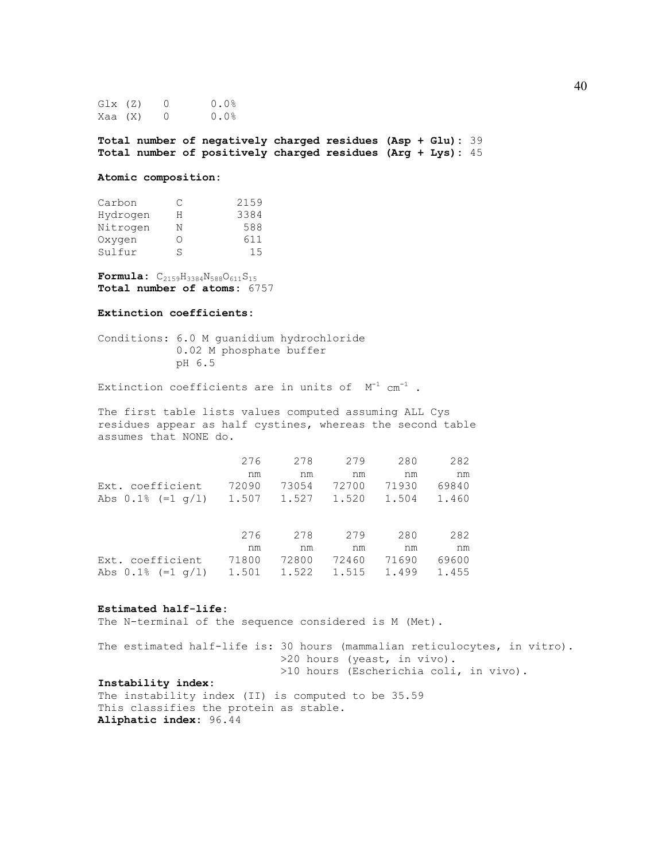| $GLX$ $(Z)$ | $\cup$   | 0.0% |
|-------------|----------|------|
| Xaa (X)     | $\Omega$ | 0.0% |

**Total number of negatively charged residues (Asp + Glu):** 39 **Total number of positively charged residues (Arg + Lys):** 45

#### **Atomic composition:**

| Carbon   | C               | 2159 |
|----------|-----------------|------|
| Hydrogen | н               | 3384 |
| Nitrogen | Ν               | 588  |
| Oxvgen   | $\left(\right)$ | 611  |
| Sulfur   | S               | 15   |
|          |                 |      |

**Formula:**  $C_{2159}H_{3384}N_{588}O_{611}S_{15}$ **Total number of atoms:** 6757

#### **Extinction coefficients:**

Conditions: 6.0 M guanidium hydrochloride 0.02 M phosphate buffer pH 6.5

Extinction coefficients are in units of  $M^{-1}$  cm<sup>-1</sup> .

The first table lists values computed assuming ALL Cys residues appear as half cystines, whereas the second table assumes that NONE do.

|                                                    | 276 | 278 | 279 | 280                           | 282 |
|----------------------------------------------------|-----|-----|-----|-------------------------------|-----|
|                                                    | nm  | nm  | nm  | nm                            | nm  |
| Ext. coefficient                                   |     |     |     | 72090 73054 72700 71930 69840 |     |
| Abs 0.1% (=1 $q/1$ ) 1.507 1.527 1.520 1.504 1.460 |     |     |     |                               |     |

|                                                      |    | 276 278 |    | 279 280                       | 282 |
|------------------------------------------------------|----|---------|----|-------------------------------|-----|
|                                                      | nm | nm      | nm | nm                            | nm  |
| Ext. coefficient                                     |    |         |    | 71800 72800 72460 71690 69600 |     |
| Abs 0.1% (=1 q/l)  1.501  1.522  1.515  1.499  1.455 |    |         |    |                               |     |

#### **Estimated half-life:**

The N-terminal of the sequence considered is M (Met).

The estimated half-life is: 30 hours (mammalian reticulocytes, in vitro). >20 hours (yeast, in vivo). >10 hours (Escherichia coli, in vivo). **Instability index:**

The instability index (II) is computed to be 35.59 This classifies the protein as stable. **Aliphatic index:** 96.44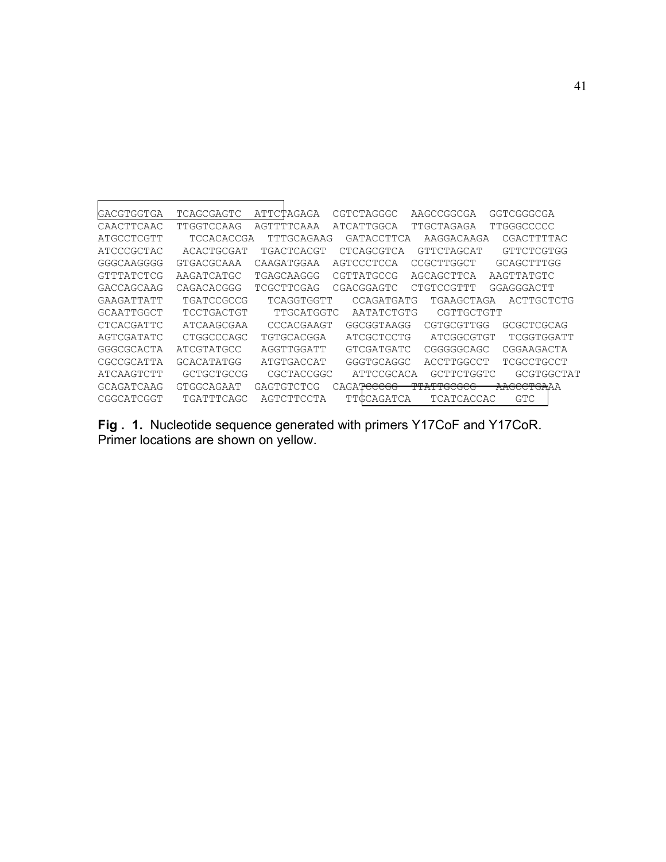| GACGTGGTGA | TCAGCGAGTC | ATTCTAGAGA        | CGTCTAGGGC | AAGCCGGCGA            | GGTCGGGCGA             |
|------------|------------|-------------------|------------|-----------------------|------------------------|
| CAACTTCAAC | TTGGTCCAAG | AGTTTTCAAA        | ATCATTGGCA | TTGCTAGAGA            | TTGGGCCCCC             |
| ATGCCTCGTT | TCCACACCGA | TTTGCAGAAG        | GATACCTTCA | AAGGACAAGA            | CGACTTTTAC             |
| ATCCCGCTAC | ACACTGCGAT | TGACTCACGT        | CTCAGCGTCA | GTTCTAGCAT            | GTTCTCGTGG             |
| GGGCAAGGGG | GTGACGCAAA | CAAGATGGAA        | AGTCCCTCCA | CCGCTTGGCT            | GCAGCTTTGG             |
| GTTTATCTCG | AAGATCATGC | TGAGCAAGGG        | CGTTATGCCG | AGCAGCTTCA            | AAGTTATGTC             |
| GACCAGCAAG | CAGACACGGG | TCGCTTCGAG        | CGACGGAGTC | CTGTCCGTTT            | GGAGGGACTT             |
| GAAGATTATT | TGATCCGCCG | TCAGGTGGTT        | CCAGATGATG | TGAAGCTAGA            | ACTTGCTCTG             |
| GCAATTGGCT | TCCTGACTGT | TTGCATGGTC        | AATATCTGTG | CGTTGCTGTT            |                        |
| CTCACGATTC | ATCAAGCGAA | CCCACGAAGT        | GGCGGTAAGG | CGTGCGTTGG            | GCGCTCGCAG             |
| AGTCGATATC | CTGGCCCAGC | TGTGCACGGA        | ATCGCTCCTG | ATCGGCGTGT            | TCGGTGGATT             |
| GGGCGCACTA | ATCGTATGCC | AGGTTGGATT        | GTCGATGATC | CGGGGGCAGC            | CGGAAGACTA             |
| CGCCGCATTA | GCACATATGG | ATGTGACCAT        | GGGTGCAGGC | ACCTTGGCCT            | TCGCCTGCCT             |
| ATCAAGTCTT | GCTGCTGCCG | CGCTACCGGC        | ATTCCGCACA | GCTTCTGGTC            | GCGTGGCTAT             |
| GCAGATCAAG | GTGGCAGAAT | <b>GAGTGTCTCG</b> | CAGATeeegg | <del>TTATTGCGCG</del> | <del>AAGCCTGA</del> AA |
| CGGCATCGGT | TGATTTCAGC | AGTCTTCCTA        | TTGCAGATCA | TCATCACCAC            | GTC                    |

**Fig . 1.** Nucleotide sequence generated with primers Y17CoF and Y17CoR. Primer locations are shown on yellow.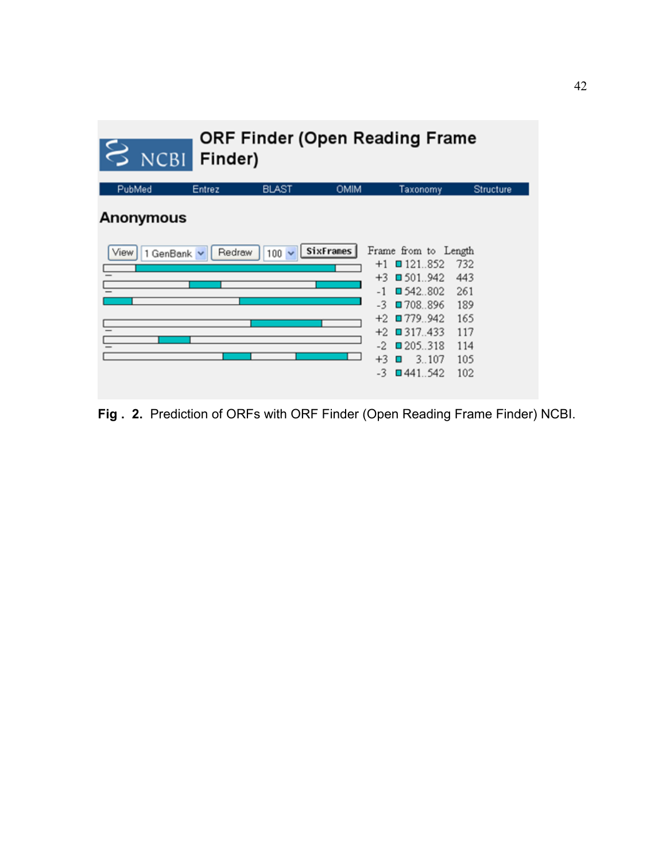| NCBI              | Finder) |              |             | ORF Finder (Open Reading Frame |                  |
|-------------------|---------|--------------|-------------|--------------------------------|------------------|
| PubMed            | Entrez  | <b>BLAST</b> | <b>OMIM</b> | Taxonomy                       | <b>Structure</b> |
| <b>Anonymous</b>  |         |              |             |                                |                  |
| View<br>1 GenBank | Redraw  | 100          | SixFrames   | Frame from to Length           |                  |
|                   |         |              |             | $+1$ 0 121.852                 | 732              |
|                   |         |              |             | $+3$ 0 501.942                 | 443              |
|                   |         |              |             | $-1$ 342.802                   | 261              |
|                   |         |              |             | $-3$ 0708.896                  | 189              |
|                   |         |              |             | $+2$ 0779.942                  | 165              |
|                   |         |              |             | $+2$ 0 317.433                 | 117              |
|                   |         |              |             | $-2$ 0205.318                  | 114              |
|                   |         |              |             | $+3$<br>3.107<br>п             | 105              |
|                   |         |              |             | $-3$<br>$\Box$ 441.542         | 102              |

**Fig . 2.** Prediction of ORFs with ORF Finder (Open Reading Frame Finder) NCBI.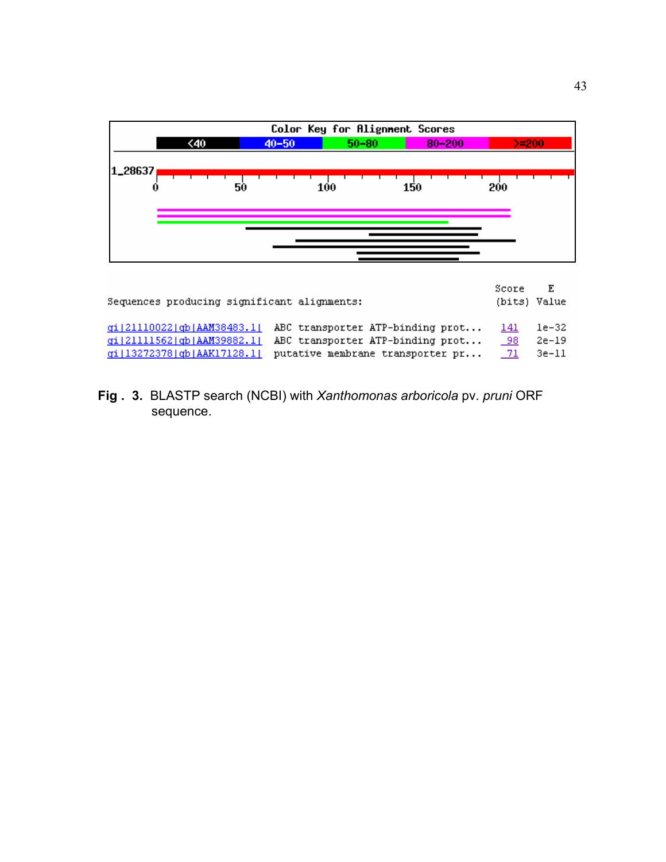

| Sequences producing significant alignments: |                                  |        | (bits) Value |
|---------------------------------------------|----------------------------------|--------|--------------|
| ai 21110022  ab AAM38483.1                  | ABC transporter ATP-binding prot | -141   | le-32        |
| qi 21111562 qb AAM39882.1                   | ABC transporter ATP-binding prot | 98.    | 2e-19        |
| ai  13272378  ab  AAK17128.1                | putative membrane transporter pr | - 71 - | 3e-ll        |

**Fig . 3.** BLASTP search (NCBI) with *Xanthomonas arboricola* pv. *pruni* ORF sequence.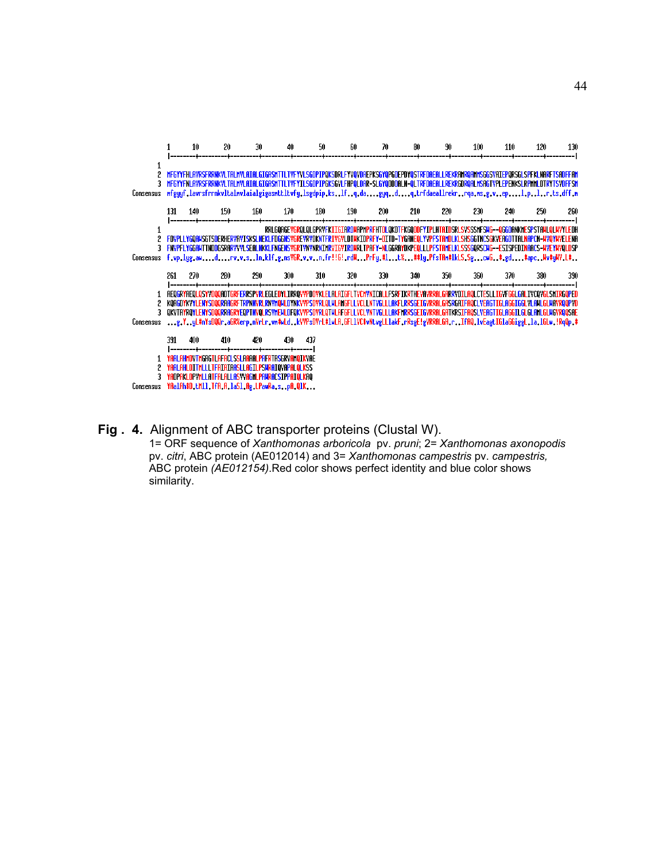

#### **Fig . 4.** Alignment of ABC transporter proteins (Clustal W).

 1= ORF sequence of *Xanthomonas arboricola* pv. *pruni*; 2= *Xanthomonas axonopodis* pv. *citri*, ABC protein (AE012014) and 3= *Xanthomonas campestris* pv. *campestris,* ABC protein *(AE012154)*.Red color shows perfect identity and blue color shows similarity.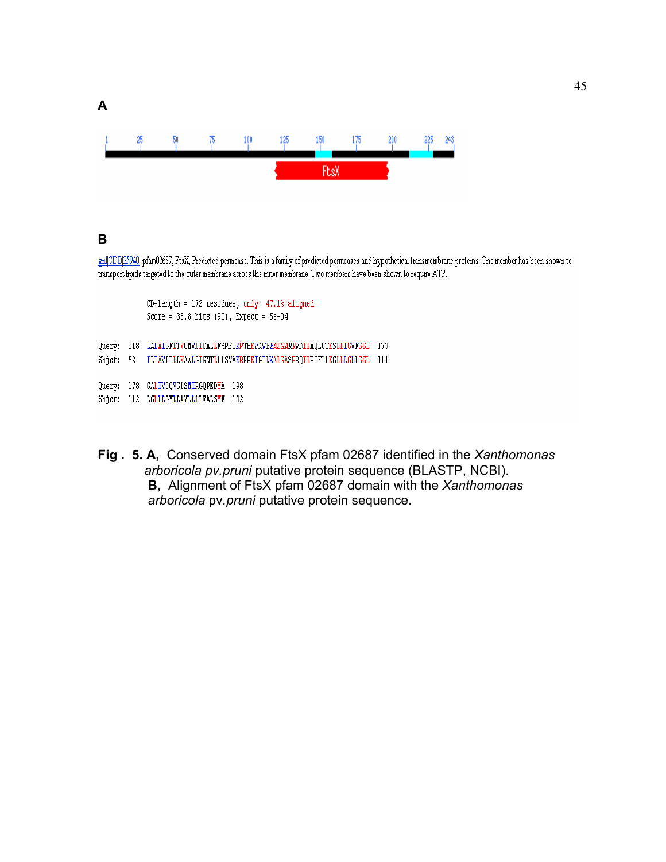

# **B**

**A** 

gnlCDD[25940, pfam02687, FtsX, Predicted permease. This is a family of predicted permeases and hypothetical transmembrane proteins. One member has been shown to transport lipids targeted to the outer membrane across the inner membrane. Two members have been shown to require ATP.

```
CD-Length = 172 residues, only 47.1<sup>*</sup> aligned
             Score = 38.8 bits (90), Expect = 5e-04Query: 118 LALAIGFLTVCMVNICALLFSRFIKRTHEVAVRRALGARKVDILAQLCTESLLIGVFGGL 177
Sbjct: 52 ILIAVLILLVAALGIGNTLLLSVAERRREIGILKALGASRRQILRIFLLEGLLLGLLGGL 111
Query: 178 GALIVCQVGLSMIRGQPEDYA 198
Sbjct: 112 LGLLLGYLLAYLLLLVALSYF 132
```
**Fig . 5. A,** Conserved domain FtsX pfam 02687 identified in the *Xanthomonas arboricola pv.pruni* putative protein sequence (BLASTP, NCBI). **B,** Alignment of FtsX pfam 02687 domain with the *Xanthomonas arboricola* pv*.pruni* putative protein sequence.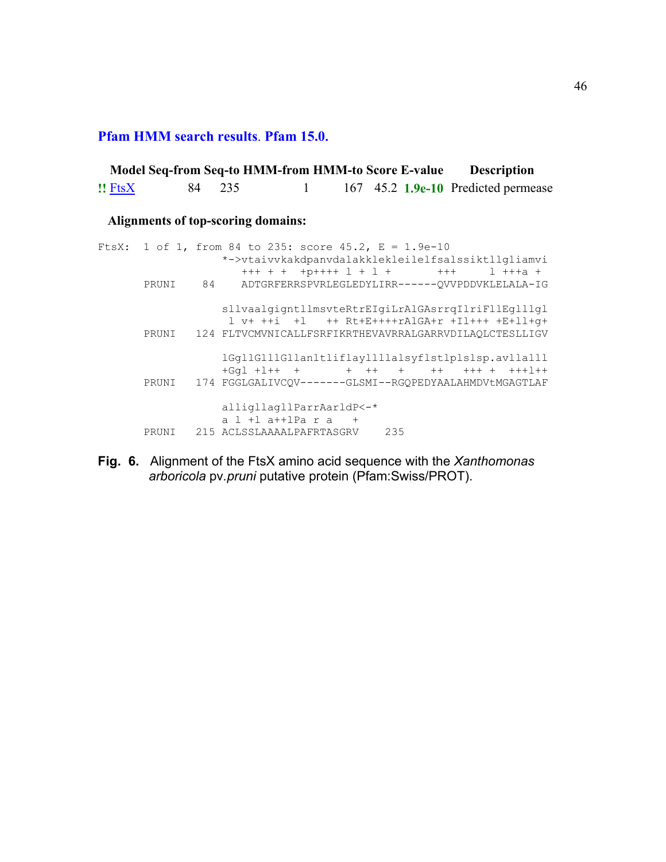**Pfam HMM search results**. **Pfam 15.0.**

|              |        | Model Seq-from Seq-to HMM-from HMM-to Score E-value |  | <b>Description</b>                  |  |
|--------------|--------|-----------------------------------------------------|--|-------------------------------------|--|
| $!!$ Fts $X$ | 84 235 |                                                     |  | 167 45.2 1.9e-10 Predicted permease |  |

# **Alignments of top-scoring domains:**

|  | FtsX: 1 of 1, from 84 to 235: score 45.2, $E = 1.9e-10$      |
|--|--------------------------------------------------------------|
|  | *->vtaivvkakdpanvdalakklekleilelfsalssiktllgliamvi           |
|  |                                                              |
|  | PRUNI 84 ADTGRFERRSPVRLEGLEDYLIRR------OVVPDDVKLELALA-IG     |
|  |                                                              |
|  | sllvaalgigntllmsvteRtrEIgiLrAlGAsrrgIlriFllEglllgl           |
|  |                                                              |
|  | 1 v+ ++i +1 ++ Rt+E++++rAlGA+r +Il+++ +E+ll+q+               |
|  | PRUNI 124 FLTVCMVNICALLFSRFIKRTHEVAVRRALGARRVDILAOLCTESLLIGV |
|  |                                                              |
|  | 1Gq11G111G11an1t1if1ay1111alsyf1st1p1s1sp.av11a111           |
|  |                                                              |
|  |                                                              |
|  | PRUNI 174 FGGLGALIVCOV-------GLSMI--RGOPEDYAALAHMDVtMGAGTLAF |
|  |                                                              |
|  | alligllagllParrAarldP<-*                                     |
|  | $a$ 1 + 1 a + + 1 Pa $r$ a +                                 |
|  | PRUNI 215 ACLSSLAAAALPAFRTASGRV 235                          |

**Fig. 6.** Alignment of the FtsX amino acid sequence with the *Xanthomonas arboricola* pv*.pruni* putative protein (Pfam:Swiss/PROT).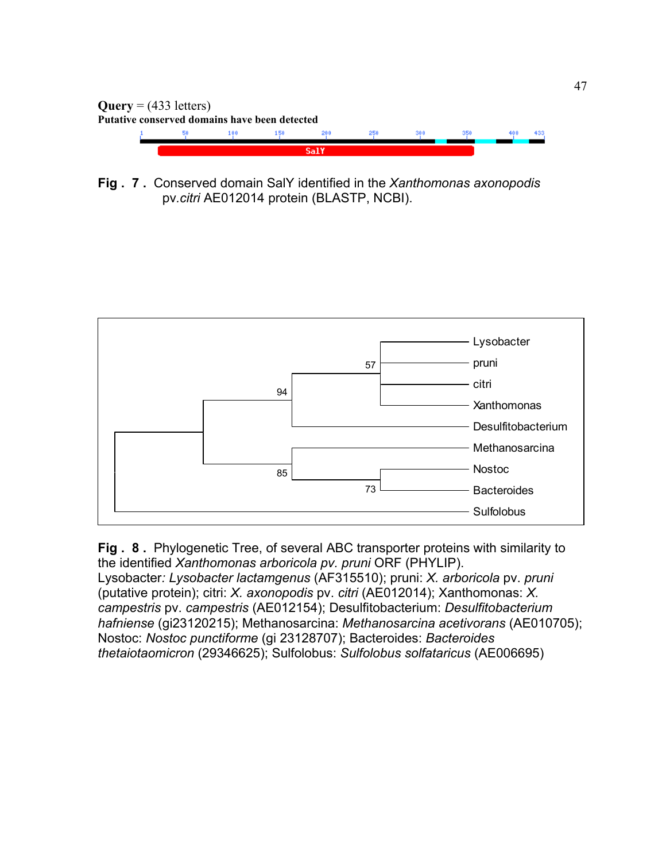

**Fig . 7 .** Conserved domain SalY identified in the *Xanthomonas axonopodis* pv*.citri* AE012014 protein (BLASTP, NCBI).



**Fig . 8 .** Phylogenetic Tree, of several ABC transporter proteins with similarity to the identified *Xanthomonas arboricola pv. pruni* ORF (PHYLIP). Lysobacter*: Lysobacter lactamgenus* (AF315510); pruni: *X. arboricola* pv. *pruni* (putative protein); citri: *X. axonopodis* pv. *citri* (AE012014); Xanthomonas: *X. campestris* pv. *campestris* (AE012154); Desulfitobacterium: *Desulfitobacterium hafniense* (gi23120215); Methanosarcina: *Methanosarcina acetivorans* (AE010705); Nostoc: *Nostoc punctiforme* (gi 23128707); Bacteroides: *Bacteroides thetaiotaomicron* (29346625); Sulfolobus: *Sulfolobus solfataricus* (AE006695)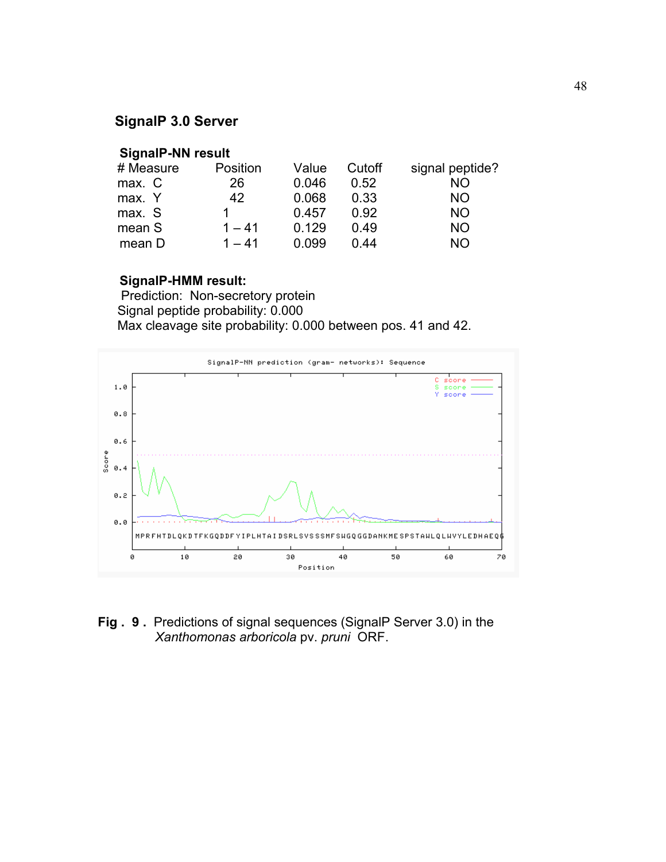# **SignalP 3.0 Server**

# **SignalP-NN result**

| # Measure | Position | Value        | Cutoff | signal peptide? |
|-----------|----------|--------------|--------|-----------------|
| max. C    | 26       | 0.046        | 0.52   | <b>NO</b>       |
| max. Y    | 42       | 0.068        | 0.33   | NΟ              |
| max. S    |          | 0.457        | በ 92   | NΟ              |
| mean S    | $1 - 41$ | 0.129        | በ 49   | NΟ              |
| mean D    | $1 - 41$ | <u>በ በ99</u> | በ 44   | חמ              |

# **SignalP-HMM result:**

 Prediction: Non-secretory protein Signal peptide probability: 0.000 Max cleavage site probability: 0.000 between pos. 41 and 42.



**Fig . 9 .** Predictions of signal sequences (SignalP Server 3.0) in the *Xanthomonas arboricola* pv. *pruni* ORF.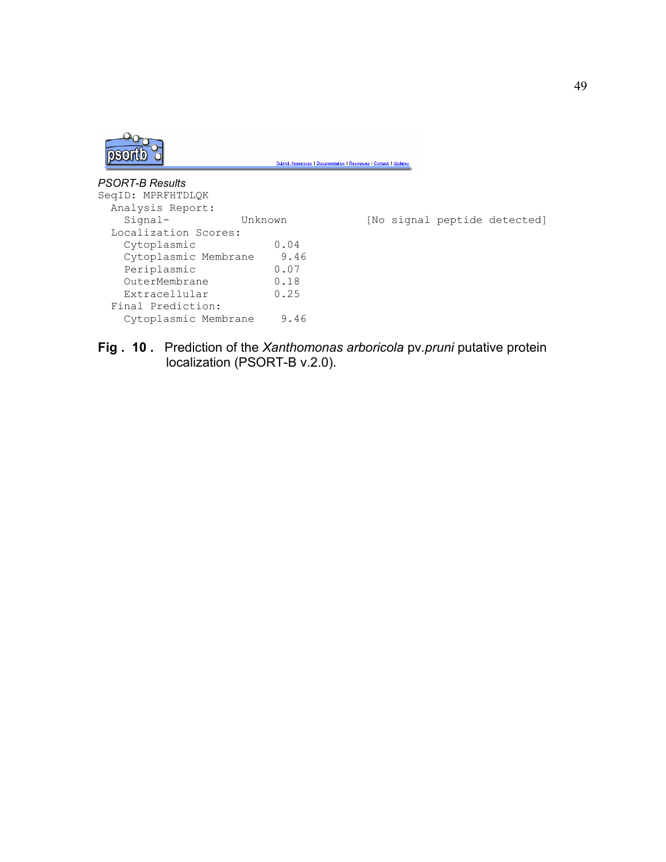

**Fig . 10 .** Prediction of the *Xanthomonas arboricola* pv*.pruni* putative protein localization (PSORT-B v.2.0).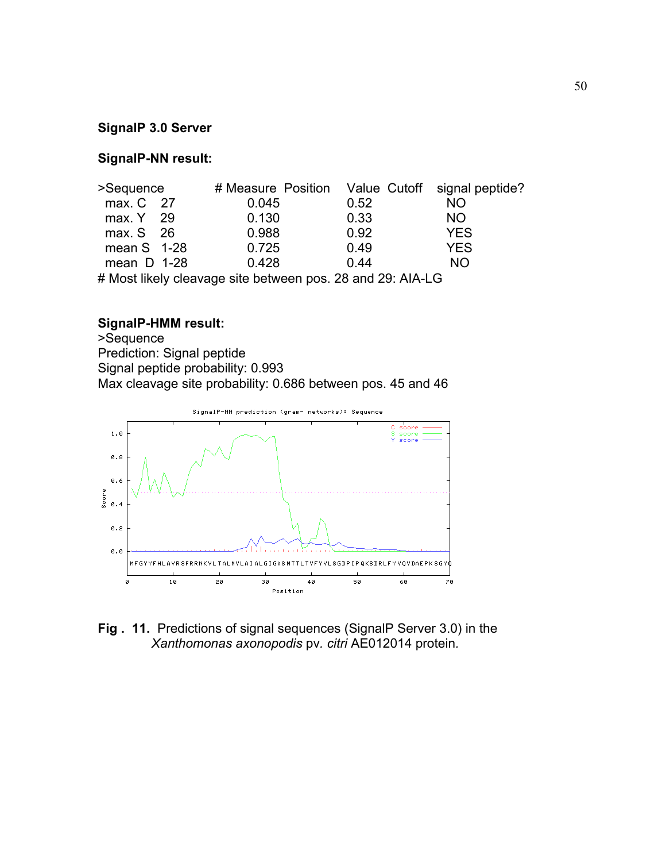# **SignalP 3.0 Server**

# **SignalP-NN result:**

| >Sequence                                                  |  |       |      | # Measure Position Value Cutoff signal peptide? |  |
|------------------------------------------------------------|--|-------|------|-------------------------------------------------|--|
| max. C 27                                                  |  | 0.045 | 0.52 | <b>NO</b>                                       |  |
| max. Y 29                                                  |  | 0.130 | 0.33 | <b>NO</b>                                       |  |
| max. S 26                                                  |  | 0.988 | 0.92 | <b>YES</b>                                      |  |
| mean $S$ 1-28                                              |  | 0.725 | 0.49 | <b>YES</b>                                      |  |
| mean $D$ 1-28                                              |  | 0.428 | 0.44 | NO.                                             |  |
| # Most likely cleavage site between pos. 28 and 29: AIA-LG |  |       |      |                                                 |  |

# **SignalP-HMM result:**

>Sequence Prediction: Signal peptide Signal peptide probability: 0.993 Max cleavage site probability: 0.686 between pos. 45 and 46



**Fig . 11.** Predictions of signal sequences (SignalP Server 3.0) in the *Xanthomonas axonopodis* pv*. citri* AE012014 protein*.*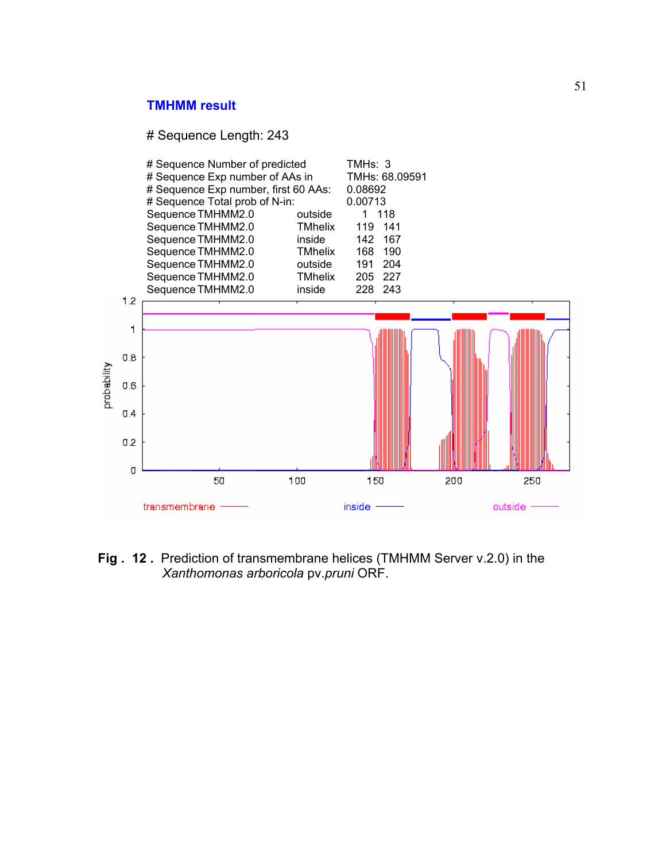# **TMHMM result**

# Sequence Length: 243



**Fig . 12 .** Prediction of transmembrane helices (TMHMM Server v.2.0) in the *Xanthomonas arboricola* pv.*pruni* ORF.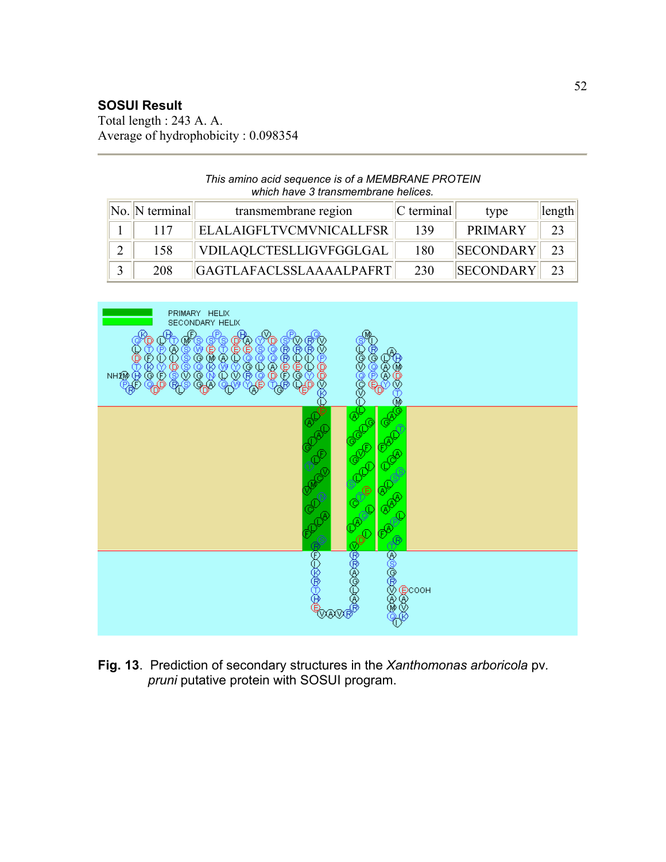# **SOSUI Result**

Total length : 243 A. A. Average of hydrophobicity : 0.098354

### *This amino acid sequence is of a MEMBRANE PROTEIN which have 3 transmembrane helices.*

| $\vert\vert$ No. $\vert\vert$ N terminal $\vert\vert$ | transmembrane region           | $ C \text{ terminal} $ | type             | $\ $ length |
|-------------------------------------------------------|--------------------------------|------------------------|------------------|-------------|
| 117                                                   | <b>ELALAIGFLTVCMVNICALLFSR</b> | 139                    | <b>PRIMARY</b>   | 23          |
| 158                                                   | VDILAQLCTESLLIGVFGGLGAL        | 180                    | <b>SECONDARY</b> | 23          |
| 208                                                   | GAGTLAFACLSSLAAAALPAFRT        | 230                    | <b>SECONDARY</b> |             |



**Fig. 13**. Prediction of secondary structures in the *Xanthomonas arboricola* pv*. pruni* putative protein with SOSUI program.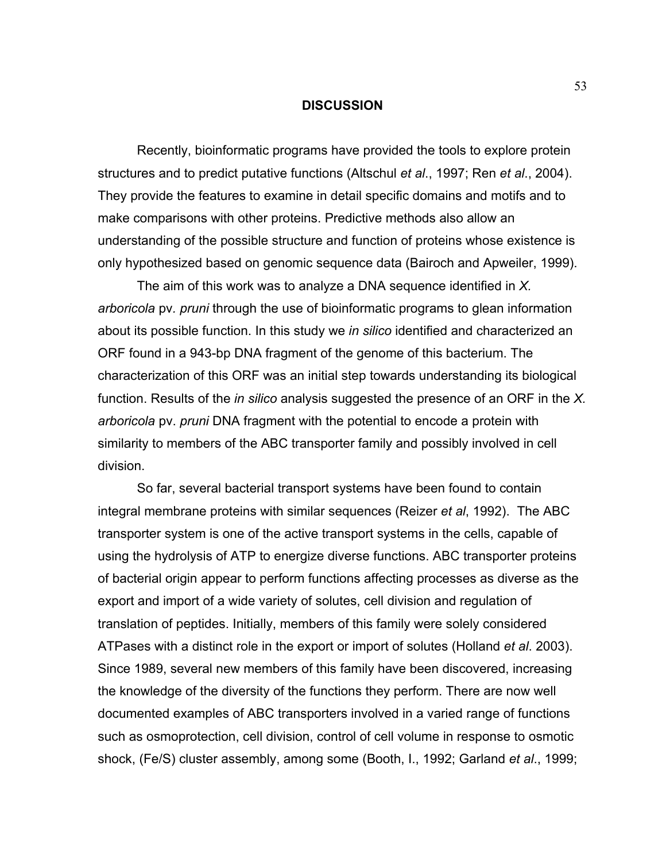### **DISCUSSION**

 Recently, bioinformatic programs have provided the tools to explore protein structures and to predict putative functions (Altschul *et al*., 1997; Ren *et al*., 2004). They provide the features to examine in detail specific domains and motifs and to make comparisons with other proteins. Predictive methods also allow an understanding of the possible structure and function of proteins whose existence is only hypothesized based on genomic sequence data (Bairoch and Apweiler, 1999).

 The aim of this work was to analyze a DNA sequence identified in *X. arboricola* pv*. pruni* through the use of bioinformatic programs to glean information about its possible function. In this study we *in silico* identified and characterized an ORF found in a 943-bp DNA fragment of the genome of this bacterium. The characterization of this ORF was an initial step towards understanding its biological function. Results of the *in silico* analysis suggested the presence of an ORF in the *X. arboricola* pv. *pruni* DNA fragment with the potential to encode a protein with similarity to members of the ABC transporter family and possibly involved in cell division.

 So far, several bacterial transport systems have been found to contain integral membrane proteins with similar sequences (Reizer *et al*, 1992). The ABC transporter system is one of the active transport systems in the cells, capable of using the hydrolysis of ATP to energize diverse functions. ABC transporter proteins of bacterial origin appear to perform functions affecting processes as diverse as the export and import of a wide variety of solutes, cell division and regulation of translation of peptides. Initially, members of this family were solely considered ATPases with a distinct role in the export or import of solutes (Holland *et al*. 2003). Since 1989, several new members of this family have been discovered, increasing the knowledge of the diversity of the functions they perform. There are now well documented examples of ABC transporters involved in a varied range of functions such as osmoprotection, cell division, control of cell volume in response to osmotic shock, (Fe/S) cluster assembly, among some (Booth, I., 1992; Garland *et al*., 1999;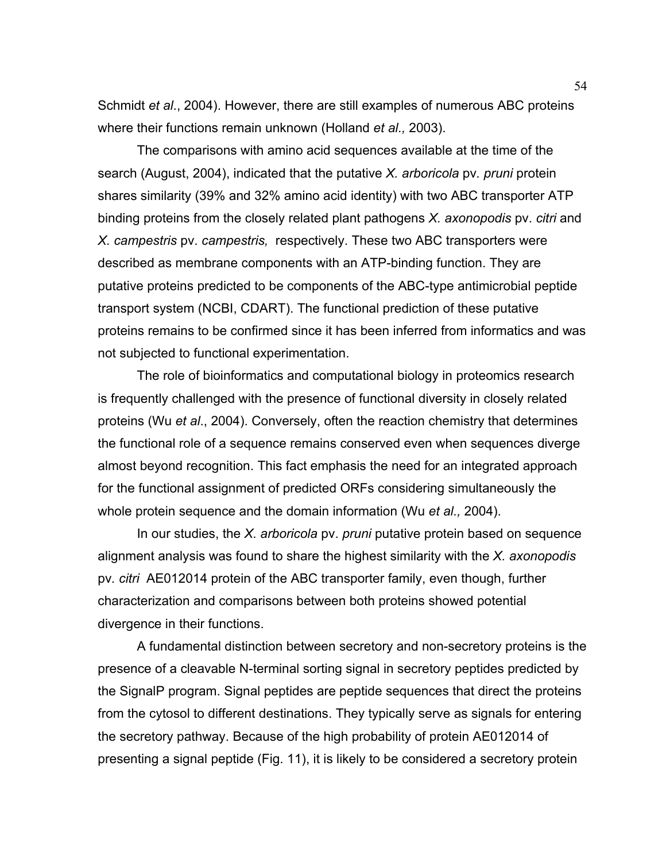Schmidt *et al*., 2004). However, there are still examples of numerous ABC proteins where their functions remain unknown (Holland *et al.,* 2003).

 The comparisons with amino acid sequences available at the time of the search (August, 2004), indicated that the putative *X. arboricola* pv*. pruni* protein shares similarity (39% and 32% amino acid identity) with two ABC transporter ATP binding proteins from the closely related plant pathogens *X. axonopodis* pv. *citri* and *X. campestris* pv. *campestris,* respectively. These two ABC transporters were described as membrane components with an ATP-binding function. They are putative proteins predicted to be components of the ABC-type antimicrobial peptide transport system (NCBI, CDART). The functional prediction of these putative proteins remains to be confirmed since it has been inferred from informatics and was not subjected to functional experimentation.

 The role of bioinformatics and computational biology in proteomics research is frequently challenged with the presence of functional diversity in closely related proteins (Wu *et al*., 2004). Conversely, often the reaction chemistry that determines the functional role of a sequence remains conserved even when sequences diverge almost beyond recognition. This fact emphasis the need for an integrated approach for the functional assignment of predicted ORFs considering simultaneously the whole protein sequence and the domain information (Wu *et al.,* 2004).

 In our studies, the *X. arboricola* pv. *pruni* putative protein based on sequence alignment analysis was found to share the highest similarity with the *X. axonopodis* pv*. citri* AE012014 protein of the ABC transporter family, even though, further characterization and comparisons between both proteins showed potential divergence in their functions.

 A fundamental distinction between secretory and non-secretory proteins is the presence of a cleavable N-terminal sorting signal in secretory peptides predicted by the SignalP program. Signal peptides are peptide sequences that direct the proteins from the cytosol to different destinations. They typically serve as signals for entering the secretory pathway. Because of the high probability of protein AE012014 of presenting a signal peptide (Fig. 11), it is likely to be considered a secretory protein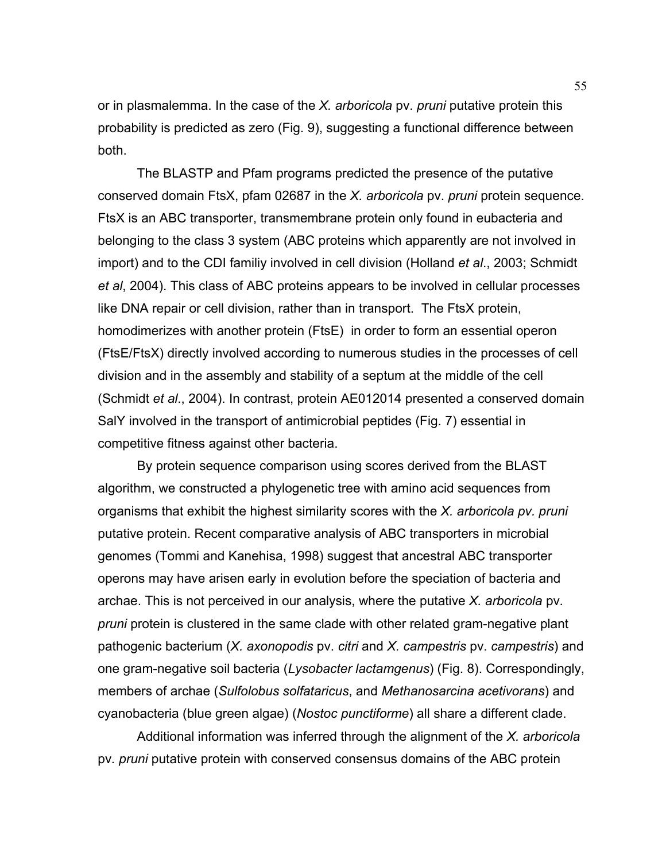or in plasmalemma. In the case of the *X. arboricola* pv. *pruni* putative protein this probability is predicted as zero (Fig. 9), suggesting a functional difference between both.

 The BLASTP and Pfam programs predicted the presence of the putative conserved domain FtsX, pfam 02687 in the *X. arboricola* pv. *pruni* protein sequence. FtsX is an ABC transporter, transmembrane protein only found in eubacteria and belonging to the class 3 system (ABC proteins which apparently are not involved in import) and to the CDI familiy involved in cell division (Holland *et al*., 2003; Schmidt *et al*, 2004). This class of ABC proteins appears to be involved in cellular processes like DNA repair or cell division, rather than in transport. The FtsX protein, homodimerizes with another protein (FtsE) in order to form an essential operon (FtsE/FtsX) directly involved according to numerous studies in the processes of cell division and in the assembly and stability of a septum at the middle of the cell (Schmidt *et al*., 2004). In contrast, protein AE012014 presented a conserved domain SalY involved in the transport of antimicrobial peptides (Fig. 7) essential in competitive fitness against other bacteria.

 By protein sequence comparison using scores derived from the BLAST algorithm, we constructed a phylogenetic tree with amino acid sequences from organisms that exhibit the highest similarity scores with the *X. arboricola pv. pruni* putative protein. Recent comparative analysis of ABC transporters in microbial genomes (Tommi and Kanehisa, 1998) suggest that ancestral ABC transporter operons may have arisen early in evolution before the speciation of bacteria and archae. This is not perceived in our analysis, where the putative *X. arboricola* pv*. pruni* protein is clustered in the same clade with other related gram-negative plant pathogenic bacterium (*X. axonopodis* pv. *citri* and *X. campestris* pv. *campestris*) and one gram-negative soil bacteria (*Lysobacter lactamgenus*) (Fig. 8). Correspondingly, members of archae (*Sulfolobus solfataricus*, and *Methanosarcina acetivorans*) and cyanobacteria (blue green algae) (*Nostoc punctiforme*) all share a different clade.

 Additional information was inferred through the alignment of the *X. arboricola*  pv*. pruni* putative protein with conserved consensus domains of the ABC protein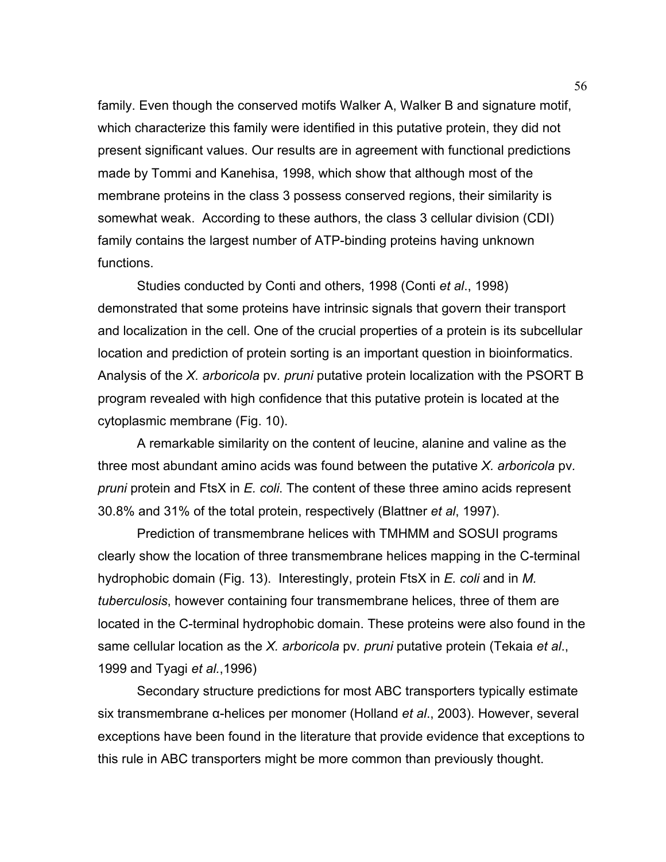family. Even though the conserved motifs Walker A, Walker B and signature motif, which characterize this family were identified in this putative protein, they did not present significant values. Our results are in agreement with functional predictions made by Tommi and Kanehisa, 1998, which show that although most of the membrane proteins in the class 3 possess conserved regions, their similarity is somewhat weak. According to these authors, the class 3 cellular division (CDI) family contains the largest number of ATP-binding proteins having unknown functions.

 Studies conducted by Conti and others, 1998 (Conti *et al*., 1998) demonstrated that some proteins have intrinsic signals that govern their transport and localization in the cell. One of the crucial properties of a protein is its subcellular location and prediction of protein sorting is an important question in bioinformatics. Analysis of the *X. arboricola* pv*. pruni* putative protein localization with the PSORT B program revealed with high confidence that this putative protein is located at the cytoplasmic membrane (Fig. 10).

 A remarkable similarity on the content of leucine, alanine and valine as the three most abundant amino acids was found between the putative *X. arboricola* pv*. pruni* protein and FtsX in *E. coli*. The content of these three amino acids represent 30.8% and 31% of the total protein, respectively (Blattner *et al*, 1997).

 Prediction of transmembrane helices with TMHMM and SOSUI programs clearly show the location of three transmembrane helices mapping in the C-terminal hydrophobic domain (Fig. 13). Interestingly, protein FtsX in *E. coli* and in *M. tuberculosis*, however containing four transmembrane helices, three of them are located in the C-terminal hydrophobic domain. These proteins were also found in the same cellular location as the *X. arboricola* pv*. pruni* putative protein (Tekaia *et al*., 1999 and Tyagi *et al.*,1996)

 Secondary structure predictions for most ABC transporters typically estimate six transmembrane α-helices per monomer (Holland *et al*., 2003). However, several exceptions have been found in the literature that provide evidence that exceptions to this rule in ABC transporters might be more common than previously thought.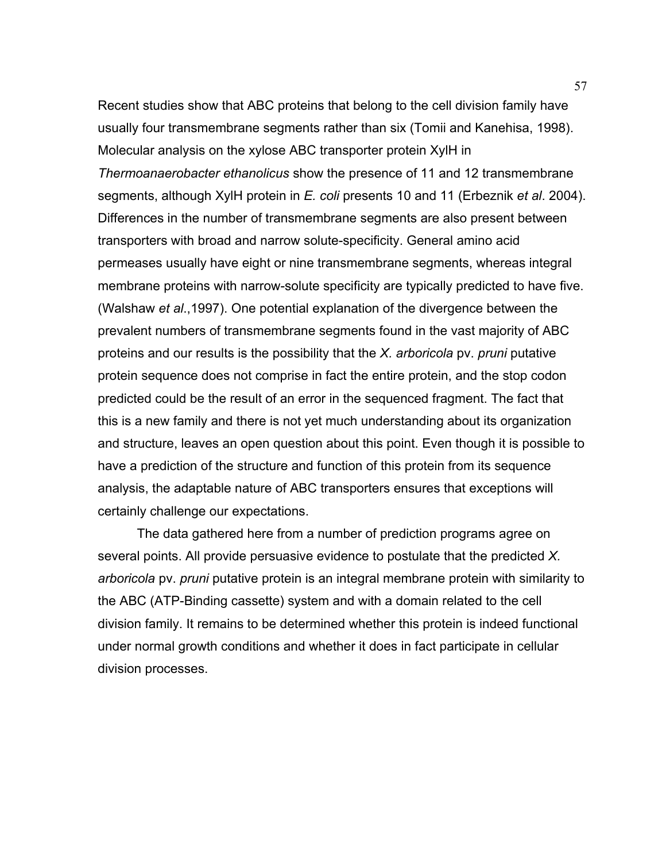Recent studies show that ABC proteins that belong to the cell division family have usually four transmembrane segments rather than six (Tomii and Kanehisa, 1998). Molecular analysis on the xylose ABC transporter protein XylH in *Thermoanaerobacter ethanolicus* show the presence of 11 and 12 transmembrane segments, although XylH protein in *E. coli* presents 10 and 11 (Erbeznik *et al*. 2004). Differences in the number of transmembrane segments are also present between transporters with broad and narrow solute-specificity. General amino acid permeases usually have eight or nine transmembrane segments, whereas integral membrane proteins with narrow-solute specificity are typically predicted to have five. (Walshaw *et al*.,1997). One potential explanation of the divergence between the prevalent numbers of transmembrane segments found in the vast majority of ABC proteins and our results is the possibility that the *X. arboricola* pv. *pruni* putative protein sequence does not comprise in fact the entire protein, and the stop codon predicted could be the result of an error in the sequenced fragment. The fact that this is a new family and there is not yet much understanding about its organization and structure, leaves an open question about this point. Even though it is possible to have a prediction of the structure and function of this protein from its sequence analysis, the adaptable nature of ABC transporters ensures that exceptions will certainly challenge our expectations.

 The data gathered here from a number of prediction programs agree on several points. All provide persuasive evidence to postulate that the predicted *X. arboricola* pv. *pruni* putative protein is an integral membrane protein with similarity to the ABC (ATP-Binding cassette) system and with a domain related to the cell division family. It remains to be determined whether this protein is indeed functional under normal growth conditions and whether it does in fact participate in cellular division processes.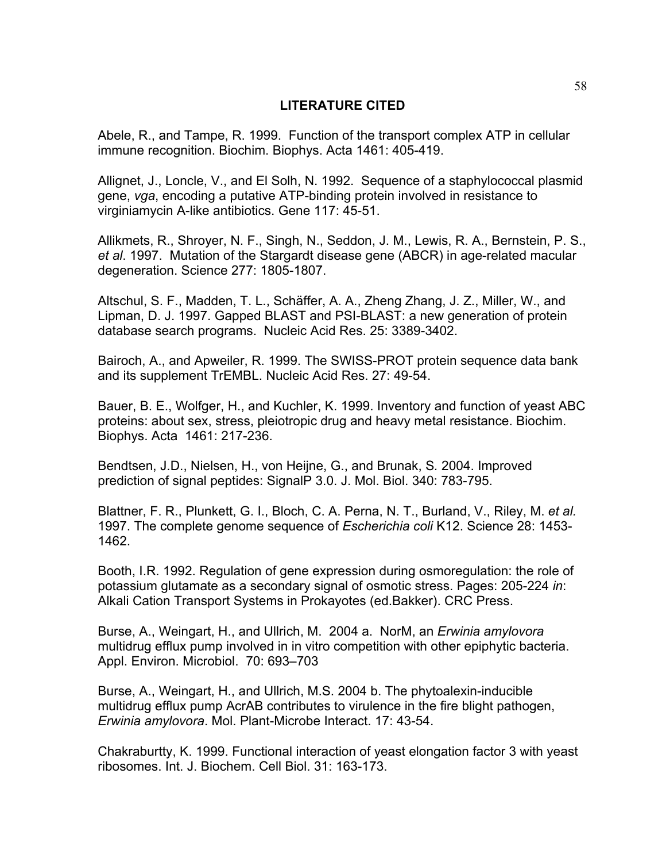# **LITERATURE CITED**

Abele, R., and Tampe, R. 1999. Function of the transport complex ATP in cellular immune recognition. Biochim. Biophys. Acta 1461: 405-419.

Allignet, J., Loncle, V., and El Solh, N. 1992. Sequence of a staphylococcal plasmid gene, *vga*, encoding a putative ATP-binding protein involved in resistance to virginiamycin A-like antibiotics. Gene 117: 45-51.

Allikmets, R., Shroyer, N. F., Singh, N., Seddon, J. M., Lewis, R. A., Bernstein, P. S., *et al*. 1997. Mutation of the Stargardt disease gene (ABCR) in age-related macular degeneration. Science 277: 1805-1807.

Altschul, S. F., Madden, T. L., Schäffer, A. A., Zheng Zhang, J. Z., Miller, W., and Lipman, D. J. 1997. Gapped BLAST and PSI-BLAST: a new generation of protein database search programs. Nucleic Acid Res. 25: 3389-3402.

Bairoch, A., and Apweiler, R. 1999. The SWISS-PROT protein sequence data bank and its supplement TrEMBL. Nucleic Acid Res. 27: 49-54.

Bauer, B. E., Wolfger, H., and Kuchler, K. 1999. Inventory and function of yeast ABC proteins: about sex, stress, pleiotropic drug and heavy metal resistance. Biochim. Biophys. Acta 1461: 217-236.

Bendtsen, J.D., Nielsen, H., von Heijne, G., and Brunak, S*.* 2004. Improved prediction of signal peptides: SignalP 3.0. J. Mol. Biol. 340: 783-795.

Blattner, F. R., Plunkett, G. I., Bloch, C. A. Perna, N. T., Burland, V., Riley, M. *et al.* 1997. The complete genome sequence of *Escherichia coli* K12. Science 28: 1453- 1462.

Booth, I.R. 1992. Regulation of gene expression during osmoregulation: the role of potassium glutamate as a secondary signal of osmotic stress. Pages: 205-224 *in*: Alkali Cation Transport Systems in Prokayotes (ed.Bakker). CRC Press.

Burse, A., Weingart, H., and Ullrich, M. 2004 a. NorM, an *Erwinia amylovora* multidrug efflux pump involved in in vitro competition with other epiphytic bacteria. Appl. Environ. Microbiol. 70: 693–703

Burse, A., Weingart, H., and Ullrich, M.S. 2004 b. The phytoalexin-inducible multidrug efflux pump AcrAB contributes to virulence in the fire blight pathogen, *Erwinia amylovora*. Mol. Plant-Microbe Interact. 17: 43-54.

Chakraburtty, K. 1999. Functional interaction of yeast elongation factor 3 with yeast ribosomes. Int. J. Biochem. Cell Biol. 31: 163-173.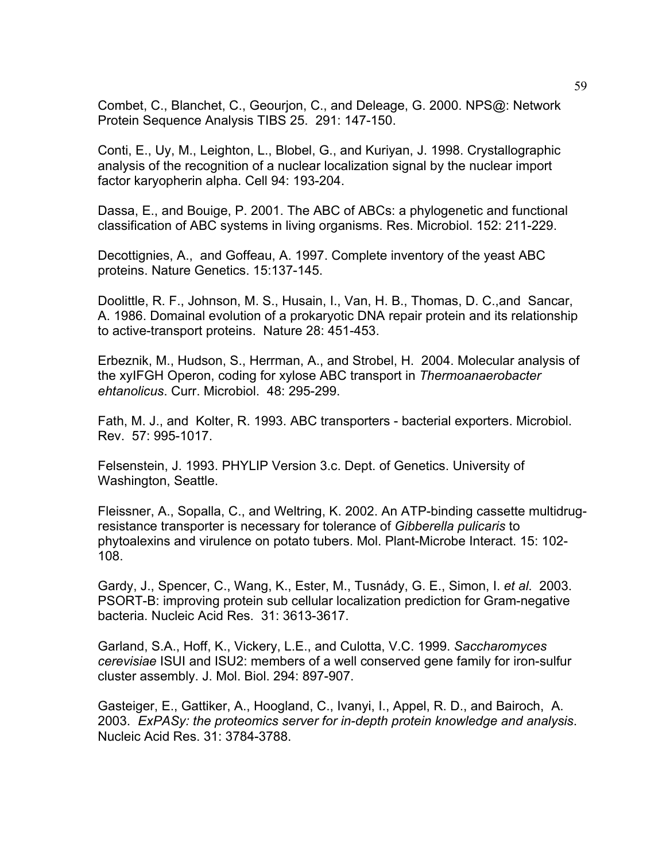Combet, C., Blanchet, C., Geourjon, C., and Deleage, G. 2000. NPS@: Network Protein Sequence Analysis TIBS 25. 291: 147-150.

Conti, E., Uy, M., Leighton, L., Blobel, G., and Kuriyan, J. 1998. Crystallographic analysis of the recognition of a nuclear localization signal by the nuclear import factor karyopherin alpha. Cell 94: 193-204.

Dassa, E., and Bouige, P. 2001. The ABC of ABCs: a phylogenetic and functional classification of ABC systems in living organisms. Res. Microbiol. 152: 211-229.

Decottignies, A., and Goffeau, A. 1997. Complete inventory of the yeast ABC proteins. Nature Genetics. 15:137-145.

Doolittle, R. F., Johnson, M. S., Husain, I., Van, H. B., Thomas, D. C.,and Sancar, A. 1986. Domainal evolution of a prokaryotic DNA repair protein and its relationship to active-transport proteins. Nature 28: 451-453.

Erbeznik, M., Hudson, S., Herrman, A., and Strobel, H. 2004. Molecular analysis of the xyIFGH Operon, coding for xylose ABC transport in *Thermoanaerobacter ehtanolicus*. Curr. Microbiol. 48: 295-299.

Fath, M. J., and Kolter, R. 1993. ABC transporters - bacterial exporters. Microbiol. Rev. 57: 995-1017.

Felsenstein, J. 1993. PHYLIP Version 3.c. Dept. of Genetics. University of Washington, Seattle.

Fleissner, A., Sopalla, C., and Weltring, K. 2002. An ATP-binding cassette multidrugresistance transporter is necessary for tolerance of *Gibberella pulicaris* to phytoalexins and virulence on potato tubers. Mol. Plant-Microbe Interact. 15: 102- 108.

Gardy, J., Spencer, C., Wang, K., Ester, M., Tusnády, G. E., Simon, I. *et al*. 2003. PSORT-B: improving protein sub cellular localization prediction for Gram-negative bacteria. Nucleic Acid Res. 31: 3613-3617.

Garland, S.A., Hoff, K., Vickery, L.E., and Culotta, V.C. 1999. *Saccharomyces cerevisiae* ISUI and ISU2: members of a well conserved gene family for iron-sulfur cluster assembly. J. Mol. Biol. 294: 897-907.

Gasteiger, E., Gattiker, A., Hoogland, C., Ivanyi, I., Appel, R. D., and Bairoch, A. 2003. *ExPASy: the proteomics server for in-depth protein knowledge and analysis*. Nucleic Acid Res. 31: 3784-3788.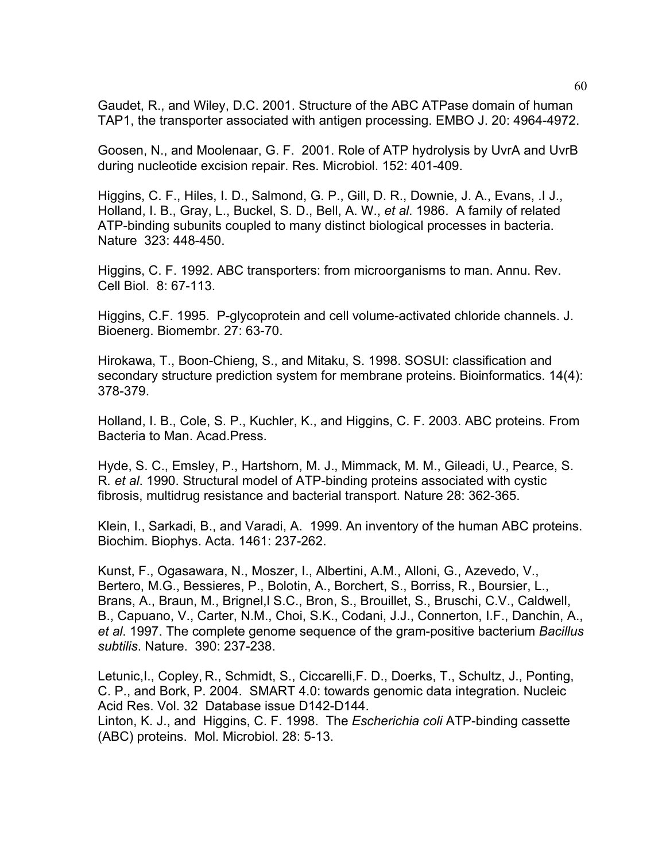Gaudet, R., and Wiley, D.C. 2001. Structure of the ABC ATPase domain of human TAP1, the transporter associated with antigen processing. EMBO J. 20: 4964-4972.

Goosen, N., and Moolenaar, G. F. 2001. Role of ATP hydrolysis by UvrA and UvrB during nucleotide excision repair. Res. Microbiol. 152: 401-409.

Higgins, C. F., Hiles, I. D., Salmond, G. P., Gill, D. R., Downie, J. A., Evans, .I J., Holland, I. B., Gray, L., Buckel, S. D., Bell, A. W., *et al*. 1986. A family of related ATP-binding subunits coupled to many distinct biological processes in bacteria. Nature 323: 448-450.

Higgins, C. F. 1992. ABC transporters: from microorganisms to man. Annu. Rev. Cell Biol. 8: 67-113.

Higgins, C.F. 1995. P-glycoprotein and cell volume-activated chloride channels. J. Bioenerg. Biomembr. 27: 63-70.

Hirokawa, T., Boon-Chieng, S., and Mitaku, S. 1998. SOSUI: classification and secondary structure prediction system for membrane proteins. Bioinformatics. 14(4): 378-379.

Holland, I. B., Cole, S. P., Kuchler, K., and Higgins, C. F. 2003. ABC proteins. From Bacteria to Man. Acad.Press.

Hyde, S. C., Emsley, P., Hartshorn, M. J., Mimmack, M. M., Gileadi, U., Pearce, S. R*. et al*. 1990. Structural model of ATP-binding proteins associated with cystic fibrosis, multidrug resistance and bacterial transport. Nature 28: 362-365.

Klein, I., Sarkadi, B., and Varadi, A. 1999. An inventory of the human ABC proteins. Biochim. Biophys. Acta. 1461: 237-262.

Kunst, F., Ogasawara, N., Moszer, I., Albertini, A.M., Alloni, G., Azevedo, V., Bertero, M.G., Bessieres, P., Bolotin, A., Borchert, S., Borriss, R., Boursier, L., Brans, A., Braun, M., Brignel,l S.C., Bron, S., Brouillet, S., Bruschi, C.V., Caldwell, B., Capuano, V., Carter, N.M., Choi, S.K., Codani, J.J., Connerton, I.F., Danchin, A., *et al*. 1997. The complete genome sequence of the gram-positive bacterium *Bacillus subtilis*. Nature. 390: 237-238.

Letunic,I., Copley, R., Schmidt, S., Ciccarelli,F. D., Doerks, T., Schultz, J., Ponting, C. P., and Bork, P. 2004. SMART 4.0: towards genomic data integration. Nucleic Acid Res. Vol. 32 Database issue D142-D144. Linton, K. J., and Higgins, C. F. 1998. The *Escherichia coli* ATP-binding cassette (ABC) proteins. Mol. Microbiol. 28: 5-13.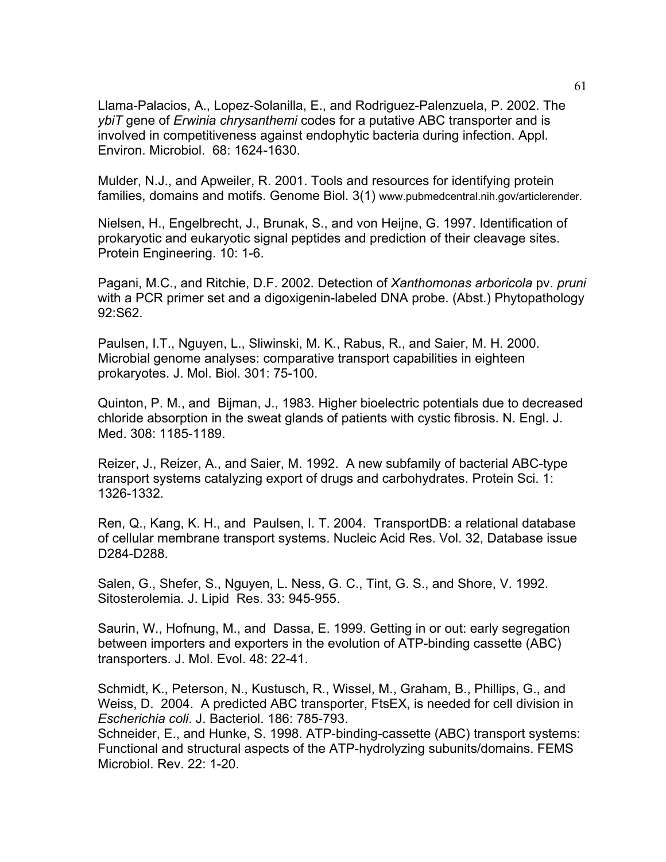Llama-Palacios, A., Lopez-Solanilla, E., and Rodriguez-Palenzuela, P. 2002. The *ybiT* gene of *Erwinia chrysanthemi* codes for a putative ABC transporter and is involved in competitiveness against endophytic bacteria during infection. Appl. Environ. Microbiol. 68: 1624-1630.

Mulder, N.J., and Apweiler, R. 2001. Tools and resources for identifying protein families, domains and motifs. Genome Biol. 3(1) www.pubmedcentral.nih.gov/articlerender.

Nielsen, H., Engelbrecht, J., Brunak, S., and von Heijne, G. 1997. Identification of prokaryotic and eukaryotic signal peptides and prediction of their cleavage sites. Protein Engineering. 10: 1-6.

Pagani, M.C., and Ritchie, D.F. 2002. Detection of *Xanthomonas arboricola* pv. *pruni*  with a PCR primer set and a digoxigenin-labeled DNA probe. (Abst.) Phytopathology 92:S62.

Paulsen, I.T., Nguyen, L., Sliwinski, M. K., Rabus, R., and Saier, M. H. 2000. Microbial genome analyses: comparative transport capabilities in eighteen prokaryotes. J. Mol. Biol. 301: 75-100.

Quinton, P. M., and Bijman, J., 1983. Higher bioelectric potentials due to decreased chloride absorption in the sweat glands of patients with cystic fibrosis. N. Engl. J. Med. 308: 1185-1189.

Reizer, J., Reizer, A., and Saier, M. 1992. A new subfamily of bacterial ABC-type transport systems catalyzing export of drugs and carbohydrates. Protein Sci. 1: 1326-1332.

Ren, Q., Kang, K. H., and Paulsen, I. T. 2004. TransportDB: a relational database of cellular membrane transport systems. Nucleic Acid Res. Vol. 32, Database issue D284-D288.

Salen, G., Shefer, S., Nguyen, L. Ness, G. C., Tint, G. S., and Shore, V. 1992. Sitosterolemia. J. Lipid Res. 33: 945-955.

Saurin, W., Hofnung, M., and Dassa, E. 1999. Getting in or out: early segregation between importers and exporters in the evolution of ATP-binding cassette (ABC) transporters. J. Mol. Evol. 48: 22-41.

Schmidt, K., Peterson, N., Kustusch, R., Wissel, M., Graham, B., Phillips, G., and Weiss, D. 2004. A predicted ABC transporter, FtsEX, is needed for cell division in *Escherichia coli*. J. Bacteriol. 186: 785-793.

Schneider, E., and Hunke, S. 1998. ATP-binding-cassette (ABC) transport systems: Functional and structural aspects of the ATP-hydrolyzing subunits/domains. FEMS Microbiol. Rev. 22: 1-20.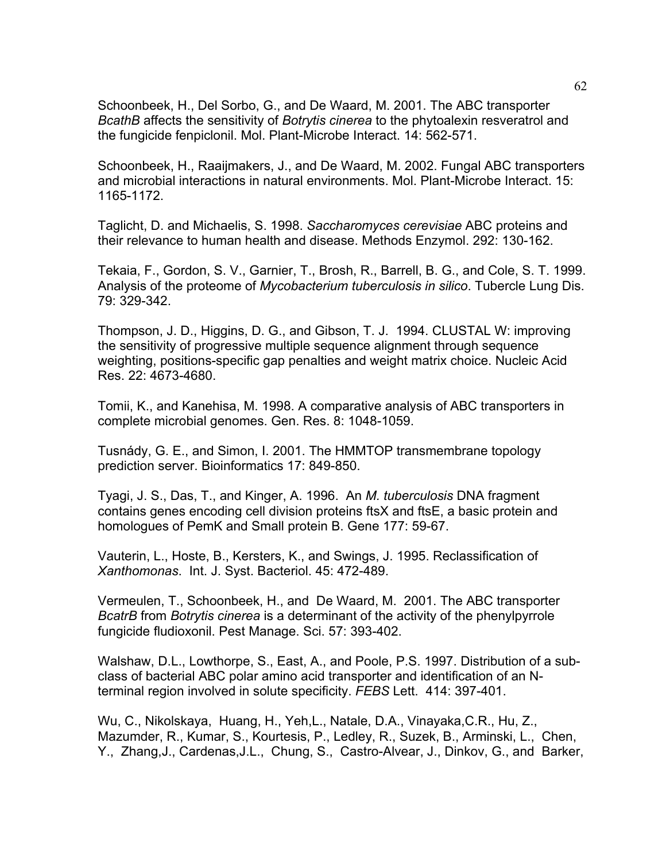Schoonbeek, H., Del Sorbo, G., and De Waard, M. 2001. The ABC transporter *BcathB* affects the sensitivity of *Botrytis cinerea* to the phytoalexin resveratrol and the fungicide fenpiclonil. Mol. Plant-Microbe Interact. 14: 562-571.

Schoonbeek, H., Raaijmakers, J., and De Waard, M. 2002. Fungal ABC transporters and microbial interactions in natural environments. Mol. Plant-Microbe Interact. 15: 1165-1172.

Taglicht, D. and Michaelis, S. 1998. *Saccharomyces cerevisiae* ABC proteins and their relevance to human health and disease. Methods Enzymol. 292: 130-162.

Tekaia, F., Gordon, S. V., Garnier, T., Brosh, R., Barrell, B. G., and Cole, S. T. 1999. Analysis of the proteome of *Mycobacterium tuberculosis in silico*. Tubercle Lung Dis. 79: 329-342.

Thompson, J. D., Higgins, D. G., and Gibson, T. J. 1994. CLUSTAL W: improving the sensitivity of progressive multiple sequence alignment through sequence weighting, positions-specific gap penalties and weight matrix choice. Nucleic Acid Res. 22: 4673-4680.

Tomii, K., and Kanehisa, M. 1998. A comparative analysis of ABC transporters in complete microbial genomes. Gen. Res. 8: 1048-1059.

Tusnády, G. E., and Simon, I. 2001. The HMMTOP transmembrane topology prediction server. Bioinformatics 17: 849-850.

Tyagi, J. S., Das, T., and Kinger, A. 1996. An *M. tuberculosis* DNA fragment contains genes encoding cell division proteins ftsX and ftsE, a basic protein and homologues of PemK and Small protein B. Gene 177: 59-67.

Vauterin, L., Hoste, B., Kersters, K., and Swings, J. 1995. Reclassification of *Xanthomonas*. Int. J. Syst. Bacteriol. 45: 472-489.

Vermeulen, T., Schoonbeek, H., and De Waard, M. 2001. The ABC transporter *BcatrB* from *Botrytis cinerea* is a determinant of the activity of the phenylpyrrole fungicide fludioxonil. Pest Manage. Sci. 57: 393-402.

Walshaw, D.L., Lowthorpe, S., East, A., and Poole, P.S. 1997. Distribution of a subclass of bacterial ABC polar amino acid transporter and identification of an Nterminal region involved in solute specificity. *FEBS* Lett. 414: 397-401.

Wu, C., Nikolskaya, Huang, H., Yeh,L., Natale, D.A., Vinayaka,C.R., Hu, Z., Mazumder, R., Kumar, S., Kourtesis, P., Ledley, R., Suzek, B., Arminski, L., Chen, Y., Zhang,J., Cardenas,J.L., Chung, S., Castro-Alvear, J., Dinkov, G., and Barker,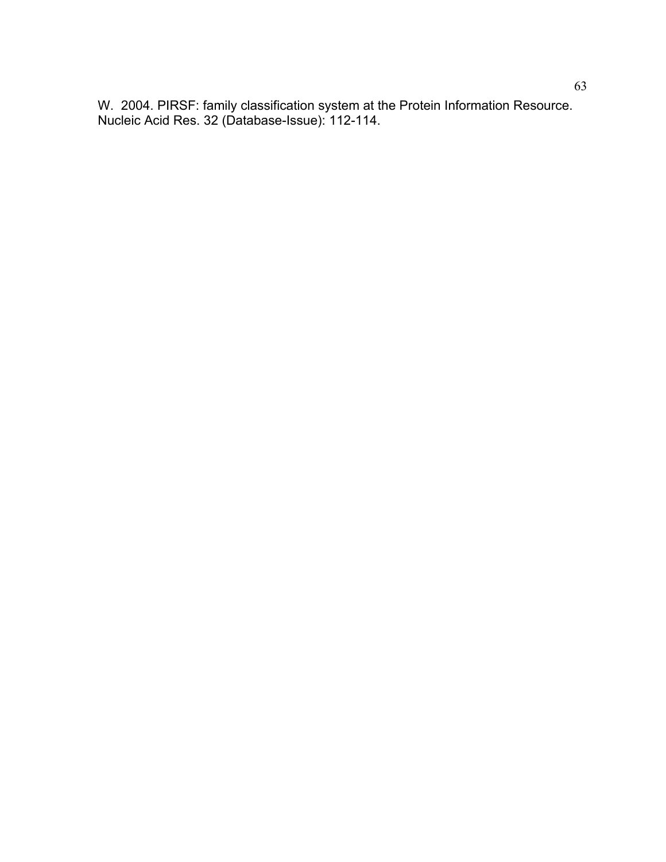W. 2004. PIRSF: family classification system at the Protein Information Resource. Nucleic Acid Res. 32 (Database-Issue): 112-114.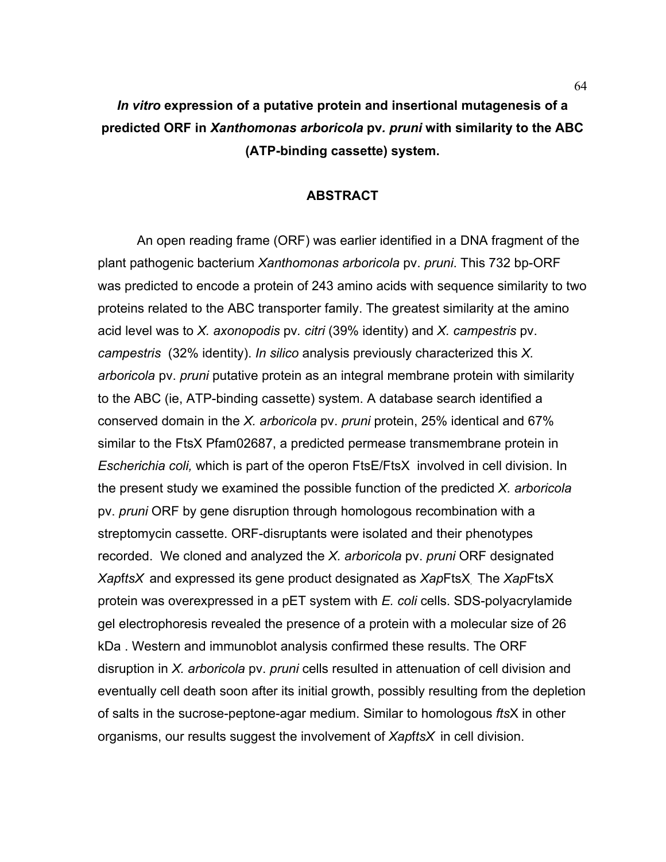# *In vitro* **expression of a putative protein and insertional mutagenesis of a predicted ORF in** *Xanthomonas arboricola* **pv***. pruni* **with similarity to the ABC (ATP-binding cassette) system.**

#### **ABSTRACT**

 An open reading frame (ORF) was earlier identified in a DNA fragment of the plant pathogenic bacterium *Xanthomonas arboricola* pv. *pruni*. This 732 bp-ORF was predicted to encode a protein of 243 amino acids with sequence similarity to two proteins related to the ABC transporter family. The greatest similarity at the amino acid level was to *X. axonopodis* pv*. citri* (39% identity) and *X. campestris* pv. *campestris* (32% identity). *In silico* analysis previously characterized this *X. arboricola* pv. *pruni* putative protein as an integral membrane protein with similarity to the ABC (ie, ATP-binding cassette) system. A database search identified a conserved domain in the *X. arboricola* pv. *pruni* protein, 25% identical and 67% similar to the FtsX Pfam02687, a predicted permease transmembrane protein in *Escherichia coli,* which is part of the operon FtsE/FtsX involved in cell division. In the present study we examined the possible function of the predicted *X. arboricola* pv. *pruni* ORF by gene disruption through homologous recombination with a streptomycin cassette. ORF-disruptants were isolated and their phenotypes recorded. We cloned and analyzed the *X. arboricola* pv. *pruni* ORF designated *Xap*f*tsX* and expressed its gene product designated as *Xap*FtsX*.* The *Xap*FtsX protein was overexpressed in a pET system with *E. coli* cells. SDS-polyacrylamide gel electrophoresis revealed the presence of a protein with a molecular size of 26 kDa . Western and immunoblot analysis confirmed these results. The ORF disruption in *X. arboricola* pv. *pruni* cells resulted in attenuation of cell division and eventually cell death soon after its initial growth, possibly resulting from the depletion of salts in the sucrose-peptone-agar medium. Similar to homologous *fts*X in other organisms, our results suggest the involvement of *Xap*f*tsX* in cell division.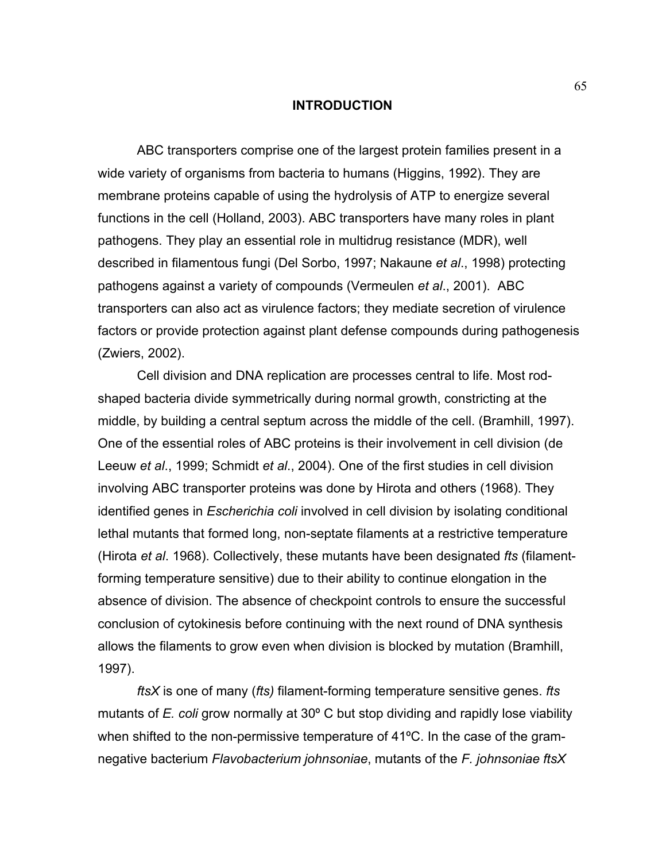#### **INTRODUCTION**

 ABC transporters comprise one of the largest protein families present in a wide variety of organisms from bacteria to humans (Higgins, 1992). They are membrane proteins capable of using the hydrolysis of ATP to energize several functions in the cell (Holland, 2003). ABC transporters have many roles in plant pathogens. They play an essential role in multidrug resistance (MDR), well described in filamentous fungi (Del Sorbo, 1997; Nakaune *et al*., 1998) protecting pathogens against a variety of compounds (Vermeulen *et al*., 2001). ABC transporters can also act as virulence factors; they mediate secretion of virulence factors or provide protection against plant defense compounds during pathogenesis (Zwiers, 2002).

 Cell division and DNA replication are processes central to life. Most rodshaped bacteria divide symmetrically during normal growth, constricting at the middle, by building a central septum across the middle of the cell. (Bramhill, 1997). One of the essential roles of ABC proteins is their involvement in cell division (de Leeuw *et al*., 1999; Schmidt *et al*., 2004). One of the first studies in cell division involving ABC transporter proteins was done by Hirota and others (1968). They identified genes in *Escherichia coli* involved in cell division by isolating conditional lethal mutants that formed long, non-septate filaments at a restrictive temperature (Hirota *et al*. 1968). Collectively, these mutants have been designated *fts* (filamentforming temperature sensitive) due to their ability to continue elongation in the absence of division. The absence of checkpoint controls to ensure the successful conclusion of cytokinesis before continuing with the next round of DNA synthesis allows the filaments to grow even when division is blocked by mutation (Bramhill, 1997).

*ftsX* is one of many (*fts)* filament-forming temperature sensitive genes. *fts* mutants of *E. coli* grow normally at 30º C but stop dividing and rapidly lose viability when shifted to the non-permissive temperature of 41ºC. In the case of the gramnegative bacterium *Flavobacterium johnsoniae*, mutants of the *F. johnsoniae ftsX*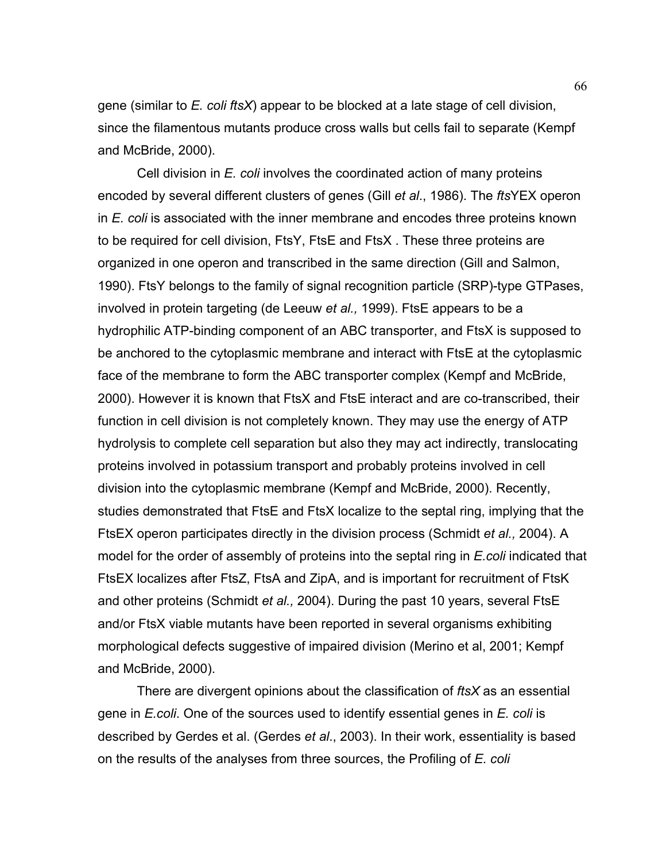gene (similar to *E. coli ftsX*) appear to be blocked at a late stage of cell division, since the filamentous mutants produce cross walls but cells fail to separate (Kempf and McBride, 2000).

 Cell division in *E. coli* involves the coordinated action of many proteins encoded by several different clusters of genes (Gill *et al*., 1986). The *fts*YEX operon in *E. coli* is associated with the inner membrane and encodes three proteins known to be required for cell division, FtsY, FtsE and FtsX . These three proteins are organized in one operon and transcribed in the same direction (Gill and Salmon, 1990). FtsY belongs to the family of signal recognition particle (SRP)-type GTPases, involved in protein targeting (de Leeuw *et al.,* 1999). FtsE appears to be a hydrophilic ATP-binding component of an ABC transporter, and FtsX is supposed to be anchored to the cytoplasmic membrane and interact with FtsE at the cytoplasmic face of the membrane to form the ABC transporter complex (Kempf and McBride, 2000). However it is known that FtsX and FtsE interact and are co-transcribed, their function in cell division is not completely known. They may use the energy of ATP hydrolysis to complete cell separation but also they may act indirectly, translocating proteins involved in potassium transport and probably proteins involved in cell division into the cytoplasmic membrane (Kempf and McBride, 2000). Recently, studies demonstrated that FtsE and FtsX localize to the septal ring, implying that the FtsEX operon participates directly in the division process (Schmidt *et al.,* 2004). A model for the order of assembly of proteins into the septal ring in *E.coli* indicated that FtsEX localizes after FtsZ, FtsA and ZipA, and is important for recruitment of FtsK and other proteins (Schmidt *et al.,* 2004). During the past 10 years, several FtsE and/or FtsX viable mutants have been reported in several organisms exhibiting morphological defects suggestive of impaired division (Merino et al, 2001; Kempf and McBride, 2000).

 There are divergent opinions about the classification of *ftsX* as an essential gene in *E.coli*. One of the sources used to identify essential genes in *E. coli* is described by Gerdes et al. (Gerdes *et al*., 2003). In their work, essentiality is based on the results of the analyses from three sources, the Profiling of *E. coli*

66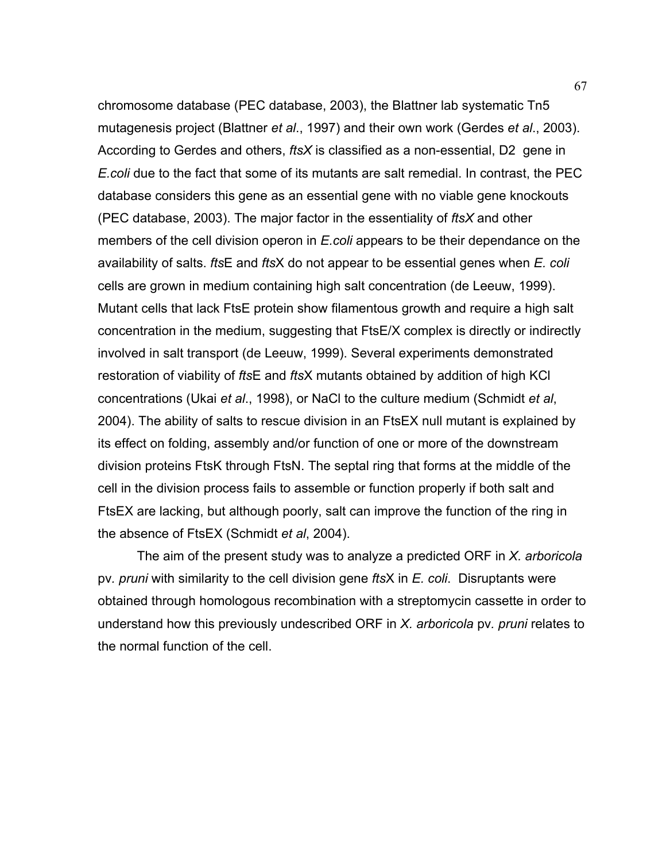chromosome database (PEC database, 2003), the Blattner lab systematic Tn5 mutagenesis project (Blattner *et al*., 1997) and their own work (Gerdes *et al*., 2003). According to Gerdes and others, *ftsX* is classified as a non-essential, D2 gene in *E.coli* due to the fact that some of its mutants are salt remedial. In contrast, the PEC database considers this gene as an essential gene with no viable gene knockouts (PEC database, 2003). The major factor in the essentiality of *ftsX* and other members of the cell division operon in *E.coli* appears to be their dependance on the availability of salts. *fts*E and *fts*X do not appear to be essential genes when *E. coli* cells are grown in medium containing high salt concentration (de Leeuw, 1999). Mutant cells that lack FtsE protein show filamentous growth and require a high salt concentration in the medium, suggesting that FtsE/X complex is directly or indirectly involved in salt transport (de Leeuw, 1999). Several experiments demonstrated restoration of viability of *fts*E and *fts*X mutants obtained by addition of high KCl concentrations (Ukai *et al*., 1998), or NaCl to the culture medium (Schmidt *et al*, 2004). The ability of salts to rescue division in an FtsEX null mutant is explained by its effect on folding, assembly and/or function of one or more of the downstream division proteins FtsK through FtsN. The septal ring that forms at the middle of the cell in the division process fails to assemble or function properly if both salt and FtsEX are lacking, but although poorly, salt can improve the function of the ring in the absence of FtsEX (Schmidt *et al*, 2004).

 The aim of the present study was to analyze a predicted ORF in *X. arboricola*  pv*. pruni* with similarity to the cell division gene *fts*X in *E. coli*. Disruptants were obtained through homologous recombination with a streptomycin cassette in order to understand how this previously undescribed ORF in *X. arboricola* pv*. pruni* relates to the normal function of the cell.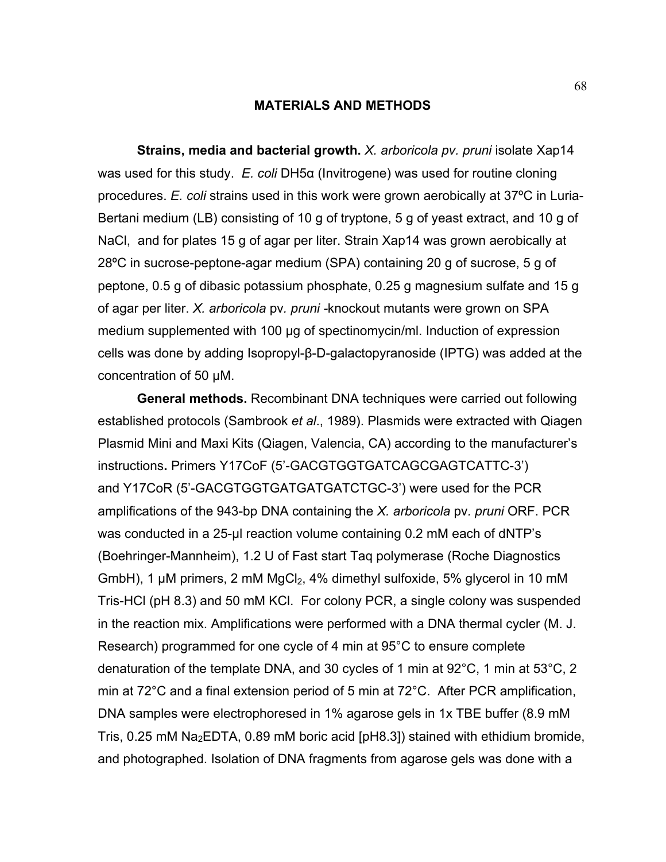### **MATERIALS AND METHODS**

 **Strains, media and bacterial growth.** *X. arboricola pv. pruni* isolate Xap14 was used for this study. *E. coli* DH5α (Invitrogene) was used for routine cloning procedures. *E. coli* strains used in this work were grown aerobically at 37ºC in Luria-Bertani medium (LB) consisting of 10 g of tryptone, 5 g of yeast extract, and 10 g of NaCl, and for plates 15 g of agar per liter. Strain Xap14 was grown aerobically at 28ºC in sucrose-peptone-agar medium (SPA) containing 20 g of sucrose, 5 g of peptone, 0.5 g of dibasic potassium phosphate, 0.25 g magnesium sulfate and 15 g of agar per liter. *X. arboricola* pv*. pruni -*knockout mutants were grown on SPA medium supplemented with 100 µg of spectinomycin/ml. Induction of expression cells was done by adding Isopropyl-β-D-galactopyranoside (IPTG) was added at the concentration of 50 µM.

 **General methods.** Recombinant DNA techniques were carried out following established protocols (Sambrook *et al*., 1989). Plasmids were extracted with Qiagen Plasmid Mini and Maxi Kits (Qiagen, Valencia, CA) according to the manufacturer's instructions**.** Primers Y17CoF (5'-GACGTGGTGATCAGCGAGTCATTC-3') and Y17CoR (5'-GACGTGGTGATGATGATCTGC-3') were used for the PCR amplifications of the 943-bp DNA containing the *X. arboricola* pv*. pruni* ORF. PCR was conducted in a 25-µl reaction volume containing 0.2 mM each of dNTP's (Boehringer-Mannheim), 1.2 U of Fast start Taq polymerase (Roche Diagnostics GmbH), 1  $\mu$ M primers, 2 mM MgCl<sub>2</sub>, 4% dimethyl sulfoxide, 5% glycerol in 10 mM Tris-HCl (pH 8.3) and 50 mM KCl. For colony PCR, a single colony was suspended in the reaction mix. Amplifications were performed with a DNA thermal cycler (M. J. Research) programmed for one cycle of 4 min at 95°C to ensure complete denaturation of the template DNA, and 30 cycles of 1 min at 92°C, 1 min at 53°C, 2 min at 72°C and a final extension period of 5 min at 72°C. After PCR amplification, DNA samples were electrophoresed in 1% agarose gels in 1x TBE buffer (8.9 mM Tris, 0.25 mM  $Na<sub>2</sub>EDTA$ , 0.89 mM boric acid [pH8.3]) stained with ethidium bromide, and photographed. Isolation of DNA fragments from agarose gels was done with a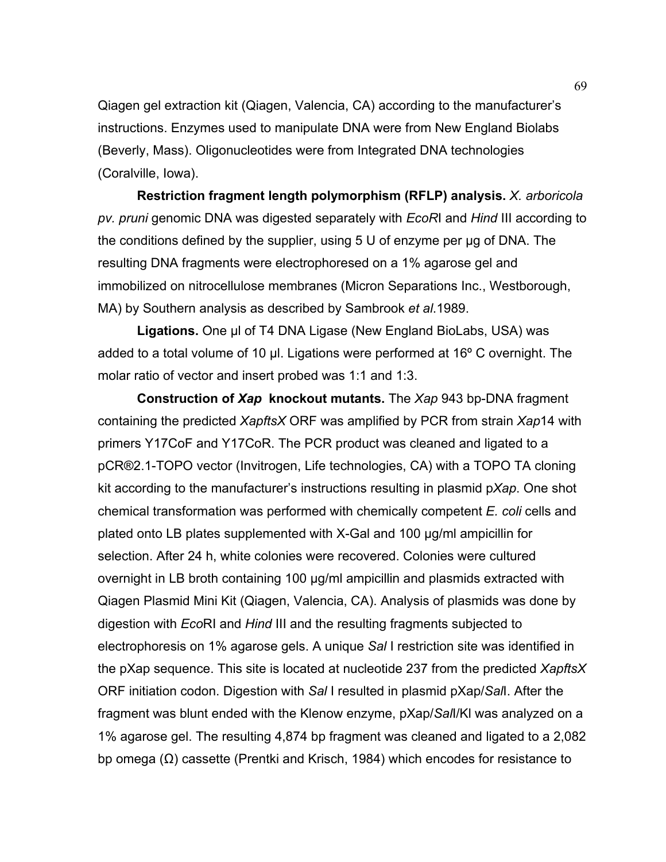Qiagen gel extraction kit (Qiagen, Valencia, CA) according to the manufacturer's instructions. Enzymes used to manipulate DNA were from New England Biolabs (Beverly, Mass). Oligonucleotides were from Integrated DNA technologies (Coralville, Iowa).

 **Restriction fragment length polymorphism (RFLP) analysis.** *X. arboricola pv. pruni* genomic DNA was digested separately with *EcoR*I and *Hind* III according to the conditions defined by the supplier, using 5 U of enzyme per µg of DNA. The resulting DNA fragments were electrophoresed on a 1% agarose gel and immobilized on nitrocellulose membranes (Micron Separations Inc., Westborough, MA) by Southern analysis as described by Sambrook *et al*.1989.

 **Ligations.** One µl of T4 DNA Ligase (New England BioLabs, USA) was added to a total volume of 10 µl. Ligations were performed at 16° C overnight. The molar ratio of vector and insert probed was 1:1 and 1:3.

 **Construction of** *Xap* **knockout mutants.** The *Xap* 943 bp-DNA fragment containing the predicted *XapftsX* ORF was amplified by PCR from strain *Xap*14 with primers Y17CoF and Y17CoR. The PCR product was cleaned and ligated to a pCR®2.1-TOPO vector (Invitrogen, Life technologies, CA) with a TOPO TA cloning kit according to the manufacturer's instructions resulting in plasmid p*Xap*. One shot chemical transformation was performed with chemically competent *E. coli* cells and plated onto LB plates supplemented with X-Gal and 100 µg/ml ampicillin for selection. After 24 h, white colonies were recovered. Colonies were cultured overnight in LB broth containing 100 µg/ml ampicillin and plasmids extracted with Qiagen Plasmid Mini Kit (Qiagen, Valencia, CA). Analysis of plasmids was done by digestion with *Eco*RI and *Hind* III and the resulting fragments subjected to electrophoresis on 1% agarose gels. A unique *Sal* I restriction site was identified in the pXap sequence. This site is located at nucleotide 237 from the predicted *XapftsX* ORF initiation codon. Digestion with *Sal* I resulted in plasmid pXap/*Sal*I. After the fragment was blunt ended with the Klenow enzyme, pXap/*Sal*I/Kl was analyzed on a 1% agarose gel. The resulting 4,874 bp fragment was cleaned and ligated to a 2,082 bp omega (Ω) cassette (Prentki and Krisch, 1984) which encodes for resistance to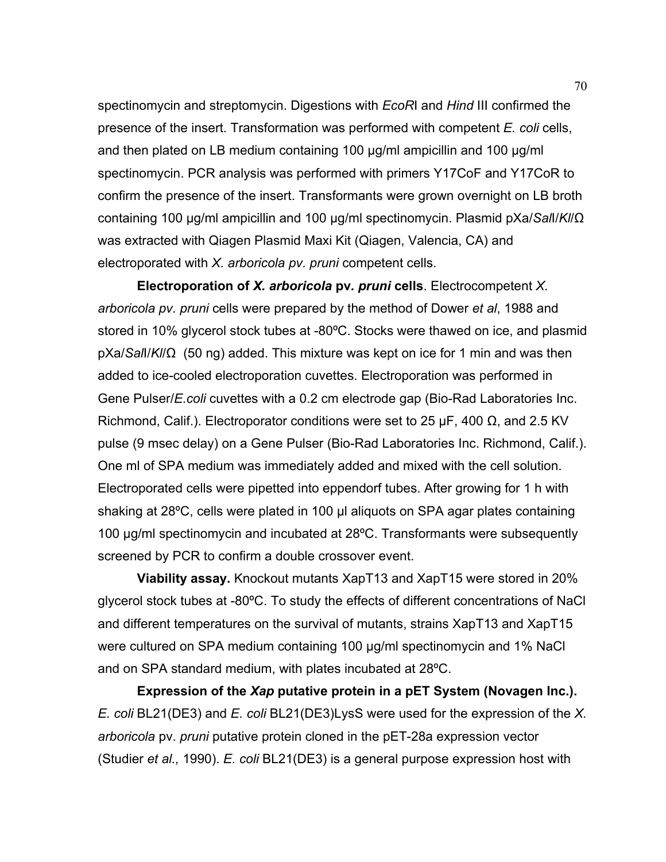spectinomycin and streptomycin. Digestions with *EcoR*I and *Hind* III confirmed the presence of the insert. Transformation was performed with competent *E. coli* cells, and then plated on LB medium containing 100 µg/ml ampicillin and 100 µg/ml spectinomycin. PCR analysis was performed with primers Y17CoF and Y17CoR to confirm the presence of the insert. Transformants were grown overnight on LB broth containing 100 µg/ml ampicillin and 100 µg/ml spectinomycin. Plasmid pXa/*Sal*I/*Kl*/Ω was extracted with Qiagen Plasmid Maxi Kit (Qiagen, Valencia, CA) and electroporated with *X. arboricola pv. pruni* competent cells.

 **Electroporation of** *X. arboricola* **pv***. pruni* **cells**. Electrocompetent *X. arboricola pv. pruni* cells were prepared by the method of Dower *et al*, 1988 and stored in 10% glycerol stock tubes at -80ºC. Stocks were thawed on ice, and plasmid pXa/*Sal*I/*Kl*/Ω (50 ng) added. This mixture was kept on ice for 1 min and was then added to ice-cooled electroporation cuvettes. Electroporation was performed in Gene Pulser/*E.coli* cuvettes with a 0.2 cm electrode gap (Bio-Rad Laboratories Inc. Richmond, Calif.). Electroporator conditions were set to 25  $\mu$ F, 400  $\Omega$ , and 2.5 KV pulse (9 msec delay) on a Gene Pulser (Bio-Rad Laboratories Inc. Richmond, Calif.). One ml of SPA medium was immediately added and mixed with the cell solution. Electroporated cells were pipetted into eppendorf tubes. After growing for 1 h with shaking at 28ºC, cells were plated in 100 µl aliquots on SPA agar plates containing 100 µg/ml spectinomycin and incubated at 28ºC. Transformants were subsequently screened by PCR to confirm a double crossover event.

 **Viability assay.** Knockout mutants XapT13 and XapT15 were stored in 20% glycerol stock tubes at -80ºC. To study the effects of different concentrations of NaCl and different temperatures on the survival of mutants, strains XapT13 and XapT15 were cultured on SPA medium containing 100 µg/ml spectinomycin and 1% NaCl and on SPA standard medium, with plates incubated at 28ºC.

 **Expression of the** *Xap* **putative protein in a pET System (Novagen Inc.).**  *E. coli* BL21(DE3) and *E. coli* BL21(DE3)LysS were used for the expression of the *X. arboricola* pv. *pruni* putative protein cloned in the pET-28a expression vector (Studier *et al.,* 1990). *E. coli* BL21(DE3) is a general purpose expression host with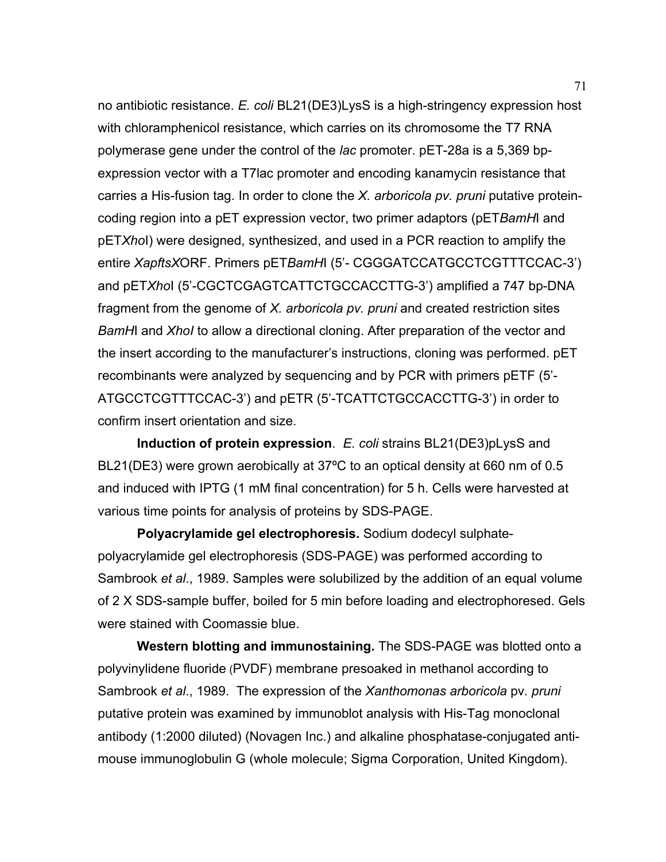no antibiotic resistance. *E. coli* BL21(DE3)LysS is a high-stringency expression host with chloramphenicol resistance, which carries on its chromosome the T7 RNA polymerase gene under the control of the *lac* promoter. pET-28a is a 5,369 bpexpression vector with a T7lac promoter and encoding kanamycin resistance that carries a His-fusion tag. In order to clone the *X. arboricola pv. pruni* putative proteincoding region into a pET expression vector, two primer adaptors (pET*BamH*I and pET*Xho*I) were designed, synthesized, and used in a PCR reaction to amplify the entire *XapftsX*ORF. Primers pET*BamH*I (5'- CGGGATCCATGCCTCGTTTCCAC-3') and pET*Xho*I (5'-CGCTCGAGTCATTCTGCCACCTTG-3') amplified a 747 bp-DNA fragment from the genome of *X. arboricola pv. pruni* and created restriction sites *BamH*I and *XhoI* to allow a directional cloning. After preparation of the vector and the insert according to the manufacturer's instructions, cloning was performed. pET recombinants were analyzed by sequencing and by PCR with primers pETF (5'- ATGCCTCGTTTCCAC-3') and pETR (5'-TCATTCTGCCACCTTG-3') in order to confirm insert orientation and size.

 **Induction of protein expression**. *E. coli* strains BL21(DE3)pLysS and BL21(DE3) were grown aerobically at 37ºC to an optical density at 660 nm of 0.5 and induced with IPTG (1 mM final concentration) for 5 h. Cells were harvested at various time points for analysis of proteins by SDS-PAGE.

 **Polyacrylamide gel electrophoresis.** Sodium dodecyl sulphatepolyacrylamide gel electrophoresis (SDS-PAGE) was performed according to Sambrook *et al*., 1989. Samples were solubilized by the addition of an equal volume of 2 X SDS-sample buffer, boiled for 5 min before loading and electrophoresed. Gels were stained with Coomassie blue.

 **Western blotting and immunostaining.** The SDS-PAGE was blotted onto a polyvinylidene fluoride (PVDF) membrane presoaked in methanol according to Sambrook *et al*., 1989. The expression of the *Xanthomonas arboricola* pv*. pruni* putative protein was examined by immunoblot analysis with His-Tag monoclonal antibody (1:2000 diluted) (Novagen Inc.) and alkaline phosphatase-conjugated antimouse immunoglobulin G (whole molecule; Sigma Corporation, United Kingdom).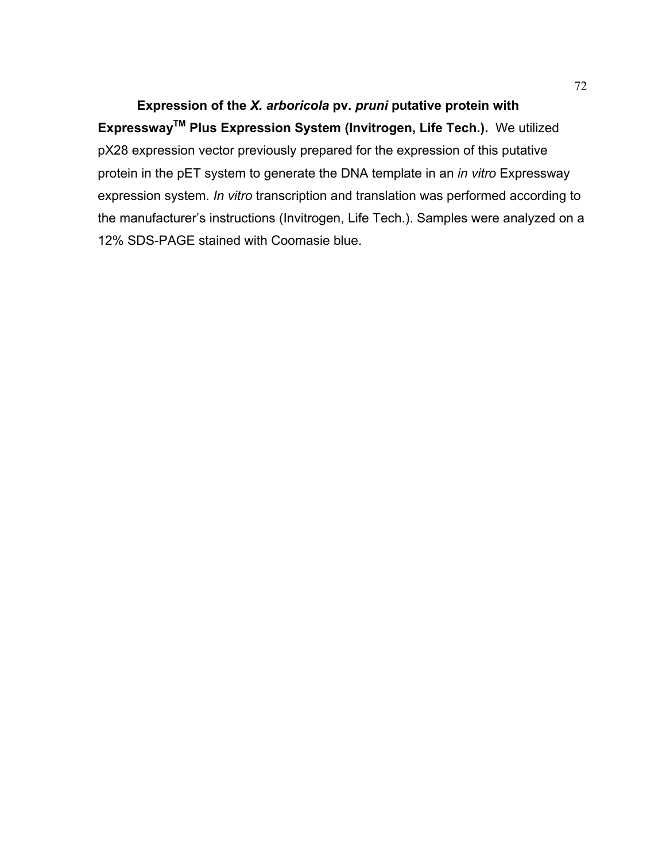**Expression of the** *X. arboricola* **pv.** *pruni* **putative protein with ExpresswayTM Plus Expression System (Invitrogen, Life Tech.).** We utilized pX28 expression vector previously prepared for the expression of this putative protein in the pET system to generate the DNA template in an *in vitro* Expressway expression system*. In vitro* transcription and translation was performed according to the manufacturer's instructions (Invitrogen, Life Tech.). Samples were analyzed on a 12% SDS-PAGE stained with Coomasie blue.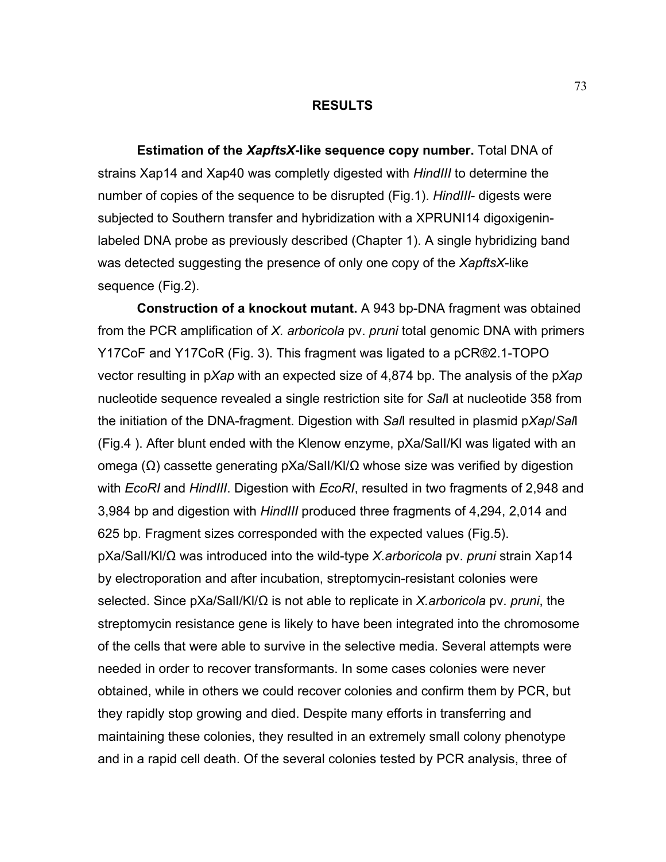#### **RESULTS**

 **Estimation of the** *XapftsX***-like sequence copy number.** Total DNA of strains Xap14 and Xap40 was completly digested with *HindIII* to determine the number of copies of the sequence to be disrupted (Fig.1). *HindIII*- digests were subjected to Southern transfer and hybridization with a XPRUNI14 digoxigeninlabeled DNA probe as previously described (Chapter 1). A single hybridizing band was detected suggesting the presence of only one copy of the *XapftsX*-like sequence (Fig.2).

 **Construction of a knockout mutant.** A 943 bp-DNA fragment was obtained from the PCR amplification of *X. arboricola* pv. *pruni* total genomic DNA with primers Y17CoF and Y17CoR (Fig. 3). This fragment was ligated to a pCR®2.1-TOPO vector resulting in p*Xap* with an expected size of 4,874 bp. The analysis of the p*Xap* nucleotide sequence revealed a single restriction site for *Sal*I at nucleotide 358 from the initiation of the DNA-fragment. Digestion with *Sal*I resulted in plasmid p*Xap*/*Sal*I (Fig.4 ). After blunt ended with the Klenow enzyme, pXa/SalI/Kl was ligated with an omega (Ω) cassette generating pXa/SalI/Kl/Ω whose size was verified by digestion with *EcoRI* and *HindIII*. Digestion with *EcoRI*, resulted in two fragments of 2,948 and 3,984 bp and digestion with *HindIII* produced three fragments of 4,294, 2,014 and 625 bp. Fragment sizes corresponded with the expected values (Fig.5). pXa/SalI/Kl/Ω was introduced into the wild-type *X.arboricola* pv. *pruni* strain Xap14 by electroporation and after incubation, streptomycin-resistant colonies were selected. Since pXa/SalI/Kl/Ω is not able to replicate in *X.arboricola* pv. *pruni*, the streptomycin resistance gene is likely to have been integrated into the chromosome of the cells that were able to survive in the selective media. Several attempts were needed in order to recover transformants. In some cases colonies were never obtained, while in others we could recover colonies and confirm them by PCR, but they rapidly stop growing and died. Despite many efforts in transferring and maintaining these colonies, they resulted in an extremely small colony phenotype and in a rapid cell death. Of the several colonies tested by PCR analysis, three of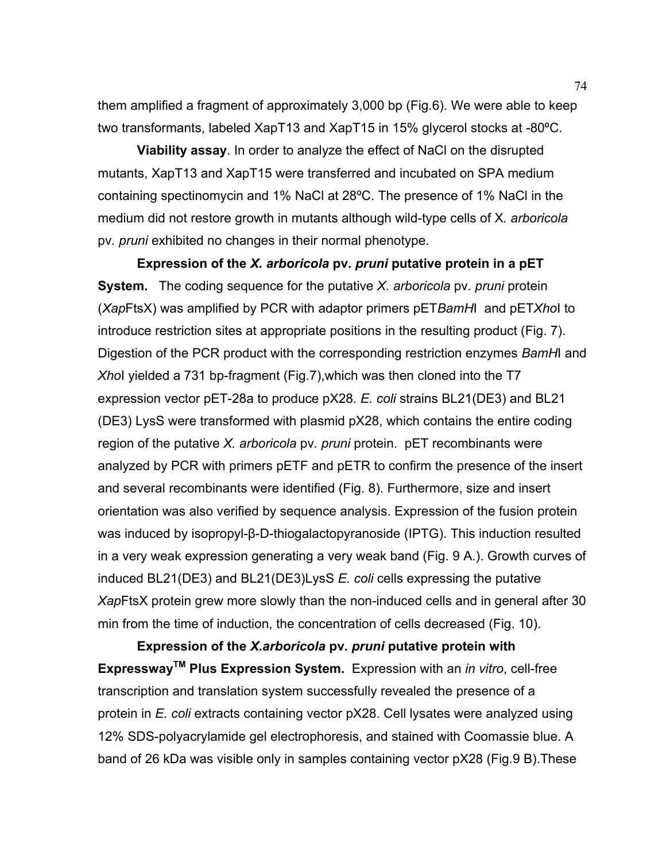them amplified a fragment of approximately 3,000 bp (Fig.6). We were able to keep two transformants, labeled XapT13 and XapT15 in 15% glycerol stocks at -80ºC.

 **Viability assay**. In order to analyze the effect of NaCl on the disrupted mutants, XapT13 and XapT15 were transferred and incubated on SPA medium containing spectinomycin and 1% NaCl at 28ºC. The presence of 1% NaCl in the medium did not restore growth in mutants although wild-type cells of X*. arboricola* pv*. pruni* exhibited no changes in their normal phenotype.

 **Expression of the** *X. arboricola* **pv.** *pruni* **putative protein in a pET System.** The coding sequence for the putative *X. arboricola* pv*. pruni* protein (*Xap*FtsX) was amplified by PCR with adaptor primers pET*BamH*I and pET*Xho*I to introduce restriction sites at appropriate positions in the resulting product (Fig. 7). Digestion of the PCR product with the corresponding restriction enzymes *BamH*I and *Xho*I yielded a 731 bp-fragment (Fig.7),which was then cloned into the T7 expression vector pET-28a to produce pX28. *E. coli* strains BL21(DE3) and BL21 (DE3) LysS were transformed with plasmid pX28, which contains the entire coding region of the putative *X. arboricola* pv*. pruni* protein. pET recombinants were analyzed by PCR with primers pETF and pETR to confirm the presence of the insert and several recombinants were identified (Fig. 8). Furthermore, size and insert orientation was also verified by sequence analysis. Expression of the fusion protein was induced by isopropyl-β-D-thiogalactopyranoside (IPTG). This induction resulted in a very weak expression generating a very weak band (Fig. 9 A.). Growth curves of induced BL21(DE3) and BL21(DE3)LysS *E. coli* cells expressing the putative *Xap*FtsX protein grew more slowly than the non-induced cells and in general after 30 min from the time of induction, the concentration of cells decreased (Fig. 10).

 **Expression of the** *X.arboricola* **pv***. pruni* **putative protein with ExpresswayTM Plus Expression System.** Expression with an *in vitro*, cell-free transcription and translation system successfully revealed the presence of a protein in *E. coli* extracts containing vector pX28. Cell lysates were analyzed using 12% SDS-polyacrylamide gel electrophoresis, and stained with Coomassie blue. A band of 26 kDa was visible only in samples containing vector pX28 (Fig.9 B).These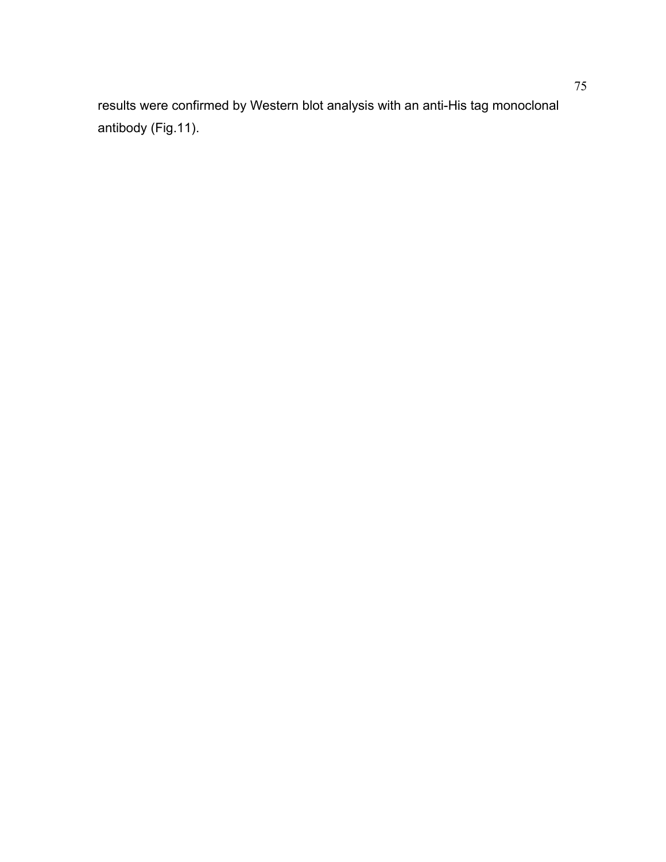results were confirmed by Western blot analysis with an anti-His tag monoclonal antibody (Fig.11).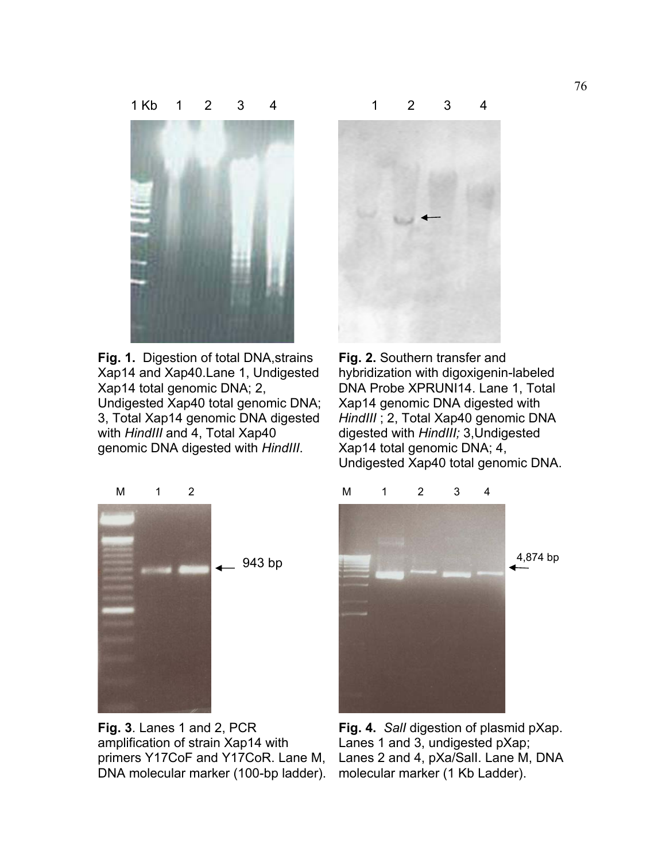

**Fig. 1.** Digestion of total DNA,strains Xap14 and Xap40.Lane 1, Undigested Xap14 total genomic DNA; 2, Undigested Xap40 total genomic DNA; 3, Total Xap14 genomic DNA digested with *HindIII* and 4, Total Xap40 genomic DNA digested with *HindIII*.



**Fig. 3**. Lanes 1 and 2, PCR amplification of strain Xap14 with primers Y17CoF and Y17CoR. Lane M, DNA molecular marker (100-bp ladder).



**Fig. 2.** Southern transfer and hybridization with digoxigenin-labeled DNA Probe XPRUNI14. Lane 1, Total Xap14 genomic DNA digested with *HindIII* ; 2, Total Xap40 genomic DNA digested with *HindIII;* 3,Undigested Xap14 total genomic DNA; 4, Undigested Xap40 total genomic DNA.



**Fig. 4.** *SalI* digestion of plasmid pXap. Lanes 1 and 3, undigested pXap; Lanes 2 and 4, pXa/SalI. Lane M, DNA molecular marker (1 Kb Ladder).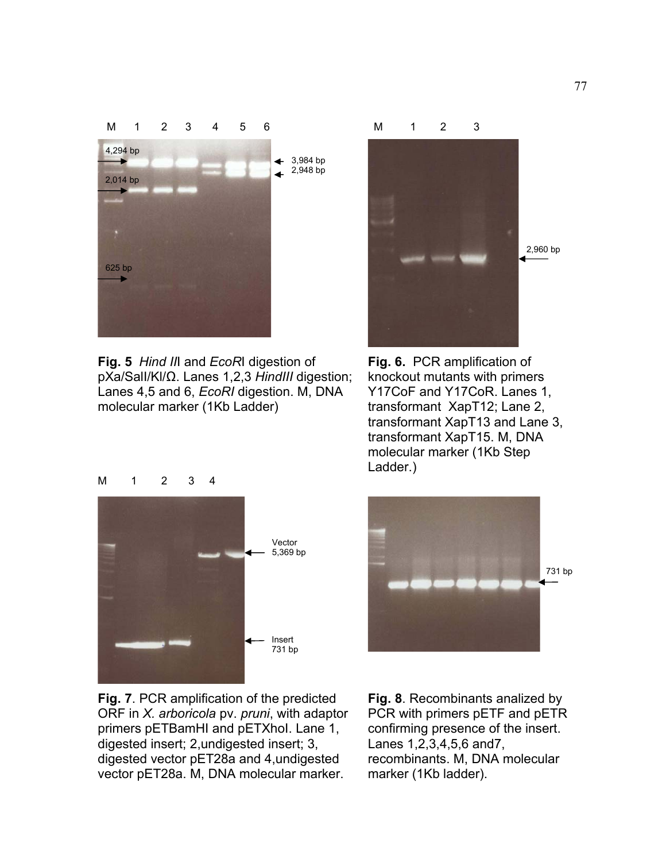

**Fig. 5** *Hind II*I and *EcoR*I digestion of pXa/SalI/Kl/Ω. Lanes 1,2,3 *HindIII* digestion; Lanes 4,5 and 6, *EcoRI* digestion. M, DNA molecular marker (1Kb Ladder)



**Fig. 6.** PCR amplification of knockout mutants with primers Y17CoF and Y17CoR. Lanes 1, transformant XapT12; Lane 2, transformant XapT13 and Lane 3, transformant XapT15. M, DNA molecular marker (1Kb Step Ladder.)





**Fig. 7**. PCR amplification of the predicted ORF in *X. arboricola* pv. *pruni*, with adaptor primers pETBamHI and pETXhol. Lane 1, digested insert; 2,undigested insert; 3, digested vector pET28a and 4,undigested vector pET28a. M, DNA molecular marker.

**Fig. 8**. Recombinants analized by PCR with primers pETF and pETR confirming presence of the insert. Lanes 1,2,3,4,5,6 and7, recombinants. M, DNA molecular marker (1Kb ladder).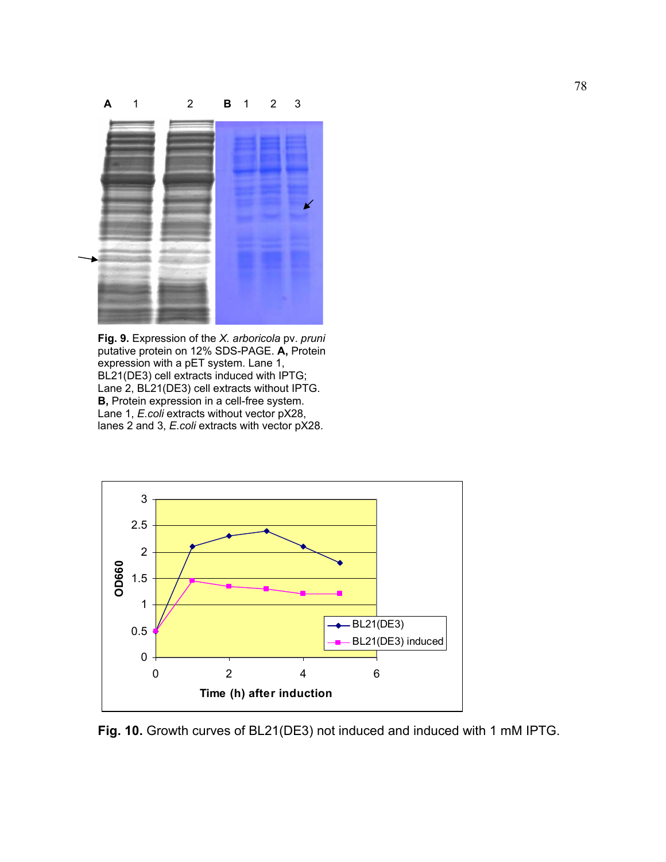

**Fig. 9.** Expression of the *X. arboricola* pv. *pruni*  putative protein on 12% SDS-PAGE. **A,** Protein expression with a pET system. Lane 1, BL21(DE3) cell extracts induced with IPTG; Lane 2, BL21(DE3) cell extracts without IPTG. **B,** Protein expression in a cell-free system. Lane 1, *E.coli* extracts without vector pX28, lanes 2 and 3, *E.coli* extracts with vector pX28.



**Fig. 10.** Growth curves of BL21(DE3) not induced and induced with 1 mM IPTG.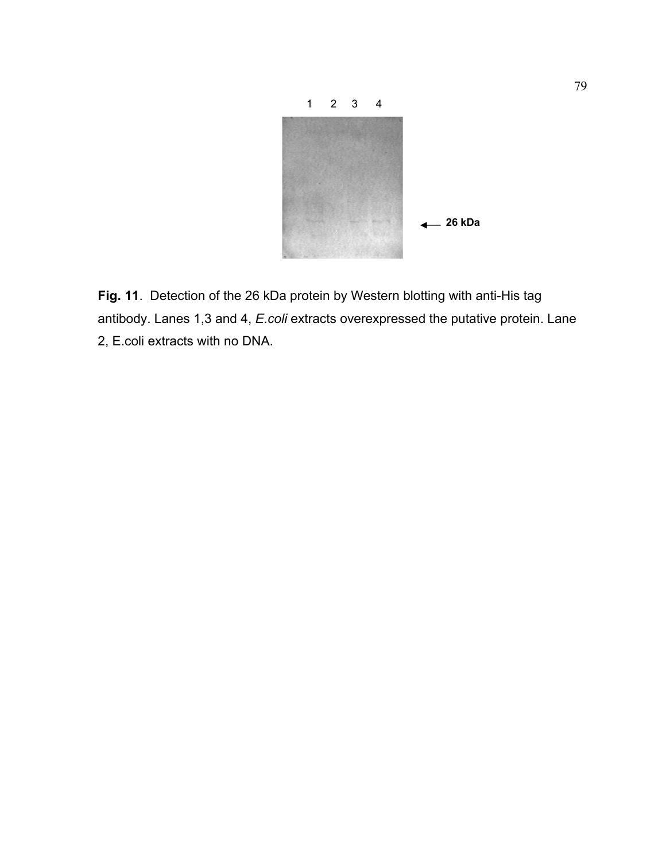

**Fig. 11**. Detection of the 26 kDa protein by Western blotting with anti-His tag antibody. Lanes 1,3 and 4, *E.coli* extracts overexpressed the putative protein. Lane 2, E.coli extracts with no DNA.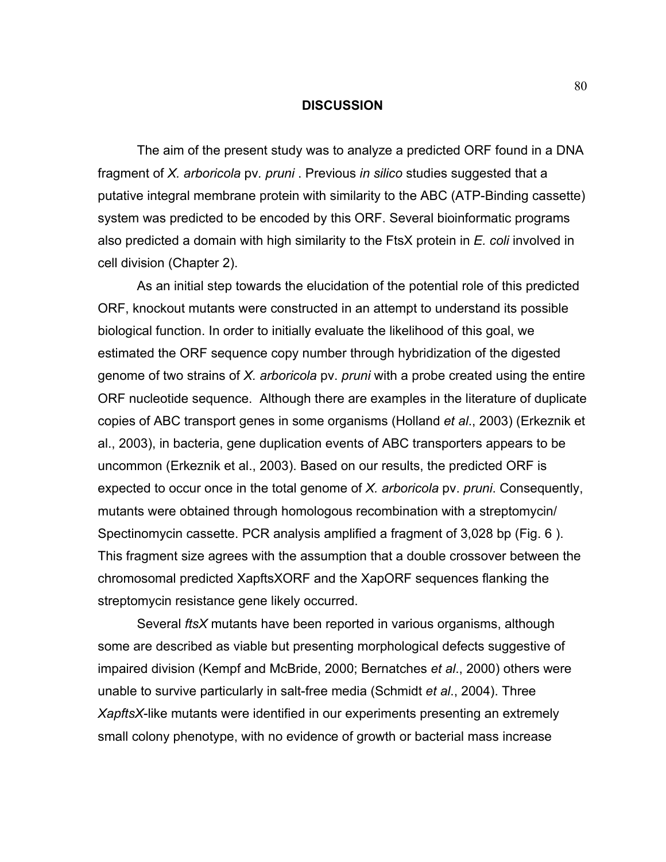#### **DISCUSSION**

 The aim of the present study was to analyze a predicted ORF found in a DNA fragment of *X. arboricola* pv*. pruni* . Previous *in silico* studies suggested that a putative integral membrane protein with similarity to the ABC (ATP-Binding cassette) system was predicted to be encoded by this ORF. Several bioinformatic programs also predicted a domain with high similarity to the FtsX protein in *E. coli* involved in cell division (Chapter 2).

 As an initial step towards the elucidation of the potential role of this predicted ORF, knockout mutants were constructed in an attempt to understand its possible biological function. In order to initially evaluate the likelihood of this goal, we estimated the ORF sequence copy number through hybridization of the digested genome of two strains of *X. arboricola* pv. *pruni* with a probe created using the entire ORF nucleotide sequence. Although there are examples in the literature of duplicate copies of ABC transport genes in some organisms (Holland *et al*., 2003) (Erkeznik et al., 2003), in bacteria, gene duplication events of ABC transporters appears to be uncommon (Erkeznik et al., 2003). Based on our results, the predicted ORF is expected to occur once in the total genome of *X. arboricola* pv. *pruni*. Consequently, mutants were obtained through homologous recombination with a streptomycin/ Spectinomycin cassette. PCR analysis amplified a fragment of 3,028 bp (Fig. 6 ). This fragment size agrees with the assumption that a double crossover between the chromosomal predicted XapftsXORF and the XapORF sequences flanking the streptomycin resistance gene likely occurred.

 Several *ftsX* mutants have been reported in various organisms, although some are described as viable but presenting morphological defects suggestive of impaired division (Kempf and McBride, 2000; Bernatches *et al*., 2000) others were unable to survive particularly in salt-free media (Schmidt *et al*., 2004). Three *XapftsX*-like mutants were identified in our experiments presenting an extremely small colony phenotype, with no evidence of growth or bacterial mass increase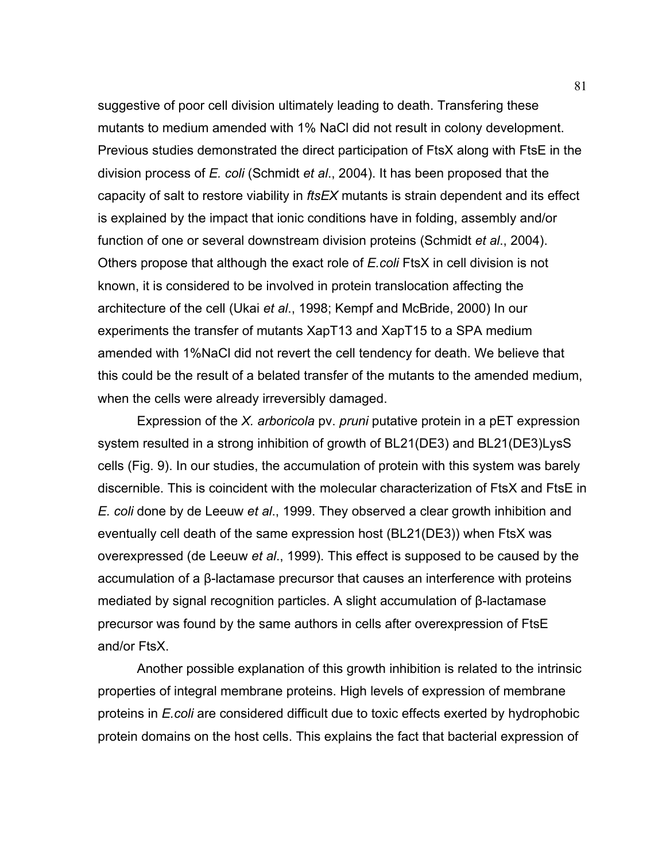suggestive of poor cell division ultimately leading to death. Transfering these mutants to medium amended with 1% NaCl did not result in colony development. Previous studies demonstrated the direct participation of FtsX along with FtsE in the division process of *E. coli* (Schmidt *et al*., 2004). It has been proposed that the capacity of salt to restore viability in *ftsEX* mutants is strain dependent and its effect is explained by the impact that ionic conditions have in folding, assembly and/or function of one or several downstream division proteins (Schmidt *et al*., 2004). Others propose that although the exact role of *E.coli* FtsX in cell division is not known, it is considered to be involved in protein translocation affecting the architecture of the cell (Ukai *et al*., 1998; Kempf and McBride, 2000) In our experiments the transfer of mutants XapT13 and XapT15 to a SPA medium amended with 1%NaCl did not revert the cell tendency for death. We believe that this could be the result of a belated transfer of the mutants to the amended medium, when the cells were already irreversibly damaged.

 Expression of the *X. arboricola* pv. *pruni* putative protein in a pET expression system resulted in a strong inhibition of growth of BL21(DE3) and BL21(DE3)LysS cells (Fig. 9). In our studies, the accumulation of protein with this system was barely discernible. This is coincident with the molecular characterization of FtsX and FtsE in *E. coli* done by de Leeuw *et al*., 1999. They observed a clear growth inhibition and eventually cell death of the same expression host (BL21(DE3)) when FtsX was overexpressed (de Leeuw *et al*., 1999). This effect is supposed to be caused by the accumulation of a β-lactamase precursor that causes an interference with proteins mediated by signal recognition particles. A slight accumulation of β-lactamase precursor was found by the same authors in cells after overexpression of FtsE and/or FtsX.

 Another possible explanation of this growth inhibition is related to the intrinsic properties of integral membrane proteins. High levels of expression of membrane proteins in *E.coli* are considered difficult due to toxic effects exerted by hydrophobic protein domains on the host cells. This explains the fact that bacterial expression of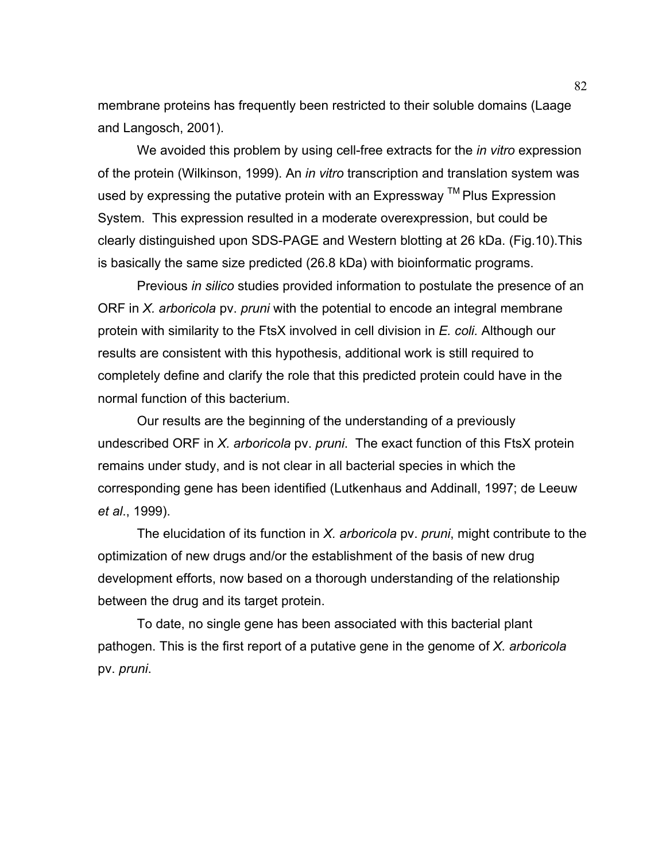membrane proteins has frequently been restricted to their soluble domains (Laage and Langosch, 2001).

 We avoided this problem by using cell-free extracts for the *in vitro* expression of the protein (Wilkinson, 1999). An *in vitro* transcription and translation system was used by expressing the putative protein with an Expressway ™ Plus Expression System. This expression resulted in a moderate overexpression, but could be clearly distinguished upon SDS-PAGE and Western blotting at 26 kDa. (Fig.10).This is basically the same size predicted (26.8 kDa) with bioinformatic programs.

 Previous *in silico* studies provided information to postulate the presence of an ORF in *X. arboricola* pv. *pruni* with the potential to encode an integral membrane protein with similarity to the FtsX involved in cell division in *E. coli.* Although our results are consistent with this hypothesis, additional work is still required to completely define and clarify the role that this predicted protein could have in the normal function of this bacterium.

 Our results are the beginning of the understanding of a previously undescribed ORF in *X. arboricola* pv. *pruni*. The exact function of this FtsX protein remains under study, and is not clear in all bacterial species in which the corresponding gene has been identified (Lutkenhaus and Addinall, 1997; de Leeuw *et al*., 1999).

 The elucidation of its function in *X. arboricola* pv. *pruni*, might contribute to the optimization of new drugs and/or the establishment of the basis of new drug development efforts, now based on a thorough understanding of the relationship between the drug and its target protein.

 To date, no single gene has been associated with this bacterial plant pathogen. This is the first report of a putative gene in the genome of *X. arboricola* pv. *pruni*.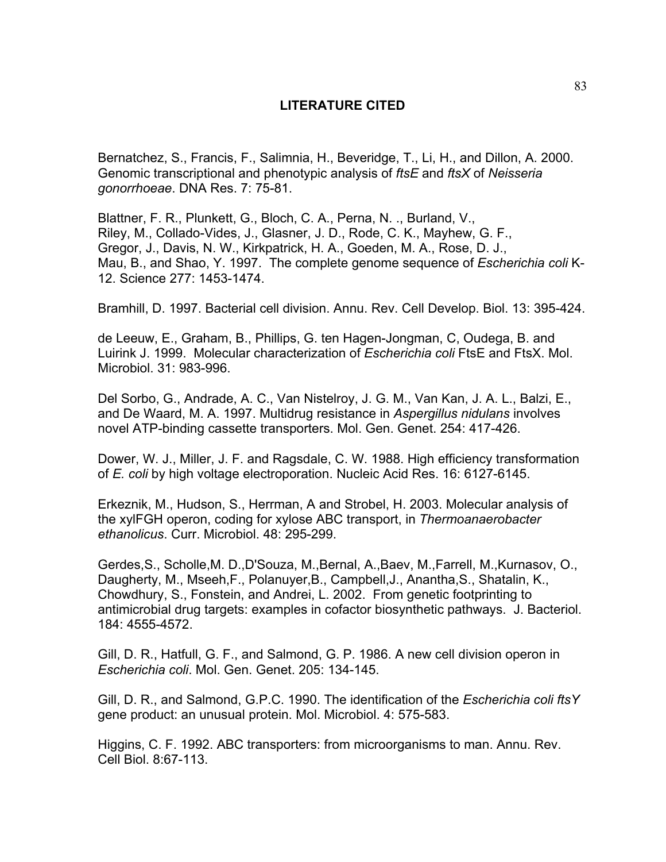## **LITERATURE CITED**

Bernatchez, S., Francis, F., Salimnia, H., Beveridge, T., Li, H., and Dillon, A. 2000. Genomic transcriptional and phenotypic analysis of *ftsE* and *ftsX* of *Neisseria gonorrhoeae*. DNA Res. 7: 75-81.

Blattner, F. R., Plunkett, G., Bloch, C. A., Perna, N. ., Burland, V., Riley, M., Collado-Vides, J., Glasner, J. D., Rode, C. K., Mayhew, G. F., Gregor, J., Davis, N. W., Kirkpatrick, H. A., Goeden, M. A., Rose, D. J., Mau, B., and Shao, Y. 1997. The complete genome sequence of *Escherichia coli* K-12. Science 277: 1453-1474.

Bramhill, D. 1997. Bacterial cell division. Annu. Rev. Cell Develop. Biol. 13: 395-424.

de Leeuw, E., Graham, B., Phillips, G. ten Hagen-Jongman, C, Oudega, B. and Luirink J. 1999. Molecular characterization of *Escherichia coli* FtsE and FtsX. Mol. Microbiol. 31: 983-996.

Del Sorbo, G., Andrade, A. C., Van Nistelroy, J. G. M., Van Kan, J. A. L., Balzi, E., and De Waard, M. A. 1997. Multidrug resistance in *Aspergillus nidulans* involves novel ATP-binding cassette transporters. Mol. Gen. Genet. 254: 417-426.

Dower, W. J., Miller, J. F. and Ragsdale, C. W. 1988. High efficiency transformation of *E. coli* by high voltage electroporation. Nucleic Acid Res. 16: 6127-6145.

Erkeznik, M., Hudson, S., Herrman, A and Strobel, H. 2003. Molecular analysis of the xylFGH operon, coding for xylose ABC transport, in *Thermoanaerobacter ethanolicus*. Curr. Microbiol. 48: 295-299.

Gerdes,S., Scholle,M. D.,D'Souza, M.,Bernal, A.,Baev, M.,Farrell, M.,Kurnasov, O., Daugherty, M., Mseeh,F., Polanuyer,B., Campbell,J., Anantha,S., Shatalin, K., Chowdhury, S., Fonstein, and Andrei, L. 2002. From genetic footprinting to antimicrobial drug targets: examples in cofactor biosynthetic pathways. J. Bacteriol. 184: 4555-4572.

Gill, D. R., Hatfull, G. F., and Salmond, G. P. 1986. A new cell division operon in *Escherichia coli*. Mol. Gen. Genet. 205: 134-145.

Gill, D. R., and Salmond, G.P.C. 1990. The identification of the *Escherichia coli ftsY* gene product: an unusual protein. Mol. Microbiol. 4: 575-583.

Higgins, C. F. 1992. ABC transporters: from microorganisms to man. Annu. Rev. Cell Biol. 8:67-113.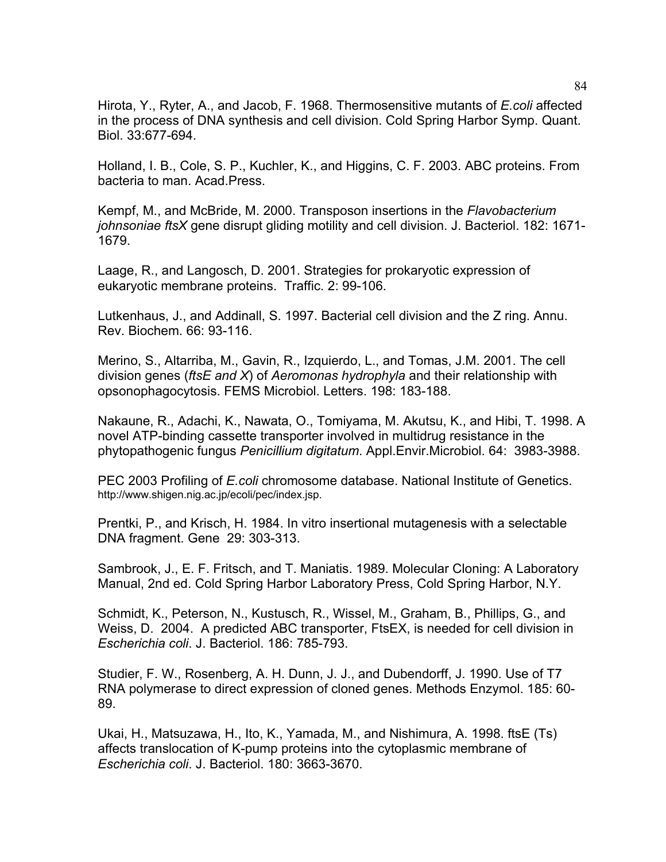Hirota, Y., Ryter, A., and Jacob, F. 1968. Thermosensitive mutants of *E.coli* affected in the process of DNA synthesis and cell division. Cold Spring Harbor Symp. Quant. Biol. 33:677-694.

Holland, I. B., Cole, S. P., Kuchler, K., and Higgins, C. F. 2003. ABC proteins. From bacteria to man. Acad.Press.

Kempf, M., and McBride, M. 2000. Transposon insertions in the *Flavobacterium johnsoniae ftsX* gene disrupt gliding motility and cell division. J. Bacteriol. 182: 1671- 1679.

Laage, R., and Langosch, D. 2001. Strategies for prokaryotic expression of eukaryotic membrane proteins. Traffic. 2: 99-106.

Lutkenhaus, J., and Addinall, S. 1997. Bacterial cell division and the Z ring. Annu. Rev. Biochem. 66: 93-116.

Merino, S., Altarriba, M., Gavin, R., Izquierdo, L., and Tomas, J.M. 2001. The cell division genes (*ftsE and X*) of *Aeromonas hydrophyla* and their relationship with opsonophagocytosis. FEMS Microbiol. Letters. 198: 183-188.

Nakaune, R., Adachi, K., Nawata, O., Tomiyama, M. Akutsu, K., and Hibi, T. 1998. A novel ATP-binding cassette transporter involved in multidrug resistance in the phytopathogenic fungus *Penicillium digitatum*. Appl.Envir.Microbiol. 64: 3983-3988.

PEC 2003 Profiling of *E.coli* chromosome database. National Institute of Genetics. http://www.shigen.nig.ac.jp/ecoli/pec/index.jsp.

Prentki, P., and Krisch, H. 1984. In vitro insertional mutagenesis with a selectable DNA fragment. Gene 29: 303-313.

Sambrook, J., E. F. Fritsch, and T. Maniatis. 1989. Molecular Cloning: A Laboratory Manual, 2nd ed. Cold Spring Harbor Laboratory Press, Cold Spring Harbor, N.Y.

Schmidt, K., Peterson, N., Kustusch, R., Wissel, M., Graham, B., Phillips, G., and Weiss, D. 2004. A predicted ABC transporter, FtsEX, is needed for cell division in *Escherichia coli*. J. Bacteriol. 186: 785-793.

Studier, F. W., Rosenberg, A. H. Dunn, J. J., and Dubendorff, J. 1990. Use of T7 RNA polymerase to direct expression of cloned genes. Methods Enzymol. 185: 60- 89.

Ukai, H., Matsuzawa, H., Ito, K., Yamada, M., and Nishimura, A. 1998. ftsE (Ts) affects translocation of K-pump proteins into the cytoplasmic membrane of *Escherichia coli*. J. Bacteriol. 180: 3663-3670.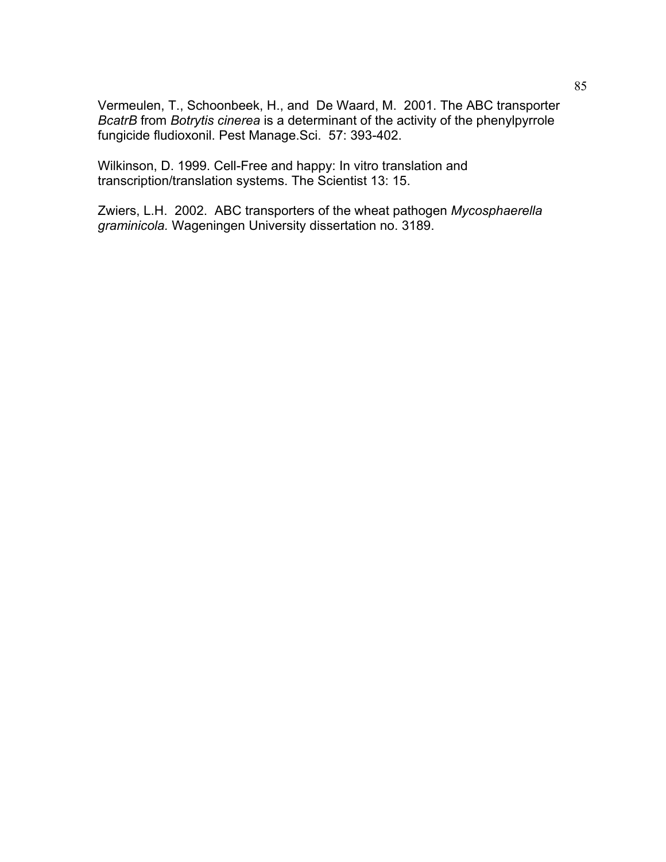Vermeulen, T., Schoonbeek, H., and De Waard, M. 2001. The ABC transporter *BcatrB* from *Botrytis cinerea* is a determinant of the activity of the phenylpyrrole fungicide fludioxonil. Pest Manage.Sci. 57: 393-402.

Wilkinson, D. 1999. Cell-Free and happy: In vitro translation and transcription/translation systems. The Scientist 13: 15.

Zwiers, L.H. 2002. ABC transporters of the wheat pathogen *Mycosphaerella graminicola.* Wageningen University dissertation no. 3189.